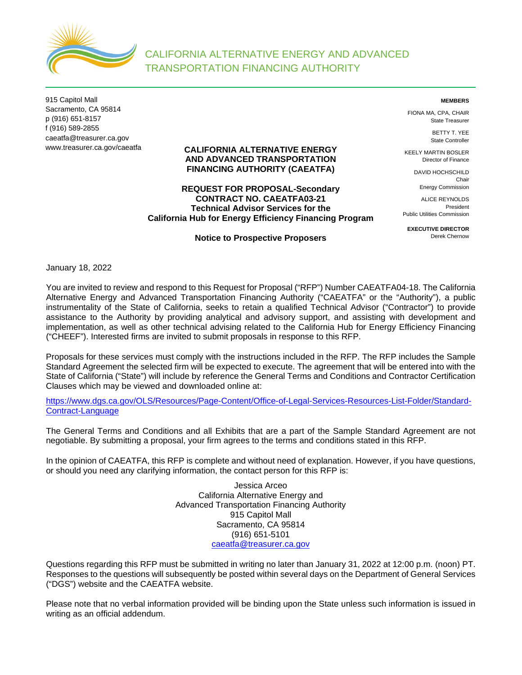

915 Capitol Mall Sacramento, CA 95814 p (916) 651-8157 f (916) 589-2855 caeatfa@treasurer.ca.gov www.treasurer.ca.gov/caeatfa

#### **CALIFORNIA ALTERNATIVE ENERGY AND ADVANCED TRANSPORTATION FINANCING AUTHORITY (CAEATFA)**

# **REQUEST FOR PROPOSAL-Secondary CONTRACT NO. CAEATFA03-21 Technical Advisor Services for the California Hub for Energy Efficiency Financing Program**

#### **Notice to Prospective Proposers**

**MEMBERS**

FIONA MA, CPA, CHAIR State Treasurer

> BETTY T. YEE State Controller

KEELY MARTIN BOSLER Director of Finance

> DAVID HOCHSCHILD Chair Energy Commission

ALICE REYNOLDS President Public Utilities Commission

**EXECUTIVE DIRECTOR** Derek Chernow

January 18, 2022

You are invited to review and respond to this Request for Proposal ("RFP") Number CAEATFA04-18. The California Alternative Energy and Advanced Transportation Financing Authority ("CAEATFA" or the "Authority"), a public instrumentality of the State of California, seeks to retain a qualified Technical Advisor ("Contractor") to provide assistance to the Authority by providing analytical and advisory support, and assisting with development and implementation, as well as other technical advising related to the California Hub for Energy Efficiency Financing ("CHEEF"). Interested firms are invited to submit proposals in response to this RFP.

Proposals for these services must comply with the instructions included in the RFP. The RFP includes the Sample Standard Agreement the selected firm will be expected to execute. The agreement that will be entered into with the State of California ("State") will include by reference the General Terms and Conditions and Contractor Certification Clauses which may be viewed and downloaded online at:

[https://www.dgs.ca.gov/OLS/Resources/Page-Content/Office-of-Legal-Services-Resources-List-Folder/Standard-](https://www.dgs.ca.gov/OLS/Resources/Page-Content/Office-of-Legal-Services-Resources-List-Folder/Standard-Contract-Language)[Contract-Language](https://www.dgs.ca.gov/OLS/Resources/Page-Content/Office-of-Legal-Services-Resources-List-Folder/Standard-Contract-Language) 

The General Terms and Conditions and all Exhibits that are a part of the Sample Standard Agreement are not negotiable. By submitting a proposal, your firm agrees to the terms and conditions stated in this RFP.

In the opinion of CAEATFA, this RFP is complete and without need of explanation. However, if you have questions, or should you need any clarifying information, the contact person for this RFP is:

> Jessica Arceo California Alternative Energy and Advanced Transportation Financing Authority 915 Capitol Mall Sacramento, CA 95814 (916) 651-5101 [caeatfa@treasurer.ca.gov](mailto:caeatfa@treasurer.ca.gov)

Questions regarding this RFP must be submitted in writing no later than January 31, 2022 at 12:00 p.m. (noon) PT. Responses to the questions will subsequently be posted within several days on the Department of General Services ("DGS") website and the CAEATFA website.

Please note that no verbal information provided will be binding upon the State unless such information is issued in writing as an official addendum.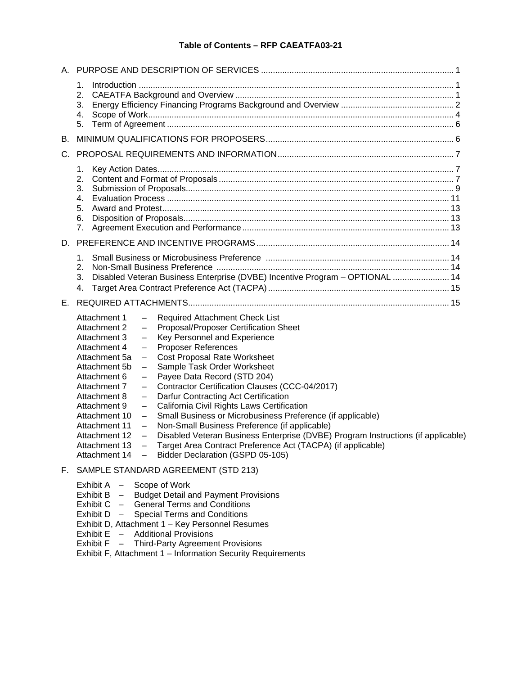# **Table of Contents – RFP CAEATFA03-21**

| Α. |                                                                                                                                                                                                                                                                                                                                                                                                                                                                                                                                                                                                                                                                                                                                                                                                                                                                                                                                                                                                                                                                                                                                                                                                                                                                                      |  |
|----|--------------------------------------------------------------------------------------------------------------------------------------------------------------------------------------------------------------------------------------------------------------------------------------------------------------------------------------------------------------------------------------------------------------------------------------------------------------------------------------------------------------------------------------------------------------------------------------------------------------------------------------------------------------------------------------------------------------------------------------------------------------------------------------------------------------------------------------------------------------------------------------------------------------------------------------------------------------------------------------------------------------------------------------------------------------------------------------------------------------------------------------------------------------------------------------------------------------------------------------------------------------------------------------|--|
|    | 1.<br>2.<br>3.<br>4.<br>5.                                                                                                                                                                                                                                                                                                                                                                                                                                                                                                                                                                                                                                                                                                                                                                                                                                                                                                                                                                                                                                                                                                                                                                                                                                                           |  |
| В. |                                                                                                                                                                                                                                                                                                                                                                                                                                                                                                                                                                                                                                                                                                                                                                                                                                                                                                                                                                                                                                                                                                                                                                                                                                                                                      |  |
| C. |                                                                                                                                                                                                                                                                                                                                                                                                                                                                                                                                                                                                                                                                                                                                                                                                                                                                                                                                                                                                                                                                                                                                                                                                                                                                                      |  |
|    | 1.<br>3.<br>4.<br>5.<br>6.<br>7.                                                                                                                                                                                                                                                                                                                                                                                                                                                                                                                                                                                                                                                                                                                                                                                                                                                                                                                                                                                                                                                                                                                                                                                                                                                     |  |
|    |                                                                                                                                                                                                                                                                                                                                                                                                                                                                                                                                                                                                                                                                                                                                                                                                                                                                                                                                                                                                                                                                                                                                                                                                                                                                                      |  |
|    | 1.<br>2.<br>Disabled Veteran Business Enterprise (DVBE) Incentive Program - OPTIONAL  14<br>3.<br>4.                                                                                                                                                                                                                                                                                                                                                                                                                                                                                                                                                                                                                                                                                                                                                                                                                                                                                                                                                                                                                                                                                                                                                                                 |  |
| Е. |                                                                                                                                                                                                                                                                                                                                                                                                                                                                                                                                                                                                                                                                                                                                                                                                                                                                                                                                                                                                                                                                                                                                                                                                                                                                                      |  |
|    | Required Attachment Check List<br>Attachment 1<br>$\overline{\phantom{m}}$<br>Proposal/Proposer Certification Sheet<br>Attachment 2<br>$\overline{\phantom{0}}$<br>Key Personnel and Experience<br>Attachment 3<br><b>Proposer References</b><br>Attachment 4<br>$\qquad \qquad -$<br><b>Cost Proposal Rate Worksheet</b><br>Attachment 5a<br>$\overline{\phantom{m}}$<br>Sample Task Order Worksheet<br>Attachment 5b<br>$\overline{\phantom{0}}$<br>Payee Data Record (STD 204)<br>Attachment 6<br>$\overline{\phantom{0}}$<br>Contractor Certification Clauses (CCC-04/2017)<br>Attachment 7<br>$\overline{\phantom{m}}$<br>Attachment 8<br>Darfur Contracting Act Certification<br>$\overline{\phantom{m}}$<br>California Civil Rights Laws Certification<br>Attachment 9<br>$\overline{\phantom{m}}$<br>Small Business or Microbusiness Preference (if applicable)<br>Attachment 10<br>$\overline{\phantom{m}}$<br>Non-Small Business Preference (if applicable)<br>Attachment 11<br>$\overline{\phantom{m}}$<br>Disabled Veteran Business Enterprise (DVBE) Program Instructions (if applicable)<br>Attachment 12<br>$\qquad \qquad -$<br>Attachment 13 - Target Area Contract Preference Act (TACPA) (if applicable)<br>Bidder Declaration (GSPD 05-105)<br>Attachment $14 -$ |  |
|    | F. SAMPLE STANDARD AGREEMENT (STD 213)                                                                                                                                                                                                                                                                                                                                                                                                                                                                                                                                                                                                                                                                                                                                                                                                                                                                                                                                                                                                                                                                                                                                                                                                                                               |  |
|    | Exhibit A - Scope of Work<br><b>Budget Detail and Payment Provisions</b><br>Exhibit $B -$<br><b>General Terms and Conditions</b><br>Exhibit $C -$<br><b>Special Terms and Conditions</b><br>Exhibit $D -$<br>Exhibit D, Attachment 1 - Key Personnel Resumes<br>Exhibit E - Additional Provisions                                                                                                                                                                                                                                                                                                                                                                                                                                                                                                                                                                                                                                                                                                                                                                                                                                                                                                                                                                                    |  |

- 
- Exhibit F Third-Party Agreement Provisions Exhibit F, Attachment 1 – Information Security Requirements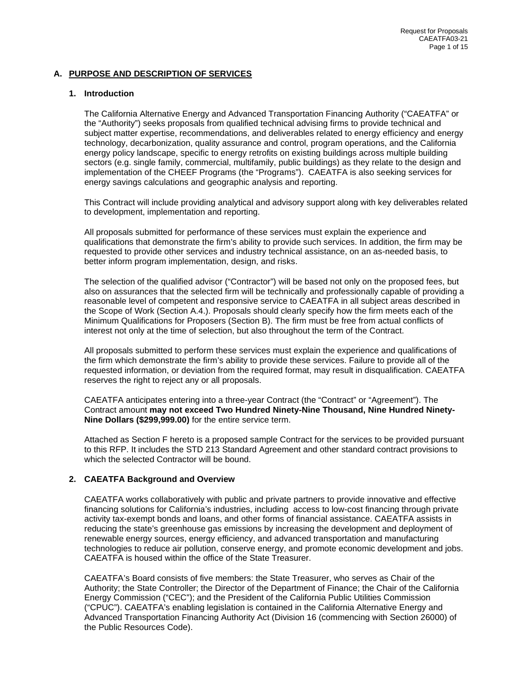# <span id="page-2-0"></span>**A. PURPOSE AND DESCRIPTION OF SERVICES**

## <span id="page-2-1"></span>**1. Introduction**

The California Alternative Energy and Advanced Transportation Financing Authority ("CAEATFA" or the "Authority") seeks proposals from qualified technical advising firms to provide technical and subject matter expertise, recommendations, and deliverables related to energy efficiency and energy technology, decarbonization, quality assurance and control, program operations, and the California energy policy landscape, specific to energy retrofits on existing buildings across multiple building sectors (e.g. single family, commercial, multifamily, public buildings) as they relate to the design and implementation of the CHEEF Programs (the "Programs"). CAEATFA is also seeking services for energy savings calculations and geographic analysis and reporting.

This Contract will include providing analytical and advisory support along with key deliverables related to development, implementation and reporting.

All proposals submitted for performance of these services must explain the experience and qualifications that demonstrate the firm's ability to provide such services. In addition, the firm may be requested to provide other services and industry technical assistance, on an as-needed basis, to better inform program implementation, design, and risks.

The selection of the qualified advisor ("Contractor") will be based not only on the proposed fees, but also on assurances that the selected firm will be technically and professionally capable of providing a reasonable level of competent and responsive service to CAEATFA in all subject areas described in the Scope of Work (Section A.4.). Proposals should clearly specify how the firm meets each of the Minimum Qualifications for Proposers (Section B). The firm must be free from actual conflicts of interest not only at the time of selection, but also throughout the term of the Contract.

All proposals submitted to perform these services must explain the experience and qualifications of the firm which demonstrate the firm's ability to provide these services. Failure to provide all of the requested information, or deviation from the required format, may result in disqualification. CAEATFA reserves the right to reject any or all proposals.

CAEATFA anticipates entering into a three-year Contract (the "Contract" or "Agreement"). The Contract amount **may not exceed Two Hundred Ninety-Nine Thousand, Nine Hundred Ninety-Nine Dollars (\$299,999.00)** for the entire service term.

Attached as Section F hereto is a proposed sample Contract for the services to be provided pursuant to this RFP. It includes the STD 213 Standard Agreement and other standard contract provisions to which the selected Contractor will be bound.

#### <span id="page-2-2"></span>**2. CAEATFA Background and Overview**

CAEATFA works collaboratively with public and private partners to provide innovative and effective financing solutions for California's industries, including access to low-cost financing through private activity tax-exempt bonds and loans, and other forms of financial assistance. CAEATFA assists in reducing the state's greenhouse gas emissions by increasing the development and deployment of renewable energy sources, energy efficiency, and advanced transportation and manufacturing technologies to reduce air pollution, conserve energy, and promote economic development and jobs. CAEATFA is housed within the office of the State Treasurer.

CAEATFA's Board consists of five members: the State Treasurer, who serves as Chair of the Authority; the State Controller; the Director of the Department of Finance; the Chair of the California Energy Commission ("CEC"); and the President of the California Public Utilities Commission ("CPUC"). CAEATFA's enabling legislation is contained in the California Alternative Energy and Advanced Transportation Financing Authority Act (Division 16 (commencing with Section 26000) of the Public Resources Code).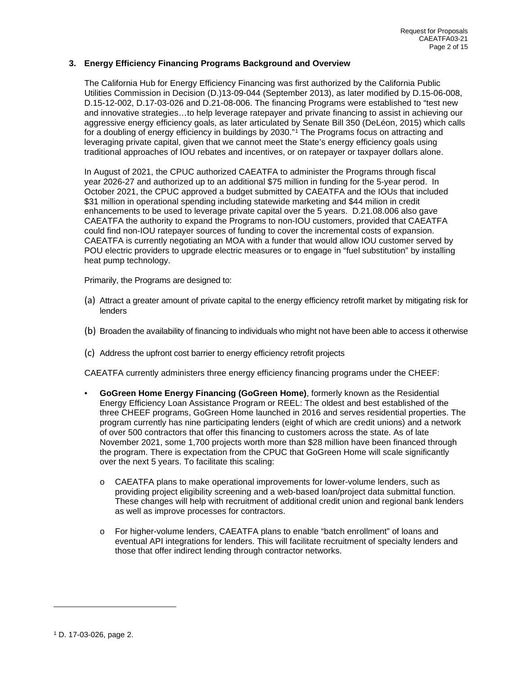## <span id="page-3-0"></span>**3. Energy Efficiency Financing Programs Background and Overview**

The California Hub for Energy Efficiency Financing was first authorized by the California Public Utilities Commission in Decision (D.)13-09-044 (September 2013), as later modified by D.15-06-008, D.15-12-002, D.17-03-026 and D.21-08-006. The financing Programs were established to "test new and innovative strategies…to help leverage ratepayer and private financing to assist in achieving our aggressive energy efficiency goals, as later articulated by Senate Bill 350 (DeLéon, 2015) which calls for a doubling of energy efficiency in buildings by 2030."<sup>[1](#page-3-1)</sup> The Programs focus on attracting and leveraging private capital, given that we cannot meet the State's energy efficiency goals using traditional approaches of IOU rebates and incentives, or on ratepayer or taxpayer dollars alone.

In August of 2021, the CPUC authorized CAEATFA to administer the Programs through fiscal year 2026-27 and authorized up to an additional \$75 million in funding for the 5-year perod. In October 2021, the CPUC approved a budget submitted by CAEATFA and the IOUs that included \$31 million in operational spending including statewide marketing and \$44 milion in credit enhancements to be used to leverage private capital over the 5 years. D.21.08.006 also gave CAEATFA the authority to expand the Programs to non-IOU customers, provided that CAEATFA could find non-IOU ratepayer sources of funding to cover the incremental costs of expansion. CAEATFA is currently negotiating an MOA with a funder that would allow IOU customer served by POU electric providers to upgrade electric measures or to engage in "fuel substitution" by installing heat pump technology.

Primarily, the Programs are designed to:

- (a) Attract a greater amount of private capital to the energy efficiency retrofit market by mitigating risk for lenders
- (b) Broaden the availability of financing to individuals who might not have been able to access it otherwise
- (c) Address the upfront cost barrier to energy efficiency retrofit projects

CAEATFA currently administers three energy efficiency financing programs under the CHEEF:

- **GoGreen Home Energy Financing (GoGreen Home)**, formerly known as the Residential Energy Efficiency Loan Assistance Program or REEL: The oldest and best established of the three CHEEF programs, GoGreen Home launched in 2016 and serves residential properties. The program currently has nine participating lenders (eight of which are credit unions) and a network of over 500 contractors that offer this financing to customers across the state. As of late November 2021, some 1,700 projects worth more than \$28 million have been financed through the program. There is expectation from the CPUC that GoGreen Home will scale significantly over the next 5 years. To facilitate this scaling:
	- o CAEATFA plans to make operational improvements for lower-volume lenders, such as providing project eligibility screening and a web-based loan/project data submittal function. These changes will help with recruitment of additional credit union and regional bank lenders as well as improve processes for contractors.
	- o For higher-volume lenders, CAEATFA plans to enable "batch enrollment" of loans and eventual API integrations for lenders. This will facilitate recruitment of specialty lenders and those that offer indirect lending through contractor networks.

<span id="page-3-1"></span><sup>1</sup> D. 17-03-026, page 2.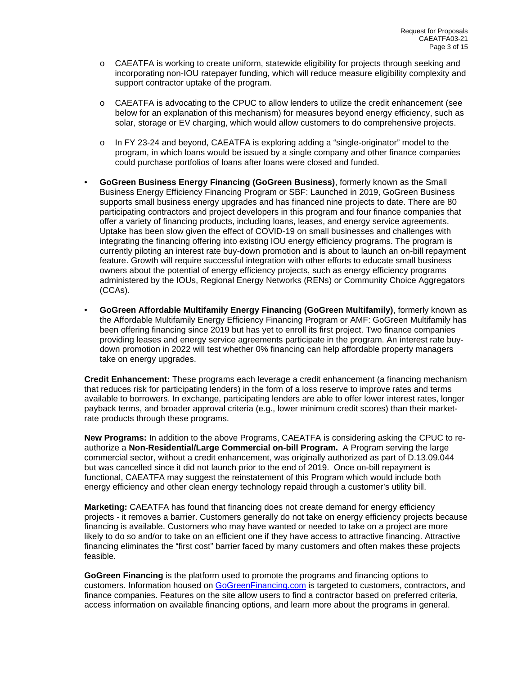- o CAEATFA is working to create uniform, statewide eligibility for projects through seeking and incorporating non-IOU ratepayer funding, which will reduce measure eligibility complexity and support contractor uptake of the program.
- o CAEATFA is advocating to the CPUC to allow lenders to utilize the credit enhancement (see below for an explanation of this mechanism) for measures beyond energy efficiency, such as solar, storage or EV charging, which would allow customers to do comprehensive projects.
- o In FY 23-24 and beyond, CAEATFA is exploring adding a "single-originator" model to the program, in which loans would be issued by a single company and other finance companies could purchase portfolios of loans after loans were closed and funded.
- **GoGreen Business Energy Financing (GoGreen Business)**, formerly known as the Small Business Energy Efficiency Financing Program or SBF: Launched in 2019, GoGreen Business supports small business energy upgrades and has financed nine projects to date. There are 80 participating contractors and project developers in this program and four finance companies that offer a variety of financing products, including loans, leases, and energy service agreements. Uptake has been slow given the effect of COVID-19 on small businesses and challenges with integrating the financing offering into existing IOU energy efficiency programs. The program is currently piloting an interest rate buy-down promotion and is about to launch an on-bill repayment feature. Growth will require successful integration with other efforts to educate small business owners about the potential of energy efficiency projects, such as energy efficiency programs administered by the IOUs, Regional Energy Networks (RENs) or Community Choice Aggregators (CCAs).
- **GoGreen Affordable Multifamily Energy Financing (GoGreen Multifamily)**, formerly known as the Affordable Multifamily Energy Efficiency Financing Program or AMF: GoGreen Multifamily has been offering financing since 2019 but has yet to enroll its first project. Two finance companies providing leases and energy service agreements participate in the program. An interest rate buydown promotion in 2022 will test whether 0% financing can help affordable property managers take on energy upgrades.

**Credit Enhancement:** These programs each leverage a credit enhancement (a financing mechanism that reduces risk for participating lenders) in the form of a loss reserve to improve rates and terms available to borrowers. In exchange, participating lenders are able to offer lower interest rates, longer payback terms, and broader approval criteria (e.g., lower minimum credit scores) than their marketrate products through these programs.

**New Programs:** In addition to the above Programs, CAEATFA is considering asking the CPUC to reauthorize a **Non-Residential/Large Commercial on-bill Program.** A Program serving the large commercial sector, without a credit enhancement, was originally authorized as part of D.13.09.044 but was cancelled since it did not launch prior to the end of 2019. Once on-bill repayment is functional, CAEATFA may suggest the reinstatement of this Program which would include both energy efficiency and other clean energy technology repaid through a customer's utility bill.

**Marketing:** CAEATFA has found that financing does not create demand for energy efficiency projects - it removes a barrier. Customers generally do not take on energy efficiency projects because financing is available. Customers who may have wanted or needed to take on a project are more likely to do so and/or to take on an efficient one if they have access to attractive financing. Attractive financing eliminates the "first cost" barrier faced by many customers and often makes these projects feasible.

**GoGreen Financing** is the platform used to promote the programs and financing options to customers. Information housed on [GoGreenFinancing.com](https://gogreenfinancing.com/) is targeted to customers, contractors, and finance companies. Features on the site allow users to find a contractor based on preferred criteria, access information on available financing options, and learn more about the programs in general.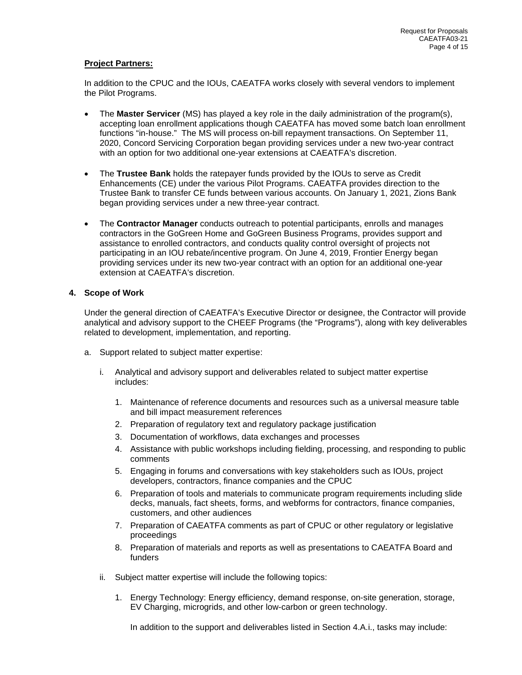# **Project Partners:**

In addition to the CPUC and the IOUs, CAEATFA works closely with several vendors to implement the Pilot Programs.

- The **Master Servicer** (MS) has played a key role in the daily administration of the program(s), accepting loan enrollment applications though CAEATFA has moved some batch loan enrollment functions "in-house." The MS will process on-bill repayment transactions. On September 11, 2020, Concord Servicing Corporation began providing services under a new two-year contract with an option for two additional one-year extensions at CAEATFA's discretion.
- The **Trustee Bank** holds the ratepayer funds provided by the IOUs to serve as Credit Enhancements (CE) under the various Pilot Programs. CAEATFA provides direction to the Trustee Bank to transfer CE funds between various accounts. On January 1, 2021, Zions Bank began providing services under a new three-year contract.
- The **Contractor Manager** conducts outreach to potential participants, enrolls and manages contractors in the GoGreen Home and GoGreen Business Programs, provides support and assistance to enrolled contractors, and conducts quality control oversight of projects not participating in an IOU rebate/incentive program. On June 4, 2019, Frontier Energy began providing services under its new two-year contract with an option for an additional one-year extension at CAEATFA's discretion.

# <span id="page-5-0"></span>**4. Scope of Work**

Under the general direction of CAEATFA's Executive Director or designee, the Contractor will provide analytical and advisory support to the CHEEF Programs (the "Programs"), along with key deliverables related to development, implementation, and reporting.

- a. Support related to subject matter expertise:
	- i. Analytical and advisory support and deliverables related to subject matter expertise includes:
		- 1. Maintenance of reference documents and resources such as a universal measure table and bill impact measurement references
		- 2. Preparation of regulatory text and regulatory package justification
		- 3. Documentation of workflows, data exchanges and processes
		- 4. Assistance with public workshops including fielding, processing, and responding to public comments
		- 5. Engaging in forums and conversations with key stakeholders such as IOUs, project developers, contractors, finance companies and the CPUC
		- 6. Preparation of tools and materials to communicate program requirements including slide decks, manuals, fact sheets, forms, and webforms for contractors, finance companies, customers, and other audiences
		- 7. Preparation of CAEATFA comments as part of CPUC or other regulatory or legislative proceedings
		- 8. Preparation of materials and reports as well as presentations to CAEATFA Board and funders
	- ii. Subject matter expertise will include the following topics:
		- 1. Energy Technology: Energy efficiency, demand response, on-site generation, storage, EV Charging, microgrids, and other low-carbon or green technology.

In addition to the support and deliverables listed in Section 4.A.i., tasks may include: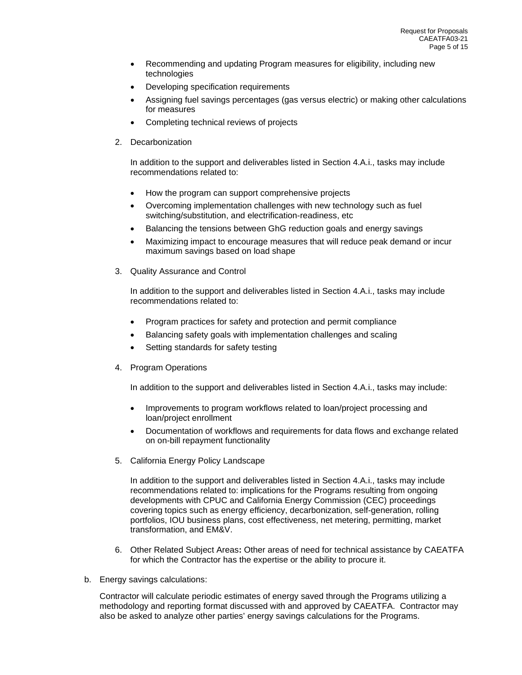- Recommending and updating Program measures for eligibility, including new technologies
- Developing specification requirements
- Assigning fuel savings percentages (gas versus electric) or making other calculations for measures
- Completing technical reviews of projects
- 2. Decarbonization

In addition to the support and deliverables listed in Section 4.A.i., tasks may include recommendations related to:

- How the program can support comprehensive projects
- Overcoming implementation challenges with new technology such as fuel switching/substitution, and electrification-readiness, etc
- Balancing the tensions between GhG reduction goals and energy savings
- Maximizing impact to encourage measures that will reduce peak demand or incur maximum savings based on load shape
- 3. Quality Assurance and Control

In addition to the support and deliverables listed in Section 4.A.i., tasks may include recommendations related to:

- Program practices for safety and protection and permit compliance
- Balancing safety goals with implementation challenges and scaling
- Setting standards for safety testing
- 4. Program Operations

In addition to the support and deliverables listed in Section 4.A.i., tasks may include:

- Improvements to program workflows related to loan/project processing and loan/project enrollment
- Documentation of workflows and requirements for data flows and exchange related on on-bill repayment functionality
- 5. California Energy Policy Landscape

In addition to the support and deliverables listed in Section 4.A.i., tasks may include recommendations related to: implications for the Programs resulting from ongoing developments with CPUC and California Energy Commission (CEC) proceedings covering topics such as energy efficiency, decarbonization, self-generation, rolling portfolios, IOU business plans, cost effectiveness, net metering, permitting, market transformation, and EM&V.

- 6. Other Related Subject Areas**:** Other areas of need for technical assistance by CAEATFA for which the Contractor has the expertise or the ability to procure it.
- b. Energy savings calculations:

Contractor will calculate periodic estimates of energy saved through the Programs utilizing a methodology and reporting format discussed with and approved by CAEATFA. Contractor may also be asked to analyze other parties' energy savings calculations for the Programs.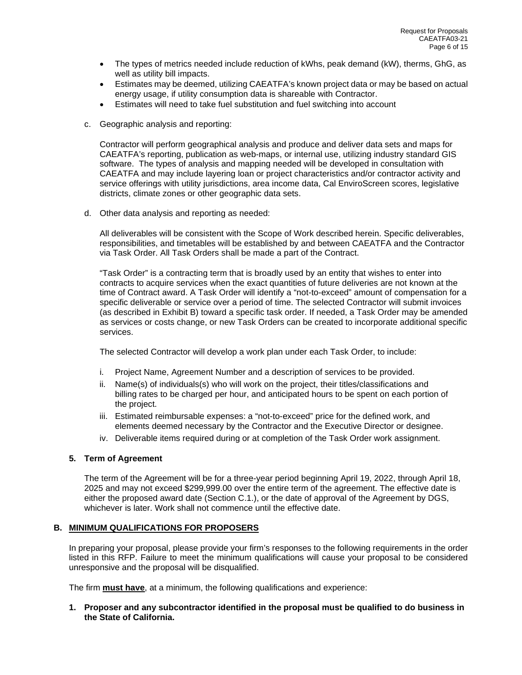- The types of metrics needed include reduction of kWhs, peak demand (kW), therms, GhG, as well as utility bill impacts.
- Estimates may be deemed, utilizing CAEATFA's known project data or may be based on actual energy usage, if utility consumption data is shareable with Contractor.
- Estimates will need to take fuel substitution and fuel switching into account
- c. Geographic analysis and reporting:

Contractor will perform geographical analysis and produce and deliver data sets and maps for CAEATFA's reporting, publication as web-maps, or internal use, utilizing industry standard GIS software. The types of analysis and mapping needed will be developed in consultation with CAEATFA and may include layering loan or project characteristics and/or contractor activity and service offerings with utility jurisdictions, area income data, Cal EnviroScreen scores, legislative districts, climate zones or other geographic data sets.

d. Other data analysis and reporting as needed:

All deliverables will be consistent with the Scope of Work described herein. Specific deliverables, responsibilities, and timetables will be established by and between CAEATFA and the Contractor via Task Order. All Task Orders shall be made a part of the Contract.

"Task Order" is a contracting term that is broadly used by an entity that wishes to enter into contracts to acquire services when the exact quantities of future deliveries are not known at the time of Contract award. A Task Order will identify a "not-to-exceed" amount of compensation for a specific deliverable or service over a period of time. The selected Contractor will submit invoices (as described in Exhibit B) toward a specific task order. If needed, a Task Order may be amended as services or costs change, or new Task Orders can be created to incorporate additional specific services.

The selected Contractor will develop a work plan under each Task Order, to include:

- i. Project Name, Agreement Number and a description of services to be provided.
- ii. Name(s) of individuals(s) who will work on the project, their titles/classifications and billing rates to be charged per hour, and anticipated hours to be spent on each portion of the project.
- iii. Estimated reimbursable expenses: a "not-to-exceed" price for the defined work, and elements deemed necessary by the Contractor and the Executive Director or designee.
- iv. Deliverable items required during or at completion of the Task Order work assignment.

#### <span id="page-7-0"></span>**5. Term of Agreement**

The term of the Agreement will be for a three-year period beginning April 19, 2022, through April 18, 2025 and may not exceed \$299,999.00 over the entire term of the agreement. The effective date is either the proposed award date (Section C.1.), or the date of approval of the Agreement by DGS, whichever is later. Work shall not commence until the effective date.

#### <span id="page-7-1"></span>**B. MINIMUM QUALIFICATIONS FOR PROPOSERS**

In preparing your proposal, please provide your firm's responses to the following requirements in the order listed in this RFP. Failure to meet the minimum qualifications will cause your proposal to be considered unresponsive and the proposal will be disqualified.

The firm **must have**, at a minimum, the following qualifications and experience:

**1. Proposer and any subcontractor identified in the proposal must be qualified to do business in the State of California.**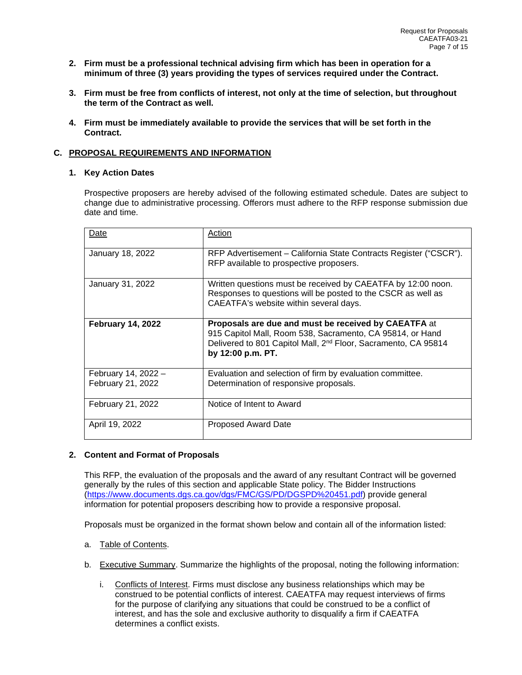- **2. Firm must be a professional technical advising firm which has been in operation for a minimum of three (3) years providing the types of services required under the Contract.**
- **3. Firm must be free from conflicts of interest, not only at the time of selection, but throughout the term of the Contract as well.**
- **4. Firm must be immediately available to provide the services that will be set forth in the Contract.**

## <span id="page-8-0"></span>**C. PROPOSAL REQUIREMENTS AND INFORMATION**

## <span id="page-8-1"></span>**1. Key Action Dates**

Prospective proposers are hereby advised of the following estimated schedule. Dates are subject to change due to administrative processing. Offerors must adhere to the RFP response submission due date and time.

| Date                                     | Action                                                                                                                                                                                                               |
|------------------------------------------|----------------------------------------------------------------------------------------------------------------------------------------------------------------------------------------------------------------------|
| January 18, 2022                         | RFP Advertisement – California State Contracts Register ("CSCR").<br>RFP available to prospective proposers.                                                                                                         |
| January 31, 2022                         | Written questions must be received by CAEATFA by 12:00 noon.<br>Responses to questions will be posted to the CSCR as well as<br>CAEATFA's website within several days.                                               |
| <b>February 14, 2022</b>                 | Proposals are due and must be received by CAEATFA at<br>915 Capitol Mall, Room 538, Sacramento, CA 95814, or Hand<br>Delivered to 801 Capitol Mall, 2 <sup>nd</sup> Floor, Sacramento, CA 95814<br>by 12:00 p.m. PT. |
| February 14, 2022 -<br>February 21, 2022 | Evaluation and selection of firm by evaluation committee.<br>Determination of responsive proposals.                                                                                                                  |
| February 21, 2022                        | Notice of Intent to Award                                                                                                                                                                                            |
| April 19, 2022                           | Proposed Award Date                                                                                                                                                                                                  |

#### <span id="page-8-2"></span>**2. Content and Format of Proposals**

This RFP, the evaluation of the proposals and the award of any resultant Contract will be governed generally by the rules of this section and applicable State policy. The Bidder Instructions [\(https://www.documents.dgs.ca.gov/dgs/FMC/GS/PD/DGSPD%20451.pdf\)](https://www.documents.dgs.ca.gov/dgs/FMC/GS/PD/DGSPD%20451.pdf) provide general information for potential proposers describing how to provide a responsive proposal.

Proposals must be organized in the format shown below and contain all of the information listed:

- a. Table of Contents.
- b. Executive Summary. Summarize the highlights of the proposal, noting the following information:
	- i. Conflicts of Interest. Firms must disclose any business relationships which may be construed to be potential conflicts of interest. CAEATFA may request interviews of firms for the purpose of clarifying any situations that could be construed to be a conflict of interest, and has the sole and exclusive authority to disqualify a firm if CAEATFA determines a conflict exists.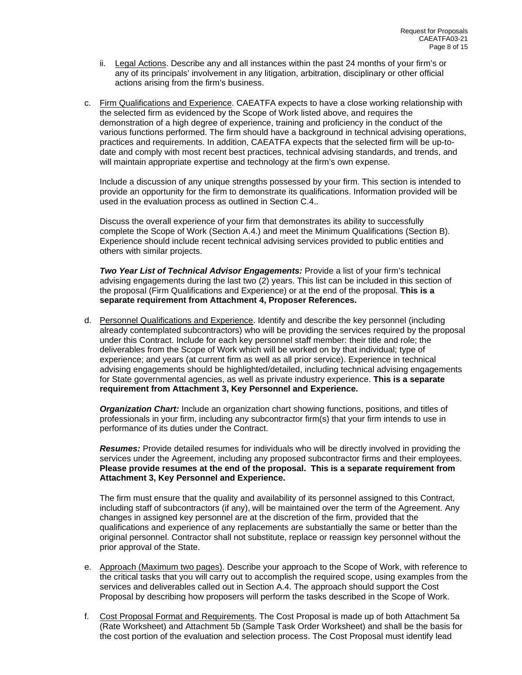- ii. Legal Actions. Describe any and all instances within the past 24 months of your firm's or any of its principals' involvement in any litigation, arbitration, disciplinary or other official actions arising from the firm's business.
- c. Firm Qualifications and Experience. CAEATFA expects to have a close working relationship with the selected firm as evidenced by the Scope of Work listed above, and requires the demonstration of a high degree of experience, training and proficiency in the conduct of the various functions performed. The firm should have a background in technical advising operations, practices and requirements. In addition, CAEATFA expects that the selected firm will be up-todate and comply with most recent best practices, technical advising standards, and trends, and will maintain appropriate expertise and technology at the firm's own expense.

Include a discussion of any unique strengths possessed by your firm. This section is intended to provide an opportunity for the firm to demonstrate its qualifications. Information provided will be used in the evaluation process as outlined in Section C.4..

Discuss the overall experience of your firm that demonstrates its ability to successfully complete the Scope of Work (Section A.4.) and meet the Minimum Qualifications (Section B). Experience should include recent technical advising services provided to public entities and others with similar projects.

*Two Year List of Technical Advisor Engagements:* Provide a list of your firm's technical advising engagements during the last two (2) years. This list can be included in this section of the proposal (Firm Qualifications and Experience) or at the end of the proposal. **This is a separate requirement from Attachment 4, Proposer References.** 

d. Personnel Qualifications and Experience. Identify and describe the key personnel (including already contemplated subcontractors) who will be providing the services required by the proposal under this Contract. Include for each key personnel staff member: their title and role; the deliverables from the Scope of Work which will be worked on by that individual; type of experience; and years (at current firm as well as all prior service). Experience in technical advising engagements should be highlighted/detailed, including technical advising engagements for State governmental agencies, as well as private industry experience. **This is a separate requirement from Attachment 3, Key Personnel and Experience.** 

*Organization Chart:* Include an organization chart showing functions, positions, and titles of professionals in your firm, including any subcontractor firm(s) that your firm intends to use in performance of its duties under the Contract.

*Resumes:* Provide detailed resumes for individuals who will be directly involved in providing the services under the Agreement, including any proposed subcontractor firms and their employees. **Please provide resumes at the end of the proposal. This is a separate requirement from Attachment 3, Key Personnel and Experience.** 

The firm must ensure that the quality and availability of its personnel assigned to this Contract, including staff of subcontractors (if any), will be maintained over the term of the Agreement. Any changes in assigned key personnel are at the discretion of the firm, provided that the qualifications and experience of any replacements are substantially the same or better than the original personnel. Contractor shall not substitute, replace or reassign key personnel without the prior approval of the State.

- e. Approach (Maximum two pages). Describe your approach to the Scope of Work, with reference to the critical tasks that you will carry out to accomplish the required scope, using examples from the services and deliverables called out in Section A.4. The approach should support the Cost Proposal by describing how proposers will perform the tasks described in the Scope of Work.
- f. Cost Proposal Format and Requirements. The Cost Proposal is made up of both Attachment 5a (Rate Worksheet) and Attachment 5b (Sample Task Order Worksheet) and shall be the basis for the cost portion of the evaluation and selection process. The Cost Proposal must identify lead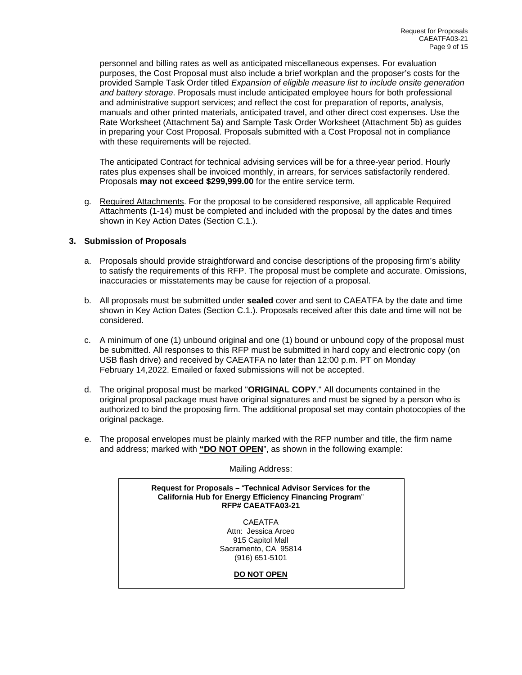personnel and billing rates as well as anticipated miscellaneous expenses. For evaluation purposes, the Cost Proposal must also include a brief workplan and the proposer's costs for the provided Sample Task Order titled *Expansion of eligible measure list to include onsite generation and battery storage*. Proposals must include anticipated employee hours for both professional and administrative support services; and reflect the cost for preparation of reports, analysis, manuals and other printed materials, anticipated travel, and other direct cost expenses. Use the Rate Worksheet (Attachment 5a) and Sample Task Order Worksheet (Attachment 5b) as guides in preparing your Cost Proposal. Proposals submitted with a Cost Proposal not in compliance with these requirements will be rejected.

The anticipated Contract for technical advising services will be for a three-year period. Hourly rates plus expenses shall be invoiced monthly, in arrears, for services satisfactorily rendered. Proposals **may not exceed \$299,999.00** for the entire service term.

g. Required Attachments. For the proposal to be considered responsive, all applicable Required Attachments (1-14) must be completed and included with the proposal by the dates and times shown in Key Action Dates (Section C.1.).

# <span id="page-10-0"></span>**3. Submission of Proposals**

- a. Proposals should provide straightforward and concise descriptions of the proposing firm's ability to satisfy the requirements of this RFP. The proposal must be complete and accurate. Omissions, inaccuracies or misstatements may be cause for rejection of a proposal.
- b. All proposals must be submitted under **sealed** cover and sent to CAEATFA by the date and time shown in Key Action Dates (Section C.1.). Proposals received after this date and time will not be considered.
- c. A minimum of one (1) unbound original and one (1) bound or unbound copy of the proposal must be submitted. All responses to this RFP must be submitted in hard copy and electronic copy (on USB flash drive) and received by CAEATFA no later than 12:00 p.m. PT on Monday February 14,2022. Emailed or faxed submissions will not be accepted.
- d. The original proposal must be marked "**ORIGINAL COPY**." All documents contained in the original proposal package must have original signatures and must be signed by a person who is authorized to bind the proposing firm. The additional proposal set may contain photocopies of the original package.
- e. The proposal envelopes must be plainly marked with the RFP number and title, the firm name and address; marked with "DO NOT OPEN", as shown in the following example:

Mailing Address:

**Request for Proposals –** "**Technical Advisor Services for the California Hub for Energy Efficiency Financing Program**" **RFP# CAEATFA03-21**

> CAEATFA Attn: Jessica Arceo 915 Capitol Mall Sacramento, CA 95814 (916) 651-5101

> > **DO NOT OPEN**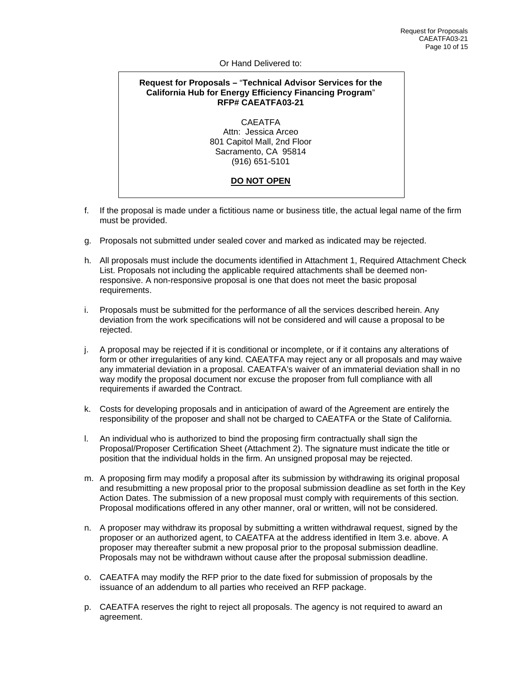#### Or Hand Delivered to:

# **Request for Proposals –** "**Technical Advisor Services for the California Hub for Energy Efficiency Financing Program**" **RFP# CAEATFA03-21**

CAEATFA Attn: Jessica Arceo 801 Capitol Mall, 2nd Floor Sacramento, CA 95814 (916) 651-5101

# **DO NOT OPEN**

- f. If the proposal is made under a fictitious name or business title, the actual legal name of the firm must be provided.
- g. Proposals not submitted under sealed cover and marked as indicated may be rejected.
- h. All proposals must include the documents identified in Attachment 1, Required Attachment Check List. Proposals not including the applicable required attachments shall be deemed nonresponsive. A non-responsive proposal is one that does not meet the basic proposal requirements.
- i. Proposals must be submitted for the performance of all the services described herein. Any deviation from the work specifications will not be considered and will cause a proposal to be rejected.
- j. A proposal may be rejected if it is conditional or incomplete, or if it contains any alterations of form or other irregularities of any kind. CAEATFA may reject any or all proposals and may waive any immaterial deviation in a proposal. CAEATFA's waiver of an immaterial deviation shall in no way modify the proposal document nor excuse the proposer from full compliance with all requirements if awarded the Contract.
- k. Costs for developing proposals and in anticipation of award of the Agreement are entirely the responsibility of the proposer and shall not be charged to CAEATFA or the State of California.
- l. An individual who is authorized to bind the proposing firm contractually shall sign the Proposal/Proposer Certification Sheet (Attachment 2). The signature must indicate the title or position that the individual holds in the firm. An unsigned proposal may be rejected.
- m. A proposing firm may modify a proposal after its submission by withdrawing its original proposal and resubmitting a new proposal prior to the proposal submission deadline as set forth in the Key Action Dates. The submission of a new proposal must comply with requirements of this section. Proposal modifications offered in any other manner, oral or written, will not be considered.
- n. A proposer may withdraw its proposal by submitting a written withdrawal request, signed by the proposer or an authorized agent, to CAEATFA at the address identified in Item 3.e. above. A proposer may thereafter submit a new proposal prior to the proposal submission deadline. Proposals may not be withdrawn without cause after the proposal submission deadline.
- o. CAEATFA may modify the RFP prior to the date fixed for submission of proposals by the issuance of an addendum to all parties who received an RFP package.
- p. CAEATFA reserves the right to reject all proposals. The agency is not required to award an agreement.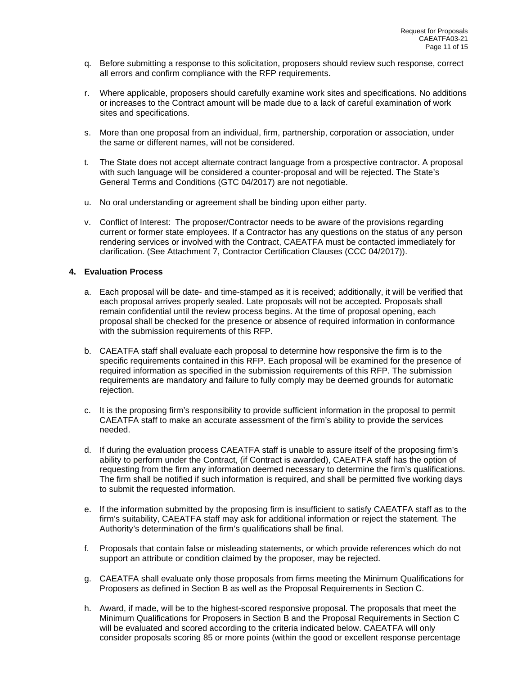- q. Before submitting a response to this solicitation, proposers should review such response, correct all errors and confirm compliance with the RFP requirements.
- r. Where applicable, proposers should carefully examine work sites and specifications. No additions or increases to the Contract amount will be made due to a lack of careful examination of work sites and specifications.
- s. More than one proposal from an individual, firm, partnership, corporation or association, under the same or different names, will not be considered.
- t. The State does not accept alternate contract language from a prospective contractor. A proposal with such language will be considered a counter-proposal and will be rejected. The State's General Terms and Conditions (GTC 04/2017) are not negotiable.
- u. No oral understanding or agreement shall be binding upon either party.
- v. Conflict of Interest: The proposer/Contractor needs to be aware of the provisions regarding current or former state employees. If a Contractor has any questions on the status of any person rendering services or involved with the Contract, CAEATFA must be contacted immediately for clarification. (See Attachment 7, Contractor Certification Clauses (CCC 04/2017)).

## <span id="page-12-0"></span>**4. Evaluation Process**

- a. Each proposal will be date- and time-stamped as it is received; additionally, it will be verified that each proposal arrives properly sealed. Late proposals will not be accepted. Proposals shall remain confidential until the review process begins. At the time of proposal opening, each proposal shall be checked for the presence or absence of required information in conformance with the submission requirements of this RFP.
- b. CAEATFA staff shall evaluate each proposal to determine how responsive the firm is to the specific requirements contained in this RFP. Each proposal will be examined for the presence of required information as specified in the submission requirements of this RFP. The submission requirements are mandatory and failure to fully comply may be deemed grounds for automatic rejection.
- c. It is the proposing firm's responsibility to provide sufficient information in the proposal to permit CAEATFA staff to make an accurate assessment of the firm's ability to provide the services needed.
- d. If during the evaluation process CAEATFA staff is unable to assure itself of the proposing firm's ability to perform under the Contract, (if Contract is awarded), CAEATFA staff has the option of requesting from the firm any information deemed necessary to determine the firm's qualifications. The firm shall be notified if such information is required, and shall be permitted five working days to submit the requested information.
- e. If the information submitted by the proposing firm is insufficient to satisfy CAEATFA staff as to the firm's suitability, CAEATFA staff may ask for additional information or reject the statement. The Authority's determination of the firm's qualifications shall be final.
- f. Proposals that contain false or misleading statements, or which provide references which do not support an attribute or condition claimed by the proposer, may be rejected.
- g. CAEATFA shall evaluate only those proposals from firms meeting the Minimum Qualifications for Proposers as defined in Section B as well as the Proposal Requirements in Section C.
- h. Award, if made, will be to the highest-scored responsive proposal. The proposals that meet the Minimum Qualifications for Proposers in Section B and the Proposal Requirements in Section C will be evaluated and scored according to the criteria indicated below. CAEATFA will only consider proposals scoring 85 or more points (within the good or excellent response percentage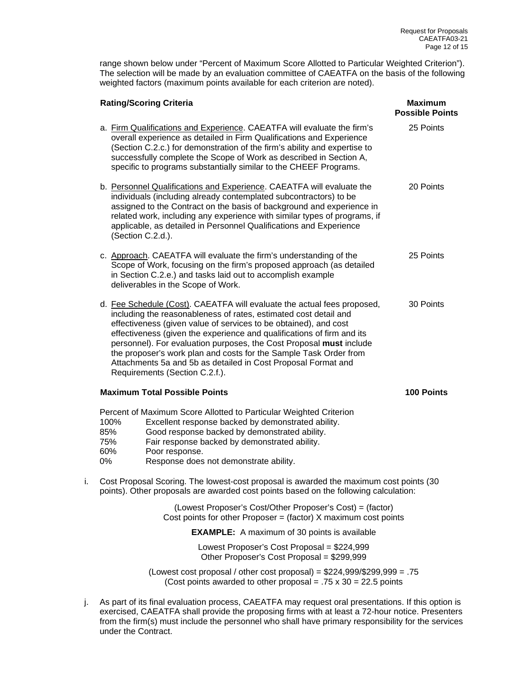range shown below under "Percent of Maximum Score Allotted to Particular Weighted Criterion"). The selection will be made by an evaluation committee of CAEATFA on the basis of the following weighted factors (maximum points available for each criterion are noted).

|    | <b>Rating/Scoring Criteria</b>                                                                                                                                                                                                                                                                                                                                                                                                                                                                                                           | Maximum<br><b>Possible Points</b> |
|----|------------------------------------------------------------------------------------------------------------------------------------------------------------------------------------------------------------------------------------------------------------------------------------------------------------------------------------------------------------------------------------------------------------------------------------------------------------------------------------------------------------------------------------------|-----------------------------------|
|    | a. Firm Qualifications and Experience. CAEATFA will evaluate the firm's<br>overall experience as detailed in Firm Qualifications and Experience<br>(Section C.2.c.) for demonstration of the firm's ability and expertise to<br>successfully complete the Scope of Work as described in Section A,<br>specific to programs substantially similar to the CHEEF Programs.                                                                                                                                                                  | 25 Points                         |
|    | b. Personnel Qualifications and Experience. CAEATFA will evaluate the<br>individuals (including already contemplated subcontractors) to be<br>assigned to the Contract on the basis of background and experience in<br>related work, including any experience with similar types of programs, if<br>applicable, as detailed in Personnel Qualifications and Experience<br>(Section C.2.d.).                                                                                                                                              | 20 Points                         |
|    | c. Approach. CAEATFA will evaluate the firm's understanding of the<br>Scope of Work, focusing on the firm's proposed approach (as detailed<br>in Section C.2.e.) and tasks laid out to accomplish example<br>deliverables in the Scope of Work.                                                                                                                                                                                                                                                                                          | 25 Points                         |
|    | d. Fee Schedule (Cost). CAEATFA will evaluate the actual fees proposed,<br>including the reasonableness of rates, estimated cost detail and<br>effectiveness (given value of services to be obtained), and cost<br>effectiveness (given the experience and qualifications of firm and its<br>personnel). For evaluation purposes, the Cost Proposal must include<br>the proposer's work plan and costs for the Sample Task Order from<br>Attachments 5a and 5b as detailed in Cost Proposal Format and<br>Requirements (Section C.2.f.). | 30 Points                         |
|    | <b>Maximum Total Possible Points</b>                                                                                                                                                                                                                                                                                                                                                                                                                                                                                                     | 100 Points                        |
|    | Percent of Maximum Score Allotted to Particular Weighted Criterion<br>100%<br>Excellent response backed by demonstrated ability.<br>85%<br>Good response backed by demonstrated ability.<br>75%<br>Fair response backed by demonstrated ability.<br>60%<br>Poor response.<br>Response does not demonstrate ability.<br>0%                                                                                                                                                                                                                |                                   |
| i. | Cost Proposal Scoring. The lowest-cost proposal is awarded the maximum cost points (30<br>points). Other proposals are awarded cost points based on the following calculation:                                                                                                                                                                                                                                                                                                                                                           |                                   |
|    | (Lowest Proposer's Cost/Other Proposer's Cost) = (factor)<br>Cost points for other Proposer = (factor) $X$ maximum cost points                                                                                                                                                                                                                                                                                                                                                                                                           |                                   |
|    | <b>EXAMPLE:</b> A maximum of 30 points is available                                                                                                                                                                                                                                                                                                                                                                                                                                                                                      |                                   |
|    | Lowest Proposer's Cost Proposal = \$224,999<br>Other Proposer's Cost Proposal = \$299,999                                                                                                                                                                                                                                                                                                                                                                                                                                                |                                   |
|    | (Lowest cost proposal / other cost proposal) = $$224,999$ /\$299,999 = .75<br>(Cost points awarded to other proposal = $.75 \times 30 = 22.5$ points                                                                                                                                                                                                                                                                                                                                                                                     |                                   |

j. As part of its final evaluation process, CAEATFA may request oral presentations. If this option is exercised, CAEATFA shall provide the proposing firms with at least a 72-hour notice. Presenters from the firm(s) must include the personnel who shall have primary responsibility for the services under the Contract.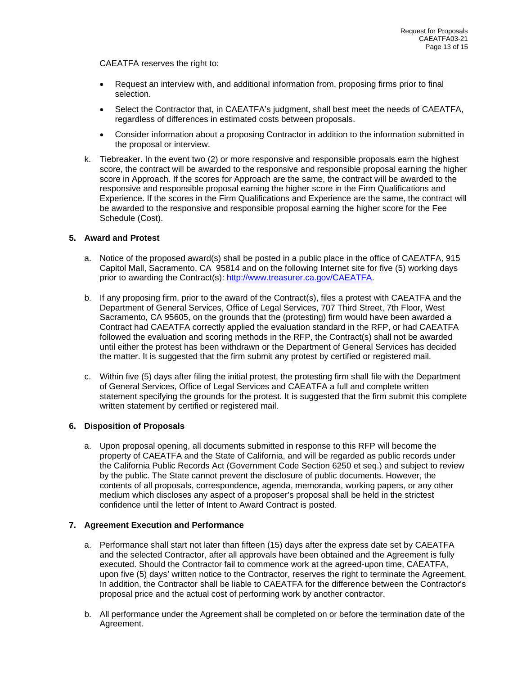CAEATFA reserves the right to:

- Request an interview with, and additional information from, proposing firms prior to final selection.
- Select the Contractor that, in CAEATFA's judgment, shall best meet the needs of CAEATFA, regardless of differences in estimated costs between proposals.
- Consider information about a proposing Contractor in addition to the information submitted in the proposal or interview.
- k. Tiebreaker. In the event two (2) or more responsive and responsible proposals earn the highest score, the contract will be awarded to the responsive and responsible proposal earning the higher score in Approach. If the scores for Approach are the same, the contract will be awarded to the responsive and responsible proposal earning the higher score in the Firm Qualifications and Experience. If the scores in the Firm Qualifications and Experience are the same, the contract will be awarded to the responsive and responsible proposal earning the higher score for the Fee Schedule (Cost).

# <span id="page-14-0"></span>**5. Award and Protest**

- a. Notice of the proposed award(s) shall be posted in a public place in the office of CAEATFA, 915 Capitol Mall, Sacramento, CA 95814 and on the following Internet site for five (5) working days prior to awarding the Contract(s): [http://www.treasurer.ca.gov/CAEATFA.](http://www.treasurer.ca.gov/CAEATFA)
- b. If any proposing firm, prior to the award of the Contract(s), files a protest with CAEATFA and the Department of General Services, Office of Legal Services, 707 Third Street, 7th Floor, West Sacramento, CA 95605, on the grounds that the (protesting) firm would have been awarded a Contract had CAEATFA correctly applied the evaluation standard in the RFP, or had CAEATFA followed the evaluation and scoring methods in the RFP, the Contract(s) shall not be awarded until either the protest has been withdrawn or the Department of General Services has decided the matter. It is suggested that the firm submit any protest by certified or registered mail.
- c. Within five (5) days after filing the initial protest, the protesting firm shall file with the Department of General Services, Office of Legal Services and CAEATFA a full and complete written statement specifying the grounds for the protest. It is suggested that the firm submit this complete written statement by certified or registered mail.

# <span id="page-14-1"></span>**6. Disposition of Proposals**

a. Upon proposal opening, all documents submitted in response to this RFP will become the property of CAEATFA and the State of California, and will be regarded as public records under the California Public Records Act (Government Code Section 6250 et seq.) and subject to review by the public. The State cannot prevent the disclosure of public documents. However, the contents of all proposals, correspondence, agenda, memoranda, working papers, or any other medium which discloses any aspect of a proposer's proposal shall be held in the strictest confidence until the letter of Intent to Award Contract is posted.

# <span id="page-14-2"></span>**7. Agreement Execution and Performance**

- a. Performance shall start not later than fifteen (15) days after the express date set by CAEATFA and the selected Contractor, after all approvals have been obtained and the Agreement is fully executed. Should the Contractor fail to commence work at the agreed-upon time, CAEATFA, upon five (5) days' written notice to the Contractor, reserves the right to terminate the Agreement. In addition, the Contractor shall be liable to CAEATFA for the difference between the Contractor's proposal price and the actual cost of performing work by another contractor.
- b. All performance under the Agreement shall be completed on or before the termination date of the Agreement.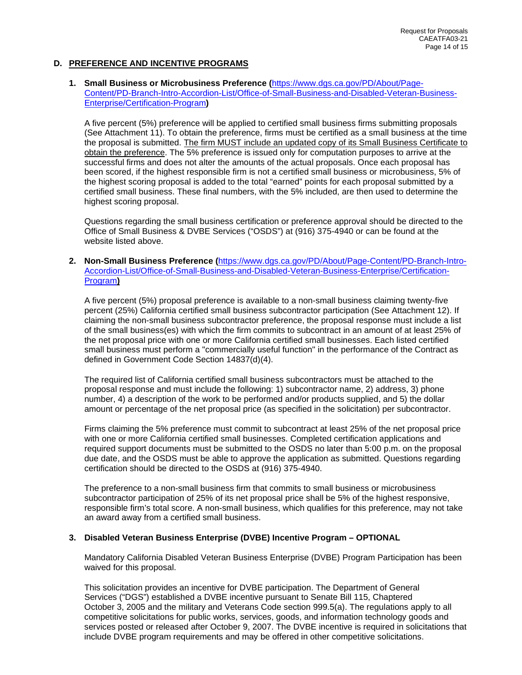# <span id="page-15-0"></span>**D. PREFERENCE AND INCENTIVE PROGRAMS**

#### <span id="page-15-1"></span>**1. Small Business or Microbusiness Preference (**[https://www.dgs.ca.gov/PD/About/Page-](https://www.dgs.ca.gov/PD/About/Page-Content/PD-Branch-Intro-Accordion-List/Office-of-Small-Business-and-Disabled-Veteran-Business-Enterprise/Certification-Program)[Content/PD-Branch-Intro-Accordion-List/Office-of-Small-Business-and-Disabled-Veteran-Business-](https://www.dgs.ca.gov/PD/About/Page-Content/PD-Branch-Intro-Accordion-List/Office-of-Small-Business-and-Disabled-Veteran-Business-Enterprise/Certification-Program)[Enterprise/Certification-Program](https://www.dgs.ca.gov/PD/About/Page-Content/PD-Branch-Intro-Accordion-List/Office-of-Small-Business-and-Disabled-Veteran-Business-Enterprise/Certification-Program)**)**

A five percent (5%) preference will be applied to certified small business firms submitting proposals (See Attachment 11). To obtain the preference, firms must be certified as a small business at the time the proposal is submitted. The firm MUST include an updated copy of its Small Business Certificate to obtain the preference. The 5% preference is issued only for computation purposes to arrive at the successful firms and does not alter the amounts of the actual proposals. Once each proposal has been scored, if the highest responsible firm is not a certified small business or microbusiness, 5% of the highest scoring proposal is added to the total "earned" points for each proposal submitted by a certified small business. These final numbers, with the 5% included, are then used to determine the highest scoring proposal.

Questions regarding the small business certification or preference approval should be directed to the Office of Small Business & DVBE Services ("OSDS") at (916) 375-4940 or can be found at the website listed above.

#### <span id="page-15-2"></span>**2. Non-Small Business Preference (**[https://www.dgs.ca.gov/PD/About/Page-Content/PD-Branch-Intro-](https://www.dgs.ca.gov/PD/About/Page-Content/PD-Branch-Intro-Accordion-List/Office-of-Small-Business-and-Disabled-Veteran-Business-Enterprise/Certification-Program)[Accordion-List/Office-of-Small-Business-and-Disabled-Veteran-Business-Enterprise/Certification-](https://www.dgs.ca.gov/PD/About/Page-Content/PD-Branch-Intro-Accordion-List/Office-of-Small-Business-and-Disabled-Veteran-Business-Enterprise/Certification-Program)[Program](https://www.dgs.ca.gov/PD/About/Page-Content/PD-Branch-Intro-Accordion-List/Office-of-Small-Business-and-Disabled-Veteran-Business-Enterprise/Certification-Program)**)**

A five percent (5%) proposal preference is available to a non-small business claiming twenty-five percent (25%) California certified small business subcontractor participation (See Attachment 12). If claiming the non-small business subcontractor preference, the proposal response must include a list of the small business(es) with which the firm commits to subcontract in an amount of at least 25% of the net proposal price with one or more California certified small businesses. Each listed certified small business must perform a "commercially useful function" in the performance of the Contract as defined in Government Code Section 14837(d)(4).

The required list of California certified small business subcontractors must be attached to the proposal response and must include the following: 1) subcontractor name, 2) address, 3) phone number, 4) a description of the work to be performed and/or products supplied, and 5) the dollar amount or percentage of the net proposal price (as specified in the solicitation) per subcontractor.

Firms claiming the 5% preference must commit to subcontract at least 25% of the net proposal price with one or more California certified small businesses. Completed certification applications and required support documents must be submitted to the OSDS no later than 5:00 p.m. on the proposal due date, and the OSDS must be able to approve the application as submitted. Questions regarding certification should be directed to the OSDS at (916) 375-4940.

The preference to a non-small business firm that commits to small business or microbusiness subcontractor participation of 25% of its net proposal price shall be 5% of the highest responsive, responsible firm's total score. A non-small business, which qualifies for this preference, may not take an award away from a certified small business.

#### <span id="page-15-3"></span>**3. Disabled Veteran Business Enterprise (DVBE) Incentive Program – OPTIONAL**

Mandatory California Disabled Veteran Business Enterprise (DVBE) Program Participation has been waived for this proposal.

This solicitation provides an incentive for DVBE participation. The Department of General Services ("DGS") established a DVBE incentive pursuant to Senate Bill 115, Chaptered October 3, 2005 and the military and Veterans Code section 999.5(a). The regulations apply to all competitive solicitations for public works, services, goods, and information technology goods and services posted or released after October 9, 2007. The DVBE incentive is required in solicitations that include DVBE program requirements and may be offered in other competitive solicitations.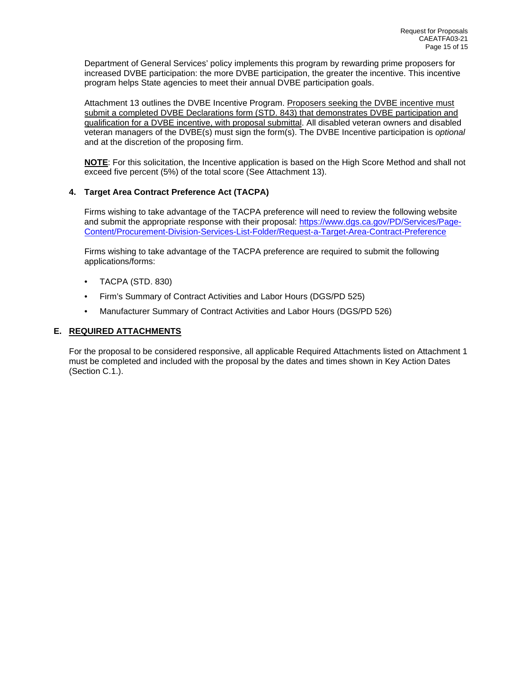Department of General Services' policy implements this program by rewarding prime proposers for increased DVBE participation: the more DVBE participation, the greater the incentive. This incentive program helps State agencies to meet their annual DVBE participation goals.

Attachment 13 outlines the DVBE Incentive Program. Proposers seeking the DVBE incentive must submit a completed DVBE Declarations form (STD. 843) that demonstrates DVBE participation and qualification for a DVBE incentive, with proposal submittal. All disabled veteran owners and disabled veteran managers of the DVBE(s) must sign the form(s). The DVBE Incentive participation is *optional* and at the discretion of the proposing firm.

**NOTE**: For this solicitation, the Incentive application is based on the High Score Method and shall not exceed five percent (5%) of the total score (See Attachment 13).

# **4. Target Area Contract Preference Act (TACPA)**

Firms wishing to take advantage of the TACPA preference will need to review the following website and submit the appropriate response with their proposal: [https://www.dgs.ca.gov/PD/Services/Page-](https://www.dgs.ca.gov/PD/Services/Page-Content/Procurement-Division-Services-List-Folder/Request-a-Target-Area-Contract-Preference)[Content/Procurement-Division-Services-List-Folder/Request-a-Target-Area-Contract-Preference](https://www.dgs.ca.gov/PD/Services/Page-Content/Procurement-Division-Services-List-Folder/Request-a-Target-Area-Contract-Preference)

Firms wishing to take advantage of the TACPA preference are required to submit the following applications/forms:

- TACPA (STD. 830)
- Firm's Summary of Contract Activities and Labor Hours (DGS/PD 525)
- Manufacturer Summary of Contract Activities and Labor Hours (DGS/PD 526)

# <span id="page-16-0"></span>**E. REQUIRED ATTACHMENTS**

For the proposal to be considered responsive, all applicable Required Attachments listed on Attachment 1 must be completed and included with the proposal by the dates and times shown in Key Action Dates (Section C.1.).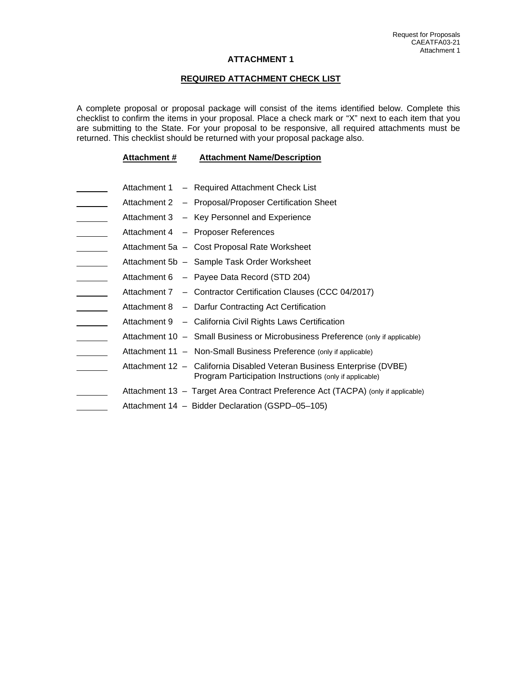#### **REQUIRED ATTACHMENT CHECK LIST**

A complete proposal or proposal package will consist of the items identified below. Complete this checklist to confirm the items in your proposal. Place a check mark or "X" next to each item that you are submitting to the State. For your proposal to be responsive, all required attachments must be returned. This checklist should be returned with your proposal package also.

#### **Attachment # Attachment Name/Description**

- Attachment 1 Required Attachment Check List
- Attachment 2 Proposal/Proposer Certification Sheet
- Attachment 3 Key Personnel and Experience
- Attachment 4 Proposer References
- Attachment 5a Cost Proposal Rate Worksheet
- Attachment 5b Sample Task Order Worksheet
- Attachment 6 Payee Data Record (STD 204)
- Attachment 7 Contractor Certification Clauses (CCC 04/2017)
- Attachment 8 Darfur Contracting Act Certification <u>and the state</u>
- Attachment 9 California Civil Rights Laws Certification
- Attachment 10 – Small Business or Microbusiness Preference (only if applicable)
- Attachment 11 Non-Small Business Preference (only if applicable)
- Attachment 12 California Disabled Veteran Business Enterprise (DVBE) Program Participation Instructions (only if applicable)
	- Attachment 13 Target Area Contract Preference Act (TACPA) (only if applicable)
- Attachment 14 Bidder Declaration (GSPD–05–105)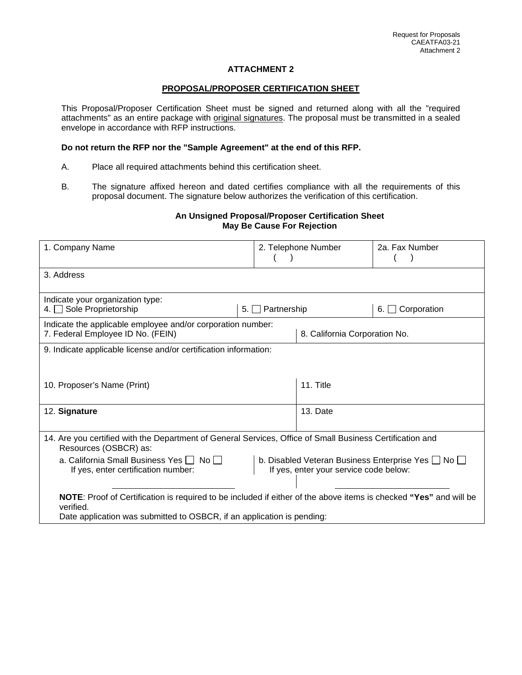#### **PROPOSAL/PROPOSER CERTIFICATION SHEET**

This Proposal/Proposer Certification Sheet must be signed and returned along with all the "required attachments" as an entire package with original signatures. The proposal must be transmitted in a sealed envelope in accordance with RFP instructions.

## **Do not return the RFP nor the "Sample Agreement" at the end of this RFP.**

- A. Place all required attachments behind this certification sheet.
- B. The signature affixed hereon and dated certifies compliance with all the requirements of this proposal document. The signature below authorizes the verification of this certification.

#### **An Unsigned Proposal/Proposer Certification Sheet May Be Cause For Rejection**

| 1. Company Name                                                                                                                                                                                          |                                                                  | 2. Telephone Number           | 2a. Fax Number      |  |  |
|----------------------------------------------------------------------------------------------------------------------------------------------------------------------------------------------------------|------------------------------------------------------------------|-------------------------------|---------------------|--|--|
| 3. Address                                                                                                                                                                                               |                                                                  |                               |                     |  |  |
| Indicate your organization type:<br>4. Sole Proprietorship                                                                                                                                               | Partnership<br>5.1                                               |                               | Corporation<br>6. I |  |  |
| Indicate the applicable employee and/or corporation number:<br>7. Federal Employee ID No. (FEIN)                                                                                                         |                                                                  | 8. California Corporation No. |                     |  |  |
|                                                                                                                                                                                                          | 9. Indicate applicable license and/or certification information: |                               |                     |  |  |
| 11. Title<br>10. Proposer's Name (Print)                                                                                                                                                                 |                                                                  |                               |                     |  |  |
| 12. Signature                                                                                                                                                                                            |                                                                  | 13. Date                      |                     |  |  |
| 14. Are you certified with the Department of General Services, Office of Small Business Certification and<br>Resources (OSBCR) as:                                                                       |                                                                  |                               |                     |  |  |
| a. California Small Business Yes   No  <br>b. Disabled Veteran Business Enterprise Yes No<br>If yes, enter your service code below:<br>If yes, enter certification number:                               |                                                                  |                               |                     |  |  |
| NOTE: Proof of Certification is required to be included if either of the above items is checked "Yes" and will be<br>verified.<br>Date application was submitted to OSBCR, if an application is pending: |                                                                  |                               |                     |  |  |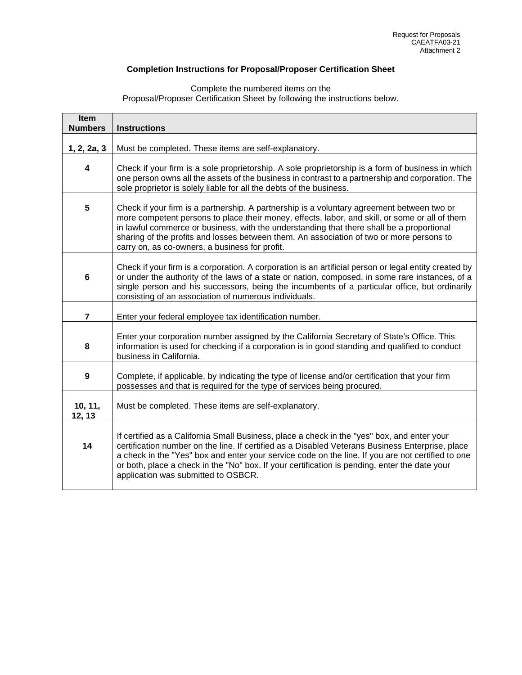# **Completion Instructions for Proposal/Proposer Certification Sheet**

Complete the numbered items on the Proposal/Proposer Certification Sheet by following the instructions below.

| Item<br><b>Numbers</b> | <b>Instructions</b>                                                                                                                                                                                                                                                                                                                                                                                                                          |  |  |  |
|------------------------|----------------------------------------------------------------------------------------------------------------------------------------------------------------------------------------------------------------------------------------------------------------------------------------------------------------------------------------------------------------------------------------------------------------------------------------------|--|--|--|
| 1, 2, 2a, 3            | Must be completed. These items are self-explanatory.                                                                                                                                                                                                                                                                                                                                                                                         |  |  |  |
| 4                      | Check if your firm is a sole proprietorship. A sole proprietorship is a form of business in which<br>one person owns all the assets of the business in contrast to a partnership and corporation. The<br>sole proprietor is solely liable for all the debts of the business.                                                                                                                                                                 |  |  |  |
| 5                      | Check if your firm is a partnership. A partnership is a voluntary agreement between two or<br>more competent persons to place their money, effects, labor, and skill, or some or all of them<br>in lawful commerce or business, with the understanding that there shall be a proportional<br>sharing of the profits and losses between them. An association of two or more persons to<br>carry on, as co-owners, a business for profit.      |  |  |  |
| 6                      | Check if your firm is a corporation. A corporation is an artificial person or legal entity created by<br>or under the authority of the laws of a state or nation, composed, in some rare instances, of a<br>single person and his successors, being the incumbents of a particular office, but ordinarily<br>consisting of an association of numerous individuals.                                                                           |  |  |  |
| $\overline{7}$         | Enter your federal employee tax identification number.                                                                                                                                                                                                                                                                                                                                                                                       |  |  |  |
| 8                      | Enter your corporation number assigned by the California Secretary of State's Office. This<br>information is used for checking if a corporation is in good standing and qualified to conduct<br>business in California.                                                                                                                                                                                                                      |  |  |  |
| 9                      | Complete, if applicable, by indicating the type of license and/or certification that your firm<br>possesses and that is required for the type of services being procured.                                                                                                                                                                                                                                                                    |  |  |  |
| 10, 11,<br>12, 13      | Must be completed. These items are self-explanatory.                                                                                                                                                                                                                                                                                                                                                                                         |  |  |  |
| 14                     | If certified as a California Small Business, place a check in the "yes" box, and enter your<br>certification number on the line. If certified as a Disabled Veterans Business Enterprise, place<br>a check in the "Yes" box and enter your service code on the line. If you are not certified to one<br>or both, place a check in the "No" box. If your certification is pending, enter the date your<br>application was submitted to OSBCR. |  |  |  |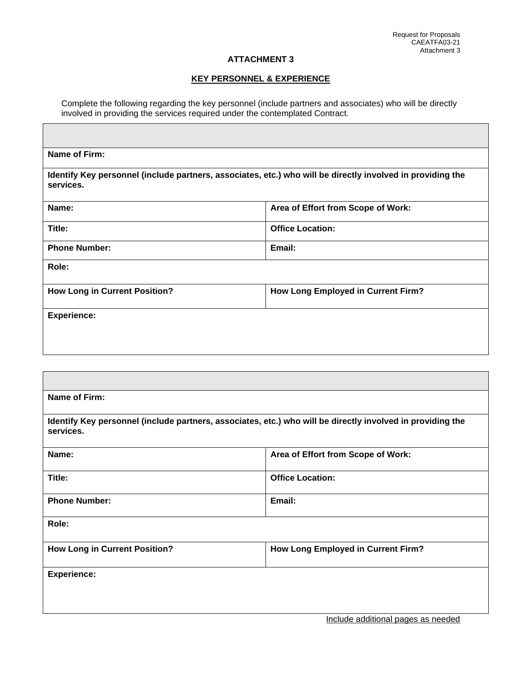# **KEY PERSONNEL & EXPERIENCE**

Complete the following regarding the key personnel (include partners and associates) who will be directly involved in providing the services required under the contemplated Contract.

| Name of Firm:                                                                                                           |                                           |  |  |  |
|-------------------------------------------------------------------------------------------------------------------------|-------------------------------------------|--|--|--|
| Identify Key personnel (include partners, associates, etc.) who will be directly involved in providing the<br>services. |                                           |  |  |  |
| Name:                                                                                                                   | Area of Effort from Scope of Work:        |  |  |  |
| Title:                                                                                                                  | <b>Office Location:</b>                   |  |  |  |
| <b>Phone Number:</b>                                                                                                    | Email:                                    |  |  |  |
| Role:                                                                                                                   |                                           |  |  |  |
| <b>How Long in Current Position?</b>                                                                                    | How Long Employed in Current Firm?        |  |  |  |
| <b>Experience:</b>                                                                                                      |                                           |  |  |  |
|                                                                                                                         |                                           |  |  |  |
|                                                                                                                         |                                           |  |  |  |
|                                                                                                                         |                                           |  |  |  |
| Name of Firm:                                                                                                           |                                           |  |  |  |
| Identify Key personnel (include partners, associates, etc.) who will be directly involved in providing the<br>services. |                                           |  |  |  |
| Name:                                                                                                                   | Area of Effort from Scope of Work:        |  |  |  |
| Title:                                                                                                                  | <b>Office Location:</b>                   |  |  |  |
| <b>Phone Number:</b>                                                                                                    | Email:                                    |  |  |  |
| Role:                                                                                                                   |                                           |  |  |  |
| <b>How Long in Current Position?</b>                                                                                    | <b>How Long Employed in Current Firm?</b> |  |  |  |
| <b>Experience:</b>                                                                                                      |                                           |  |  |  |
|                                                                                                                         |                                           |  |  |  |
|                                                                                                                         |                                           |  |  |  |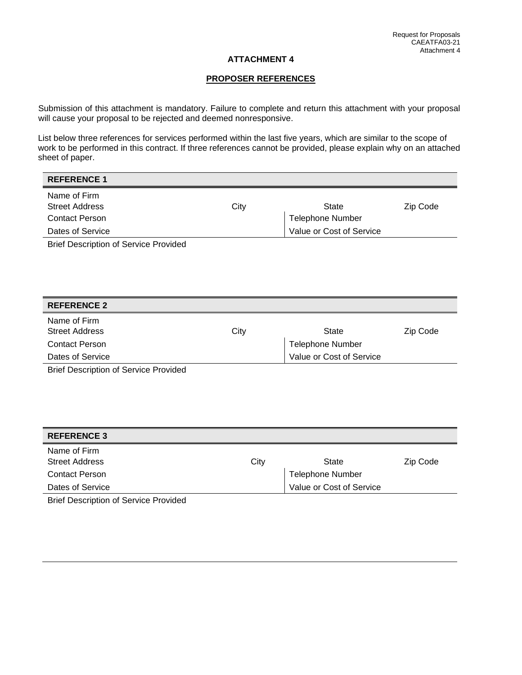## **PROPOSER REFERENCES**

Submission of this attachment is mandatory. Failure to complete and return this attachment with your proposal will cause your proposal to be rejected and deemed nonresponsive.

List below three references for services performed within the last five years, which are similar to the scope of work to be performed in this contract. If three references cannot be provided, please explain why on an attached sheet of paper.

| <b>REFERENCE 1</b>                           |      |                          |          |
|----------------------------------------------|------|--------------------------|----------|
| Name of Firm                                 |      |                          |          |
| <b>Street Address</b>                        | City | <b>State</b>             | Zip Code |
| <b>Contact Person</b>                        |      | <b>Telephone Number</b>  |          |
| Dates of Service                             |      | Value or Cost of Service |          |
| <b>Brief Description of Service Provided</b> |      |                          |          |
|                                              |      |                          |          |
|                                              |      |                          |          |
|                                              |      |                          |          |
|                                              |      |                          |          |
| <b>REFERENCE 2</b>                           |      |                          |          |
| Name of Firm                                 |      |                          |          |
| <b>Street Address</b>                        | City | <b>State</b>             | Zip Code |
| <b>Contact Person</b>                        |      | <b>Telephone Number</b>  |          |
| Dates of Service                             |      | Value or Cost of Service |          |
| <b>Brief Description of Service Provided</b> |      |                          |          |
|                                              |      |                          |          |
|                                              |      |                          |          |

| <b>REFERENCE 3</b>    |      |                          |          |
|-----------------------|------|--------------------------|----------|
| Name of Firm          |      |                          |          |
| <b>Street Address</b> | City | State                    | Zip Code |
| <b>Contact Person</b> |      | <b>Telephone Number</b>  |          |
| Dates of Service      |      | Value or Cost of Service |          |
|                       |      |                          |          |

Brief Description of Service Provided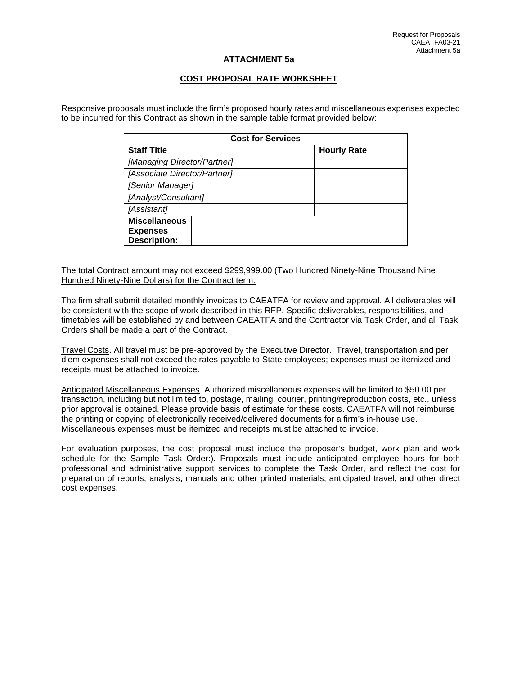## **ATTACHMENT 5a**

# **COST PROPOSAL RATE WORKSHEET**

Responsive proposals must include the firm's proposed hourly rates and miscellaneous expenses expected to be incurred for this Contract as shown in the sample table format provided below:

| <b>Cost for Services</b>                                       |                    |  |  |  |
|----------------------------------------------------------------|--------------------|--|--|--|
| <b>Staff Title</b>                                             | <b>Hourly Rate</b> |  |  |  |
| [Managing Director/Partner]                                    |                    |  |  |  |
| [Associate Director/Partner]                                   |                    |  |  |  |
| [Senior Manager]                                               |                    |  |  |  |
| [Analyst/Consultant]                                           |                    |  |  |  |
| [Assistant]                                                    |                    |  |  |  |
| <b>Miscellaneous</b><br><b>Expenses</b><br><b>Description:</b> |                    |  |  |  |

The total Contract amount may not exceed \$299,999.00 (Two Hundred Ninety-Nine Thousand Nine Hundred Ninety-Nine Dollars) for the Contract term.

The firm shall submit detailed monthly invoices to CAEATFA for review and approval. All deliverables will be consistent with the scope of work described in this RFP. Specific deliverables, responsibilities, and timetables will be established by and between CAEATFA and the Contractor via Task Order, and all Task Orders shall be made a part of the Contract.

Travel Costs. All travel must be pre-approved by the Executive Director. Travel, transportation and per diem expenses shall not exceed the rates payable to State employees; expenses must be itemized and receipts must be attached to invoice.

Anticipated Miscellaneous Expenses. Authorized miscellaneous expenses will be limited to \$50.00 per transaction, including but not limited to, postage, mailing, courier, printing/reproduction costs, etc., unless prior approval is obtained. Please provide basis of estimate for these costs. CAEATFA will not reimburse the printing or copying of electronically received/delivered documents for a firm's in-house use. Miscellaneous expenses must be itemized and receipts must be attached to invoice.

For evaluation purposes, the cost proposal must include the proposer's budget, work plan and work schedule for the Sample Task Order:). Proposals must include anticipated employee hours for both professional and administrative support services to complete the Task Order, and reflect the cost for preparation of reports, analysis, manuals and other printed materials; anticipated travel; and other direct cost expenses.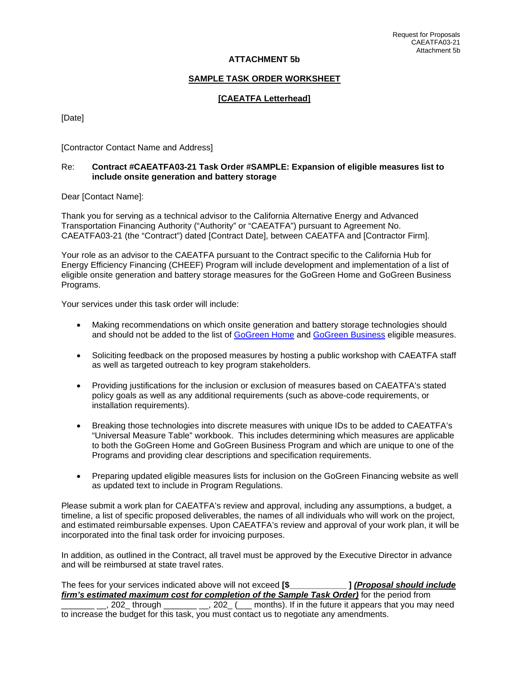## **ATTACHMENT 5b**

#### **SAMPLE TASK ORDER WORKSHEET**

## **[CAEATFA Letterhead]**

[Date]

[Contractor Contact Name and Address]

#### Re: **Contract #CAEATFA03-21 Task Order #SAMPLE: Expansion of eligible measures list to include onsite generation and battery storage**

Dear [Contact Name]:

Thank you for serving as a technical advisor to the California Alternative Energy and Advanced Transportation Financing Authority ("Authority" or "CAEATFA") pursuant to Agreement No. CAEATFA03-21 (the "Contract") dated [Contract Date], between CAEATFA and [Contractor Firm].

Your role as an advisor to the CAEATFA pursuant to the Contract specific to the California Hub for Energy Efficiency Financing (CHEEF) Program will include development and implementation of a list of eligible onsite generation and battery storage measures for the GoGreen Home and GoGreen Business Programs.

Your services under this task order will include:

- Making recommendations on which onsite generation and battery storage technologies should and should not be added to the list of [GoGreen Home](https://www.treasurer.ca.gov/caeatfa/cheef/reel/resources/reel_eeemsList.pdf) and [GoGreen Business](https://www.treasurer.ca.gov/caeatfa/cheef/sblp/resources/esmlist.pdf) eligible measures.
- Soliciting feedback on the proposed measures by hosting a public workshop with CAEATFA staff as well as targeted outreach to key program stakeholders.
- Providing justifications for the inclusion or exclusion of measures based on CAEATFA's stated policy goals as well as any additional requirements (such as above-code requirements, or installation requirements).
- Breaking those technologies into discrete measures with unique IDs to be added to CAEATFA's "Universal Measure Table" workbook. This includes determining which measures are applicable to both the GoGreen Home and GoGreen Business Program and which are unique to one of the Programs and providing clear descriptions and specification requirements.
- Preparing updated eligible measures lists for inclusion on the GoGreen Financing website as well as updated text to include in Program Regulations.

Please submit a work plan for CAEATFA's review and approval, including any assumptions, a budget, a timeline, a list of specific proposed deliverables, the names of all individuals who will work on the project, and estimated reimbursable expenses. Upon CAEATFA's review and approval of your work plan, it will be incorporated into the final task order for invoicing purposes.

In addition, as outlined in the Contract, all travel must be approved by the Executive Director in advance and will be reimbursed at state travel rates.

The fees for your services indicated above will not exceed **[\$\_\_\_\_\_\_\_\_\_\_\_\_ ]** *(Proposal should include firm's estimated maximum cost for completion of the Sample Task Order)* for the period from<br>202 through . 202 ( months). If in the future it appears that you may  $\frac{1}{1}$ , 202 $\frac{1}{2}$  ( $\frac{1}{2}$  months). If in the future it appears that you may need to increase the budget for this task, you must contact us to negotiate any amendments.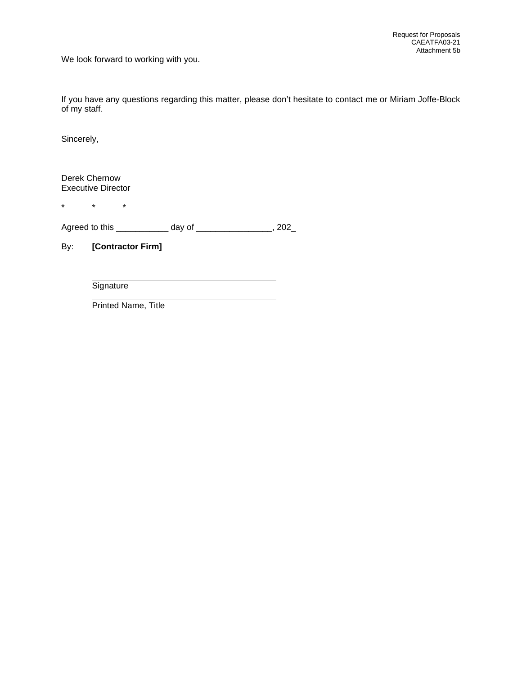We look forward to working with you.

If you have any questions regarding this matter, please don't hesitate to contact me or Miriam Joffe-Block of my staff.

Sincerely,

Derek Chernow Executive Director

\* \* \*

Agreed to this \_\_\_\_\_\_\_\_\_\_\_\_ day of \_\_\_\_\_\_\_\_\_\_\_\_\_\_\_, 202\_

By: **[Contractor Firm]**

**Signature** 

Printed Name, Title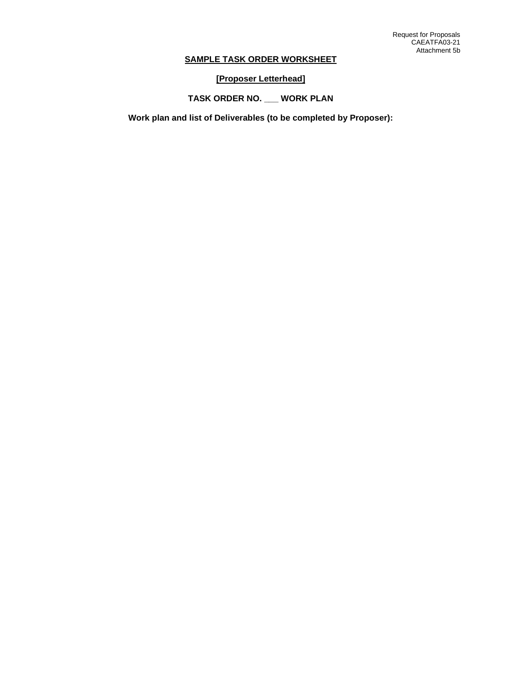# **SAMPLE TASK ORDER WORKSHEET**

**[Proposer Letterhead]** 

**TASK ORDER NO. \_\_\_ WORK PLAN**

**Work plan and list of Deliverables (to be completed by Proposer):**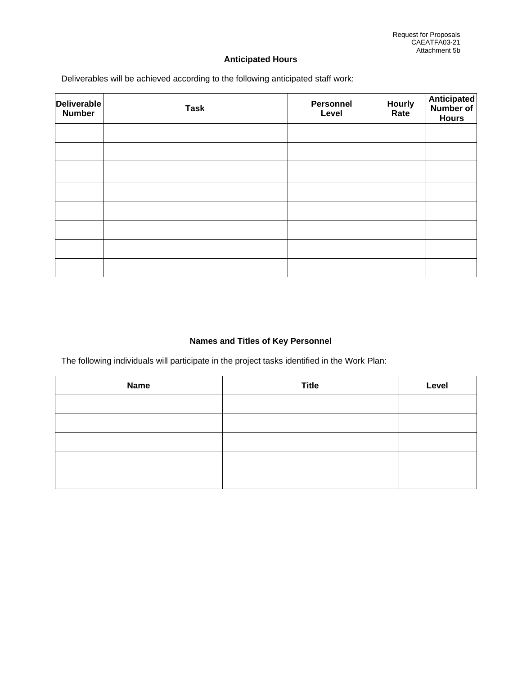# **Anticipated Hours**

Deliverables will be achieved according to the following anticipated staff work:

| <b>Deliverable</b><br><b>Number</b> | <b>Task</b> | Personnel<br>Level | Hourly<br>Rate | <b>Anticipated</b><br><b>Number of</b><br><b>Hours</b> |
|-------------------------------------|-------------|--------------------|----------------|--------------------------------------------------------|
|                                     |             |                    |                |                                                        |
|                                     |             |                    |                |                                                        |
|                                     |             |                    |                |                                                        |
|                                     |             |                    |                |                                                        |
|                                     |             |                    |                |                                                        |
|                                     |             |                    |                |                                                        |
|                                     |             |                    |                |                                                        |
|                                     |             |                    |                |                                                        |

# **Names and Titles of Key Personnel**

The following individuals will participate in the project tasks identified in the Work Plan:

| <b>Name</b> | <b>Title</b> | Level |
|-------------|--------------|-------|
|             |              |       |
|             |              |       |
|             |              |       |
|             |              |       |
|             |              |       |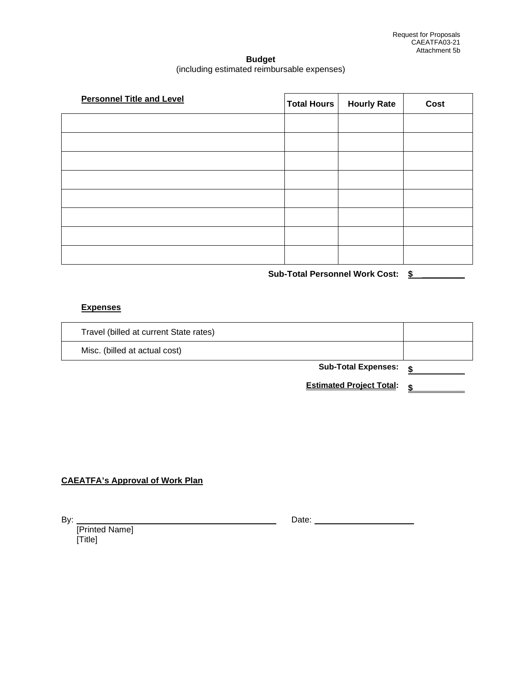# **Budget**  (including estimated reimbursable expenses)

| <b>Personnel Title and Level</b> | <b>Total Hours</b> | <b>Hourly Rate</b> | Cost |
|----------------------------------|--------------------|--------------------|------|
|                                  |                    |                    |      |
|                                  |                    |                    |      |
|                                  |                    |                    |      |
|                                  |                    |                    |      |
|                                  |                    |                    |      |
|                                  |                    |                    |      |
|                                  |                    |                    |      |
|                                  |                    |                    |      |

**Sub-Total Personnel Work Cost: \$ \_\_\_\_\_\_\_\_\_**

# **Expenses**

| Travel (billed at current State rates) |                                 |  |
|----------------------------------------|---------------------------------|--|
| Misc. (billed at actual cost)          |                                 |  |
|                                        | <b>Sub-Total Expenses:</b>      |  |
|                                        | <b>Estimated Project Total:</b> |  |

# **CAEATFA's Approval of Work Plan**

| I<br>۰, |  |
|---------|--|

[Printed Name] [Title]

**By:** Date: <u>Date: 2008 Partner Press, 2008 Partner Press, 2008 Partner Press, 2008</u>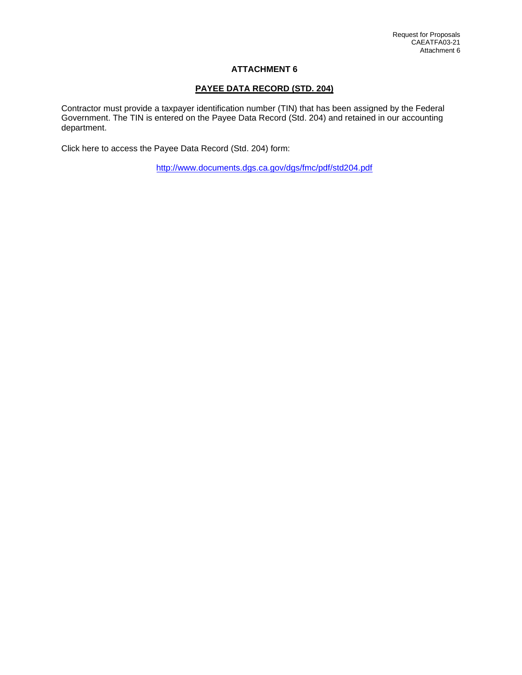# **PAYEE DATA RECORD (STD. 204)**

Contractor must provide a taxpayer identification number (TIN) that has been assigned by the Federal Government. The TIN is entered on the Payee Data Record (Std. 204) and retained in our accounting department.

Click here to access the Payee Data Record (Std. 204) form:

<http://www.documents.dgs.ca.gov/dgs/fmc/pdf/std204.pdf>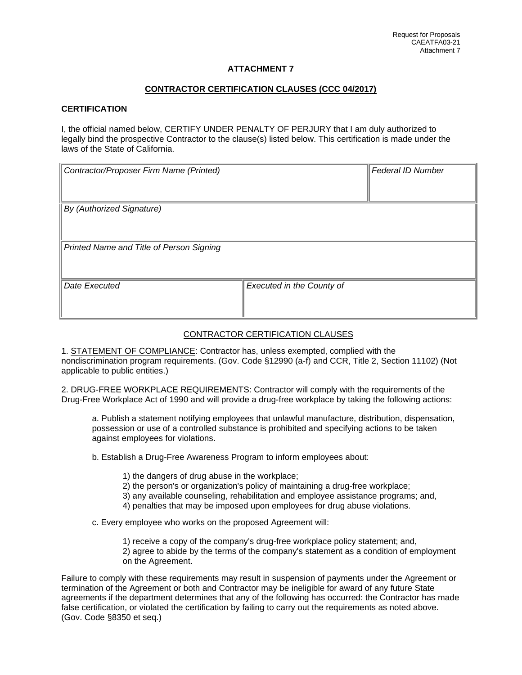# **CONTRACTOR CERTIFICATION CLAUSES (CCC 04/2017)**

#### **CERTIFICATION**

I, the official named below, CERTIFY UNDER PENALTY OF PERJURY that I am duly authorized to legally bind the prospective Contractor to the clause(s) listed below. This certification is made under the laws of the State of California.

| Contractor/Proposer Firm Name (Printed)  |                           | Federal ID Number |
|------------------------------------------|---------------------------|-------------------|
| By (Authorized Signature)                |                           |                   |
| Printed Name and Title of Person Signing |                           |                   |
| Date Executed                            | Executed in the County of |                   |

# CONTRACTOR CERTIFICATION CLAUSES

1. STATEMENT OF COMPLIANCE: Contractor has, unless exempted, complied with the nondiscrimination program requirements. (Gov. Code §12990 (a-f) and CCR, Title 2, Section 11102) (Not applicable to public entities.)

2. DRUG-FREE WORKPLACE REQUIREMENTS: Contractor will comply with the requirements of the Drug-Free Workplace Act of 1990 and will provide a drug-free workplace by taking the following actions:

a. Publish a statement notifying employees that unlawful manufacture, distribution, dispensation, possession or use of a controlled substance is prohibited and specifying actions to be taken against employees for violations.

b. Establish a Drug-Free Awareness Program to inform employees about:

- 1) the dangers of drug abuse in the workplace;
- 2) the person's or organization's policy of maintaining a drug-free workplace;
- 3) any available counseling, rehabilitation and employee assistance programs; and,
- 4) penalties that may be imposed upon employees for drug abuse violations.

c. Every employee who works on the proposed Agreement will:

- 1) receive a copy of the company's drug-free workplace policy statement; and,
- 2) agree to abide by the terms of the company's statement as a condition of employment on the Agreement.

Failure to comply with these requirements may result in suspension of payments under the Agreement or termination of the Agreement or both and Contractor may be ineligible for award of any future State agreements if the department determines that any of the following has occurred: the Contractor has made false certification, or violated the certification by failing to carry out the requirements as noted above. (Gov. Code §8350 et seq.)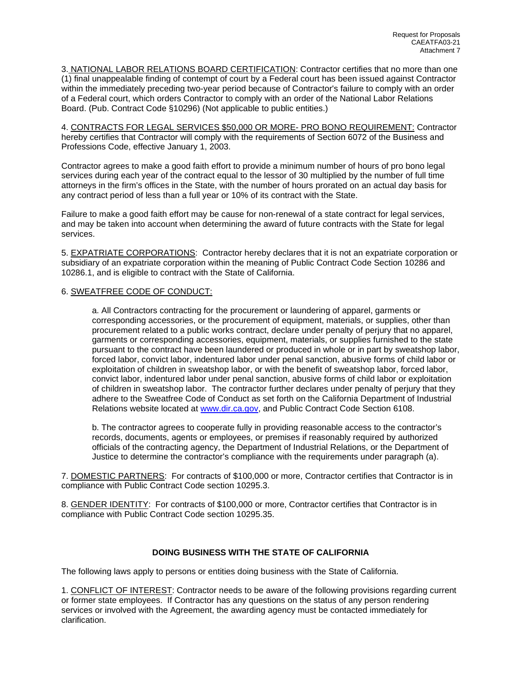3. NATIONAL LABOR RELATIONS BOARD CERTIFICATION: Contractor certifies that no more than one (1) final unappealable finding of contempt of court by a Federal court has been issued against Contractor within the immediately preceding two-year period because of Contractor's failure to comply with an order of a Federal court, which orders Contractor to comply with an order of the National Labor Relations Board. (Pub. Contract Code §10296) (Not applicable to public entities.)

4. CONTRACTS FOR LEGAL SERVICES \$50,000 OR MORE- PRO BONO REQUIREMENT: Contractor hereby certifies that Contractor will comply with the requirements of Section 6072 of the Business and Professions Code, effective January 1, 2003.

Contractor agrees to make a good faith effort to provide a minimum number of hours of pro bono legal services during each year of the contract equal to the lessor of 30 multiplied by the number of full time attorneys in the firm's offices in the State, with the number of hours prorated on an actual day basis for any contract period of less than a full year or 10% of its contract with the State.

Failure to make a good faith effort may be cause for non-renewal of a state contract for legal services, and may be taken into account when determining the award of future contracts with the State for legal services.

5. EXPATRIATE CORPORATIONS: Contractor hereby declares that it is not an expatriate corporation or subsidiary of an expatriate corporation within the meaning of Public Contract Code Section 10286 and 10286.1, and is eligible to contract with the State of California.

#### 6. SWEATFREE CODE OF CONDUCT:

a. All Contractors contracting for the procurement or laundering of apparel, garments or corresponding accessories, or the procurement of equipment, materials, or supplies, other than procurement related to a public works contract, declare under penalty of perjury that no apparel, garments or corresponding accessories, equipment, materials, or supplies furnished to the state pursuant to the contract have been laundered or produced in whole or in part by sweatshop labor, forced labor, convict labor, indentured labor under penal sanction, abusive forms of child labor or exploitation of children in sweatshop labor, or with the benefit of sweatshop labor, forced labor, convict labor, indentured labor under penal sanction, abusive forms of child labor or exploitation of children in sweatshop labor. The contractor further declares under penalty of perjury that they adhere to the Sweatfree Code of Conduct as set forth on the California Department of Industrial Relations website located at [www.dir.ca.gov,](http://www.dir.ca.gov/) and Public Contract Code Section 6108.

b. The contractor agrees to cooperate fully in providing reasonable access to the contractor's records, documents, agents or employees, or premises if reasonably required by authorized officials of the contracting agency, the Department of Industrial Relations, or the Department of Justice to determine the contractor's compliance with the requirements under paragraph (a).

7. DOMESTIC PARTNERS: For contracts of \$100,000 or more, Contractor certifies that Contractor is in compliance with Public Contract Code section 10295.3.

8. GENDER IDENTITY: For contracts of \$100,000 or more, Contractor certifies that Contractor is in compliance with Public Contract Code section 10295.35.

#### **DOING BUSINESS WITH THE STATE OF CALIFORNIA**

The following laws apply to persons or entities doing business with the State of California.

1. CONFLICT OF INTEREST: Contractor needs to be aware of the following provisions regarding current or former state employees. If Contractor has any questions on the status of any person rendering services or involved with the Agreement, the awarding agency must be contacted immediately for clarification.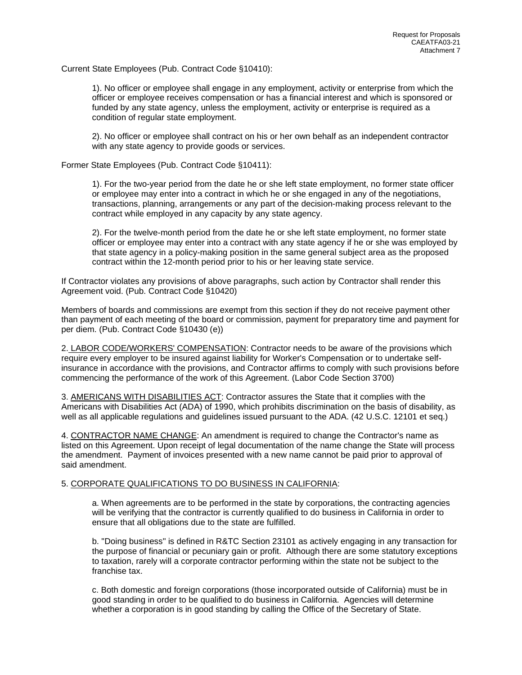Current State Employees (Pub. Contract Code §10410):

1). No officer or employee shall engage in any employment, activity or enterprise from which the officer or employee receives compensation or has a financial interest and which is sponsored or funded by any state agency, unless the employment, activity or enterprise is required as a condition of regular state employment.

2). No officer or employee shall contract on his or her own behalf as an independent contractor with any state agency to provide goods or services.

Former State Employees (Pub. Contract Code §10411):

1). For the two-year period from the date he or she left state employment, no former state officer or employee may enter into a contract in which he or she engaged in any of the negotiations, transactions, planning, arrangements or any part of the decision-making process relevant to the contract while employed in any capacity by any state agency.

2). For the twelve-month period from the date he or she left state employment, no former state officer or employee may enter into a contract with any state agency if he or she was employed by that state agency in a policy-making position in the same general subject area as the proposed contract within the 12-month period prior to his or her leaving state service.

If Contractor violates any provisions of above paragraphs, such action by Contractor shall render this Agreement void. (Pub. Contract Code §10420)

Members of boards and commissions are exempt from this section if they do not receive payment other than payment of each meeting of the board or commission, payment for preparatory time and payment for per diem. (Pub. Contract Code §10430 (e))

2. LABOR CODE/WORKERS' COMPENSATION: Contractor needs to be aware of the provisions which require every employer to be insured against liability for Worker's Compensation or to undertake selfinsurance in accordance with the provisions, and Contractor affirms to comply with such provisions before commencing the performance of the work of this Agreement. (Labor Code Section 3700)

3. AMERICANS WITH DISABILITIES ACT: Contractor assures the State that it complies with the Americans with Disabilities Act (ADA) of 1990, which prohibits discrimination on the basis of disability, as well as all applicable regulations and guidelines issued pursuant to the ADA. (42 U.S.C. 12101 et seq.)

4. CONTRACTOR NAME CHANGE: An amendment is required to change the Contractor's name as listed on this Agreement. Upon receipt of legal documentation of the name change the State will process the amendment. Payment of invoices presented with a new name cannot be paid prior to approval of said amendment.

#### 5. CORPORATE QUALIFICATIONS TO DO BUSINESS IN CALIFORNIA:

a. When agreements are to be performed in the state by corporations, the contracting agencies will be verifying that the contractor is currently qualified to do business in California in order to ensure that all obligations due to the state are fulfilled.

b. "Doing business" is defined in R&TC Section 23101 as actively engaging in any transaction for the purpose of financial or pecuniary gain or profit. Although there are some statutory exceptions to taxation, rarely will a corporate contractor performing within the state not be subject to the franchise tax.

c. Both domestic and foreign corporations (those incorporated outside of California) must be in good standing in order to be qualified to do business in California. Agencies will determine whether a corporation is in good standing by calling the Office of the Secretary of State.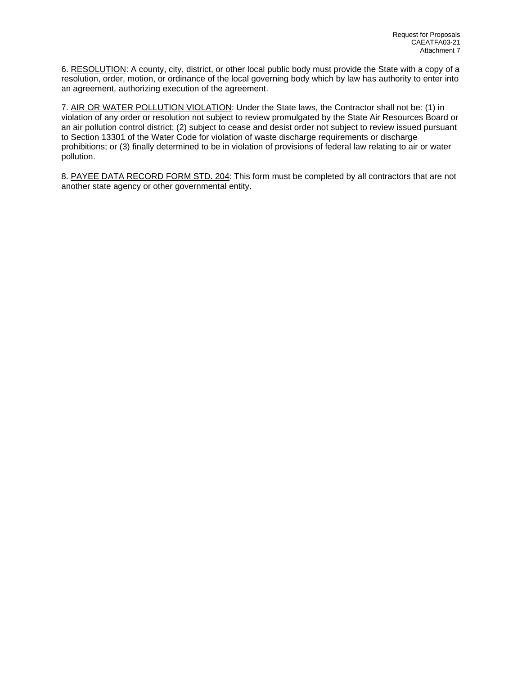6. RESOLUTION: A county, city, district, or other local public body must provide the State with a copy of a resolution, order, motion, or ordinance of the local governing body which by law has authority to enter into an agreement, authorizing execution of the agreement.

7. AIR OR WATER POLLUTION VIOLATION: Under the State laws, the Contractor shall not be*:* (1) in violation of any order or resolution not subject to review promulgated by the State Air Resources Board or an air pollution control district; (2) subject to cease and desist order not subject to review issued pursuant to Section 13301 of the Water Code for violation of waste discharge requirements or discharge prohibitions; or (3) finally determined to be in violation of provisions of federal law relating to air or water pollution.

8. PAYEE DATA RECORD FORM STD. 204: This form must be completed by all contractors that are not another state agency or other governmental entity.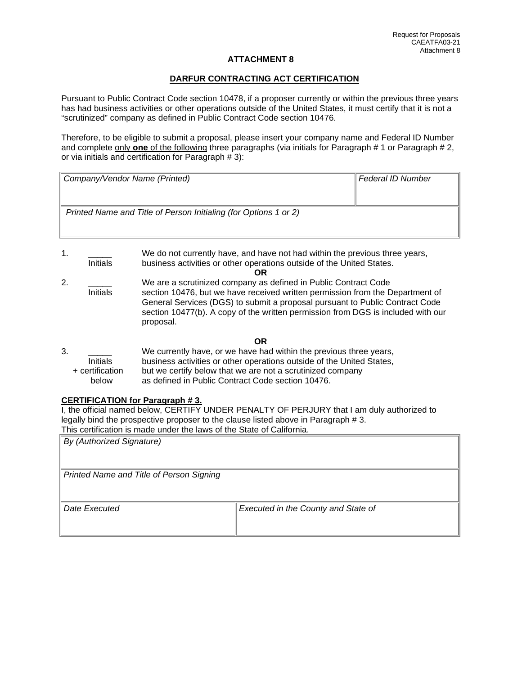## **DARFUR CONTRACTING ACT CERTIFICATION**

Pursuant to Public Contract Code section 10478, if a proposer currently or within the previous three years has had business activities or other operations outside of the United States, it must certify that it is not a "scrutinized" company as defined in Public Contract Code section 10476.

Therefore, to be eligible to submit a proposal, please insert your company name and Federal ID Number and complete only **one** of the following three paragraphs (via initials for Paragraph # 1 or Paragraph # 2, or via initials and certification for Paragraph # 3):

| Company/Vendor Name (Printed)                                    | Federal ID Number |
|------------------------------------------------------------------|-------------------|
|                                                                  |                   |
| Printed Name and Title of Person Initialing (for Options 1 or 2) |                   |
|                                                                  |                   |
|                                                                  |                   |

- 1. \_\_\_\_\_ We do not currently have, and have not had within the previous three years, business activities or other operations outside of the United States. **OR**
- 2. \_\_\_\_\_ We are a scrutinized company as defined in Public Contract Code section 10476, but we have received written permission from the Department of General Services (DGS) to submit a proposal pursuant to Public Contract Code section 10477(b). A copy of the written permission from DGS is included with our proposal.

#### **OR**

| 3. |                 | We currently have, or we have had within the previous three years,    |
|----|-----------------|-----------------------------------------------------------------------|
|    | <b>Initials</b> | business activities or other operations outside of the United States, |
|    | + certification | but we certify below that we are not a scrutinized company            |
|    | below           | as defined in Public Contract Code section 10476.                     |

## **CERTIFICATION for Paragraph # 3.**

I, the official named below, CERTIFY UNDER PENALTY OF PERJURY that I am duly authorized to legally bind the prospective proposer to the clause listed above in Paragraph # 3. This certification is made under the laws of the State of California.

| <b>By (Authorized Signature)</b>         |                                     |
|------------------------------------------|-------------------------------------|
| Printed Name and Title of Person Signing |                                     |
| Date Executed                            | Executed in the County and State of |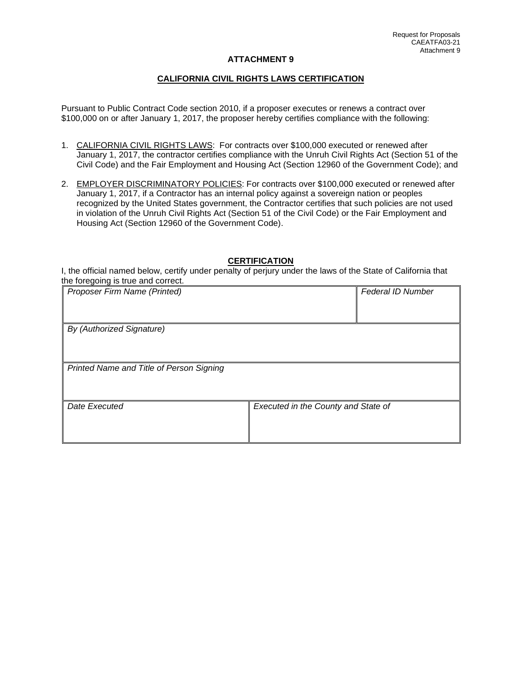#### **CALIFORNIA CIVIL RIGHTS LAWS CERTIFICATION**

Pursuant to Public Contract Code section 2010, if a proposer executes or renews a contract over \$100,000 on or after January 1, 2017, the proposer hereby certifies compliance with the following:

- 1. CALIFORNIA CIVIL RIGHTS LAWS: For contracts over \$100,000 executed or renewed after January 1, 2017, the contractor certifies compliance with the Unruh Civil Rights Act (Section 51 of the Civil Code) and the Fair Employment and Housing Act (Section 12960 of the Government Code); and
- 2. EMPLOYER DISCRIMINATORY POLICIES: For contracts over \$100,000 executed or renewed after January 1, 2017, if a Contractor has an internal policy against a sovereign nation or peoples recognized by the United States government, the Contractor certifies that such policies are not used in violation of the Unruh Civil Rights Act (Section 51 of the Civil Code) or the Fair Employment and Housing Act (Section 12960 of the Government Code).

#### **CERTIFICATION**

I, the official named below, certify under penalty of perjury under the laws of the State of California that the foregoing is true and correct.

| Proposer Firm Name (Printed)             |                                     | <b>Federal ID Number</b> |
|------------------------------------------|-------------------------------------|--------------------------|
|                                          |                                     |                          |
| By (Authorized Signature)                |                                     |                          |
|                                          |                                     |                          |
| Printed Name and Title of Person Signing |                                     |                          |
|                                          |                                     |                          |
| Date Executed                            | Executed in the County and State of |                          |
|                                          |                                     |                          |
|                                          |                                     |                          |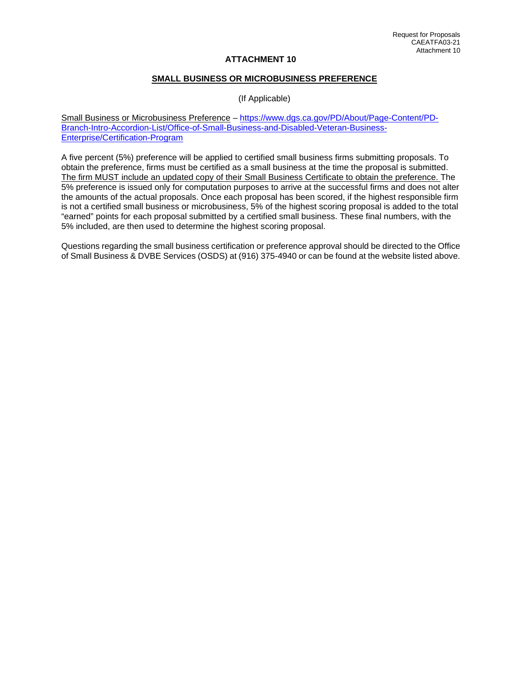#### **SMALL BUSINESS OR MICROBUSINESS PREFERENCE**

(If Applicable)

Small Business or Microbusiness Preference – [https://www.dgs.ca.gov/PD/About/Page-Content/PD-](https://www.dgs.ca.gov/PD/About/Page-Content/PD-Branch-Intro-Accordion-List/Office-of-Small-Business-and-Disabled-Veteran-Business-Enterprise/Certification-Program)[Branch-Intro-Accordion-List/Office-of-Small-Business-and-Disabled-Veteran-Business-](https://www.dgs.ca.gov/PD/About/Page-Content/PD-Branch-Intro-Accordion-List/Office-of-Small-Business-and-Disabled-Veteran-Business-Enterprise/Certification-Program)[Enterprise/Certification-Program](https://www.dgs.ca.gov/PD/About/Page-Content/PD-Branch-Intro-Accordion-List/Office-of-Small-Business-and-Disabled-Veteran-Business-Enterprise/Certification-Program)

A five percent (5%) preference will be applied to certified small business firms submitting proposals. To obtain the preference, firms must be certified as a small business at the time the proposal is submitted. The firm MUST include an updated copy of their Small Business Certificate to obtain the preference. The 5% preference is issued only for computation purposes to arrive at the successful firms and does not alter the amounts of the actual proposals. Once each proposal has been scored, if the highest responsible firm is not a certified small business or microbusiness, 5% of the highest scoring proposal is added to the total "earned" points for each proposal submitted by a certified small business. These final numbers, with the 5% included, are then used to determine the highest scoring proposal.

Questions regarding the small business certification or preference approval should be directed to the Office of Small Business & DVBE Services (OSDS) at (916) 375-4940 or can be found at the website listed above.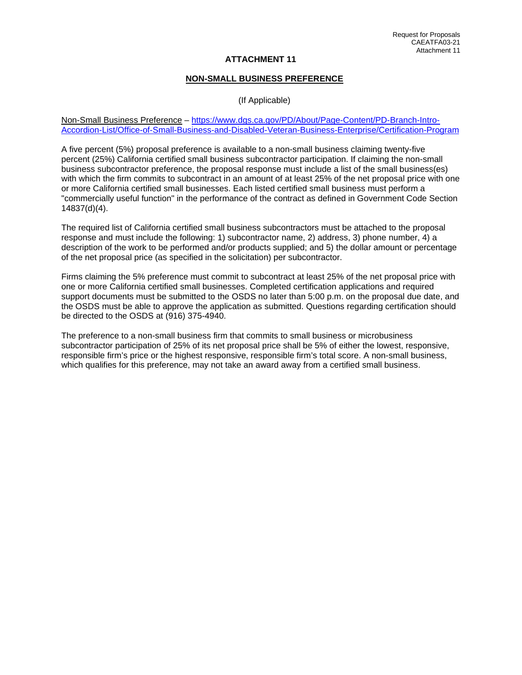#### **NON-SMALL BUSINESS PREFERENCE**

(If Applicable)

Non-Small Business Preference – [https://www.dgs.ca.gov/PD/About/Page-Content/PD-Branch-Intro-](https://www.dgs.ca.gov/PD/About/Page-Content/PD-Branch-Intro-Accordion-List/Office-of-Small-Business-and-Disabled-Veteran-Business-Enterprise/Certification-Program)[Accordion-List/Office-of-Small-Business-and-Disabled-Veteran-Business-Enterprise/Certification-Program](https://www.dgs.ca.gov/PD/About/Page-Content/PD-Branch-Intro-Accordion-List/Office-of-Small-Business-and-Disabled-Veteran-Business-Enterprise/Certification-Program)

A five percent (5%) proposal preference is available to a non-small business claiming twenty-five percent (25%) California certified small business subcontractor participation. If claiming the non-small business subcontractor preference, the proposal response must include a list of the small business(es) with which the firm commits to subcontract in an amount of at least 25% of the net proposal price with one or more California certified small businesses. Each listed certified small business must perform a "commercially useful function" in the performance of the contract as defined in Government Code Section 14837(d)(4).

The required list of California certified small business subcontractors must be attached to the proposal response and must include the following: 1) subcontractor name, 2) address, 3) phone number, 4) a description of the work to be performed and/or products supplied; and 5) the dollar amount or percentage of the net proposal price (as specified in the solicitation) per subcontractor.

Firms claiming the 5% preference must commit to subcontract at least 25% of the net proposal price with one or more California certified small businesses. Completed certification applications and required support documents must be submitted to the OSDS no later than 5:00 p.m. on the proposal due date, and the OSDS must be able to approve the application as submitted. Questions regarding certification should be directed to the OSDS at (916) 375-4940.

The preference to a non-small business firm that commits to small business or microbusiness subcontractor participation of 25% of its net proposal price shall be 5% of either the lowest, responsive, responsible firm's price or the highest responsive, responsible firm's total score. A non-small business, which qualifies for this preference, may not take an award away from a certified small business.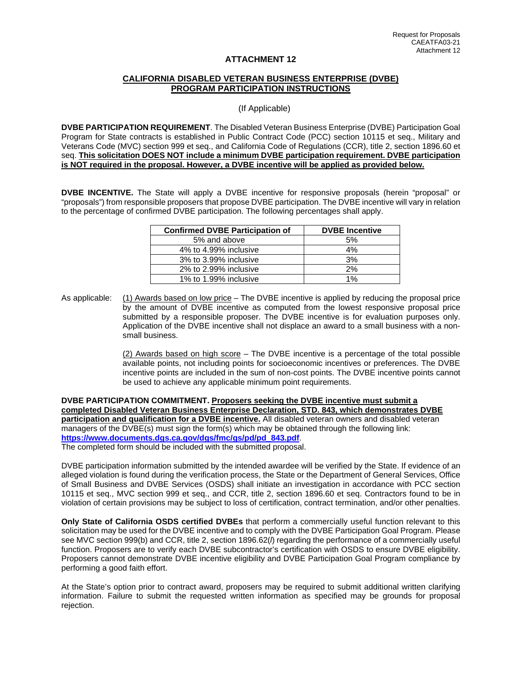#### **CALIFORNIA DISABLED VETERAN BUSINESS ENTERPRISE (DVBE) PROGRAM PARTICIPATION INSTRUCTIONS**

(If Applicable)

**DVBE PARTICIPATION REQUIREMENT**. The Disabled Veteran Business Enterprise (DVBE) Participation Goal Program for State contracts is established in Public Contract Code (PCC) section 10115 et seq., Military and Veterans Code (MVC) section 999 et seq., and California Code of Regulations (CCR), title 2, section 1896.60 et seq. **This solicitation DOES NOT include a minimum DVBE participation requirement. DVBE participation is NOT required in the proposal. However, a DVBE incentive will be applied as provided below.** 

**DVBE INCENTIVE.** The State will apply a DVBE incentive for responsive proposals (herein "proposal" or "proposals") from responsible proposers that propose DVBE participation. The DVBE incentive will vary in relation to the percentage of confirmed DVBE participation. The following percentages shall apply.

| <b>Confirmed DVBE Participation of</b> | <b>DVBE</b> Incentive |
|----------------------------------------|-----------------------|
| 5% and above                           | 5%                    |
| 4% to 4.99% inclusive                  | 4%                    |
| 3% to 3.99% inclusive                  | 3%                    |
| 2% to 2.99% inclusive                  | 2%                    |
| 1% to 1.99% inclusive                  | $1\%$                 |

As applicable: (1) Awards based on low price – The DVBE incentive is applied by reducing the proposal price by the amount of DVBE incentive as computed from the lowest responsive proposal price submitted by a responsible proposer. The DVBE incentive is for evaluation purposes only. Application of the DVBE incentive shall not displace an award to a small business with a nonsmall business.

> (2) Awards based on high score – The DVBE incentive is a percentage of the total possible available points, not including points for socioeconomic incentives or preferences. The DVBE incentive points are included in the sum of non-cost points. The DVBE incentive points cannot be used to achieve any applicable minimum point requirements.

**DVBE PARTICIPATION COMMITMENT. Proposers seeking the DVBE incentive must submit a completed Disabled Veteran Business Enterprise Declaration, STD. 843, which demonstrates DVBE participation and qualification for a DVBE incentive.** All disabled veteran owners and disabled veteran managers of the DVBE(s) must sign the form(s) which may be obtained through the following link: **[https://www.documents.dgs.ca.gov/dgs/fmc/gs/pd/pd\\_843.pdf](https://www.documents.dgs.ca.gov/dgs/fmc/gs/pd/pd_843.pdf)**. The completed form should be included with the submitted proposal.

DVBE participation information submitted by the intended awardee will be verified by the State. If evidence of an alleged violation is found during the verification process, the State or the Department of General Services, Office of Small Business and DVBE Services (OSDS) shall initiate an investigation in accordance with PCC section 10115 et seq., MVC section 999 et seq., and CCR, title 2, section 1896.60 et seq. Contractors found to be in violation of certain provisions may be subject to loss of certification, contract termination, and/or other penalties.

**Only State of California OSDS certified DVBEs** that perform a commercially useful function relevant to this solicitation may be used for the DVBE incentive and to comply with the DVBE Participation Goal Program. Please see MVC section 999(b) and CCR, title 2, section 1896.62(*l*) regarding the performance of a commercially useful function. Proposers are to verify each DVBE subcontractor's certification with OSDS to ensure DVBE eligibility. Proposers cannot demonstrate DVBE incentive eligibility and DVBE Participation Goal Program compliance by performing a good faith effort.

At the State's option prior to contract award, proposers may be required to submit additional written clarifying information. Failure to submit the requested written information as specified may be grounds for proposal rejection.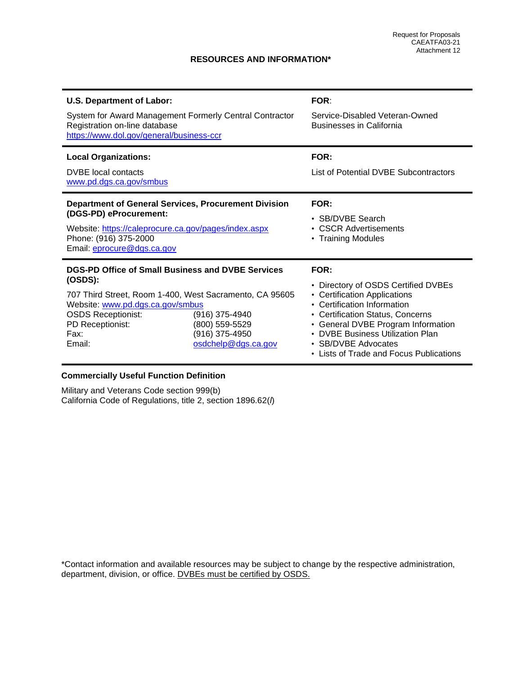# **RESOURCES AND INFORMATION\***

| <b>U.S. Department of Labor:</b><br>System for Award Management Formerly Central Contractor<br>Registration on-line database<br>https://www.dol.gov/general/business-ccr                                                       |                                                                           | <b>FOR:</b><br>Service-Disabled Veteran-Owned<br><b>Businesses in California</b>                                                                                                                                                                                                              |
|--------------------------------------------------------------------------------------------------------------------------------------------------------------------------------------------------------------------------------|---------------------------------------------------------------------------|-----------------------------------------------------------------------------------------------------------------------------------------------------------------------------------------------------------------------------------------------------------------------------------------------|
| <b>Local Organizations:</b><br><b>DVBE</b> local contacts<br>www.pd.dgs.ca.gov/smbus                                                                                                                                           |                                                                           | FOR:<br>List of Potential DVBE Subcontractors                                                                                                                                                                                                                                                 |
| <b>Department of General Services, Procurement Division</b><br>(DGS-PD) eProcurement:<br>Website: https://caleprocure.ca.gov/pages/index.aspx<br>Phone: (916) 375-2000<br>Email: eprocure@dgs.ca.gov                           |                                                                           | FOR:<br>• SB/DVBE Search<br>• CSCR Advertisements<br>• Training Modules                                                                                                                                                                                                                       |
| DGS-PD Office of Small Business and DVBE Services<br>(OSDS):<br>707 Third Street, Room 1-400, West Sacramento, CA 95605<br>Website: www.pd.dgs.ca.gov/smbus<br><b>OSDS Receptionist:</b><br>PD Receptionist:<br>Fax:<br>Email: | (916) 375-4940<br>(800) 559-5529<br>(916) 375-4950<br>osdchelp@dgs.ca.gov | FOR:<br>• Directory of OSDS Certified DVBEs<br>• Certification Applications<br>• Certification Information<br>• Certification Status, Concerns<br>• General DVBE Program Information<br><b>DVBE Business Utilization Plan</b><br>• SB/DVBE Advocates<br>Lists of Trade and Focus Publications |

# **Commercially Useful Function Definition**

Military and Veterans Code section 999(b) California Code of Regulations, title 2, section 1896.62(*l*)

\*Contact information and available resources may be subject to change by the respective administration, department, division, or office. DVBEs must be certified by OSDS.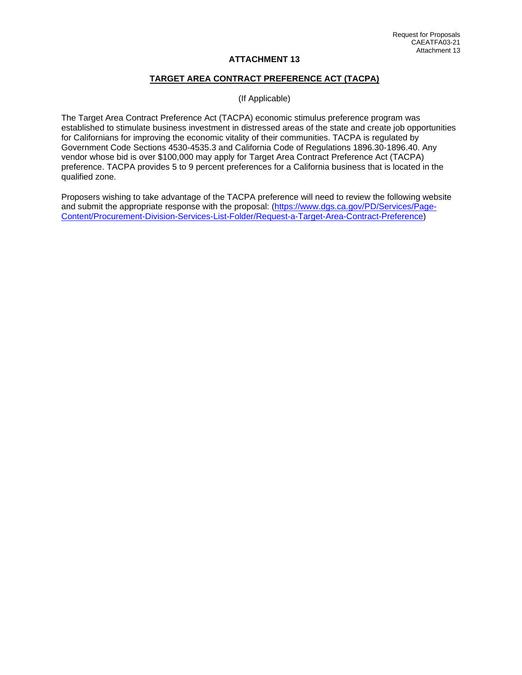# **TARGET AREA CONTRACT PREFERENCE ACT (TACPA)**

(If Applicable)

The Target Area Contract Preference Act (TACPA) economic stimulus preference program was established to stimulate business investment in distressed areas of the state and create job opportunities for Californians for improving the economic vitality of their communities. TACPA is regulated by Government Code Sections 4530-4535.3 and California Code of Regulations 1896.30-1896.40. Any vendor whose bid is over \$100,000 may apply for Target Area Contract Preference Act (TACPA) preference. TACPA provides 5 to 9 percent preferences for a California business that is located in the qualified zone.

Proposers wishing to take advantage of the TACPA preference will need to review the following website and submit the appropriate response with the proposal: [\(https://www.dgs.ca.gov/PD/Services/Page-](https://www.dgs.ca.gov/PD/Services/Page-Content/Procurement-Division-Services-List-Folder/Request-a-Target-Area-Contract-Preference)[Content/Procurement-Division-Services-List-Folder/Request-a-Target-Area-Contract-Preference\)](https://www.dgs.ca.gov/PD/Services/Page-Content/Procurement-Division-Services-List-Folder/Request-a-Target-Area-Contract-Preference)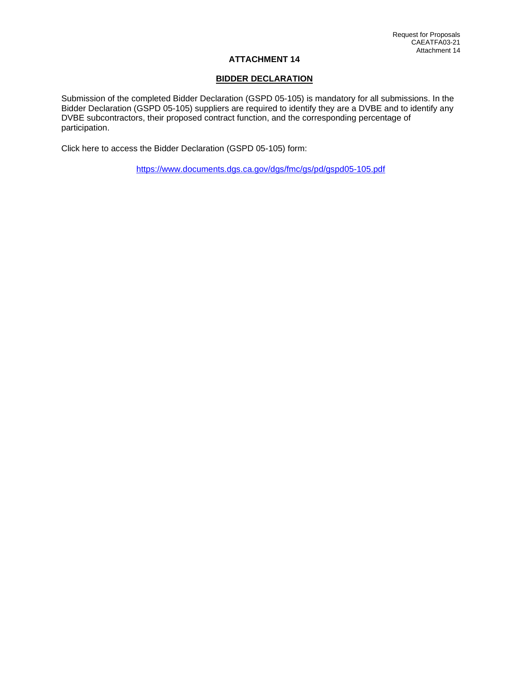## **BIDDER DECLARATION**

Submission of the completed Bidder Declaration (GSPD 05-105) is mandatory for all submissions. In the Bidder Declaration (GSPD 05-105) suppliers are required to identify they are a DVBE and to identify any DVBE subcontractors, their proposed contract function, and the corresponding percentage of participation.

Click here to access the Bidder Declaration (GSPD 05-105) form:

<https://www.documents.dgs.ca.gov/dgs/fmc/gs/pd/gspd05-105.pdf>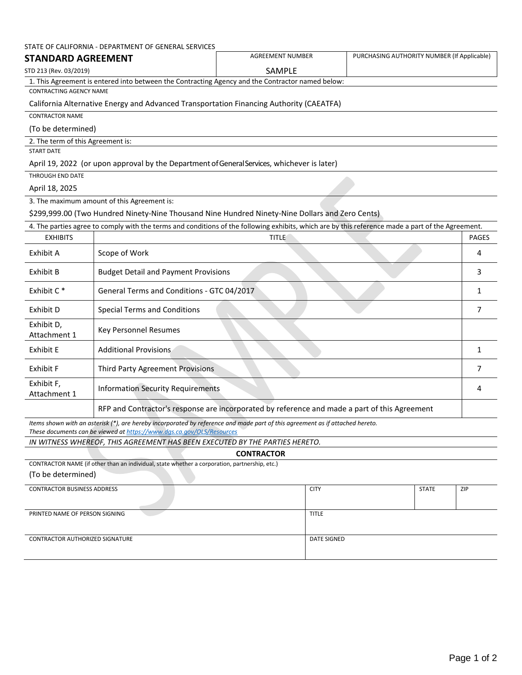|                                   | STATE OF CALIFORNIA - DEPARTMENT OF GENERAL SERVICES                                                                                                                                                   |                  |                                             |                |
|-----------------------------------|--------------------------------------------------------------------------------------------------------------------------------------------------------------------------------------------------------|------------------|---------------------------------------------|----------------|
| <b>STANDARD AGREEMENT</b>         |                                                                                                                                                                                                        | AGREEMENT NUMBER | PURCHASING AUTHORITY NUMBER (If Applicable) |                |
| STD 213 (Rev. 03/2019)            |                                                                                                                                                                                                        | <b>SAMPLE</b>    |                                             |                |
|                                   | 1. This Agreement is entered into between the Contracting Agency and the Contractor named below:                                                                                                       |                  |                                             |                |
| <b>CONTRACTING AGENCY NAME</b>    |                                                                                                                                                                                                        |                  |                                             |                |
|                                   | California Alternative Energy and Advanced Transportation Financing Authority (CAEATFA)                                                                                                                |                  |                                             |                |
| <b>CONTRACTOR NAME</b>            |                                                                                                                                                                                                        |                  |                                             |                |
| (To be determined)                |                                                                                                                                                                                                        |                  |                                             |                |
| 2. The term of this Agreement is: |                                                                                                                                                                                                        |                  |                                             |                |
| <b>START DATE</b>                 |                                                                                                                                                                                                        |                  |                                             |                |
|                                   | April 19, 2022 (or upon approval by the Department of General Services, whichever is later)                                                                                                            |                  |                                             |                |
| THROUGH END DATE                  |                                                                                                                                                                                                        |                  |                                             |                |
| April 18, 2025                    |                                                                                                                                                                                                        |                  |                                             |                |
|                                   | 3. The maximum amount of this Agreement is:                                                                                                                                                            |                  |                                             |                |
|                                   | \$299,999.00 (Two Hundred Ninety-Nine Thousand Nine Hundred Ninety-Nine Dollars and Zero Cents)                                                                                                        |                  |                                             |                |
|                                   | 4. The parties agree to comply with the terms and conditions of the following exhibits, which are by this reference made a part of the Agreement.                                                      |                  |                                             |                |
| <b>EXHIBITS</b>                   |                                                                                                                                                                                                        | <b>TITLE</b>     |                                             | <b>PAGES</b>   |
| Exhibit A                         | Scope of Work                                                                                                                                                                                          |                  |                                             | 4              |
| Exhibit B                         | <b>Budget Detail and Payment Provisions</b>                                                                                                                                                            |                  |                                             | 3              |
| Exhibit C <sup>*</sup>            | General Terms and Conditions - GTC 04/2017                                                                                                                                                             |                  |                                             | $\mathbf{1}$   |
| Exhibit D                         | <b>Special Terms and Conditions</b>                                                                                                                                                                    |                  |                                             | $\overline{7}$ |
| Exhibit D,<br>Attachment 1        | Key Personnel Resumes                                                                                                                                                                                  |                  |                                             |                |
| Exhibit E                         | <b>Additional Provisions</b>                                                                                                                                                                           |                  |                                             | $\mathbf{1}$   |
| Exhibit F                         | Third Party Agreement Provisions                                                                                                                                                                       |                  |                                             | 7              |
| Exhibit F,<br>Attachment 1        | <b>Information Security Requirements</b>                                                                                                                                                               |                  |                                             | 4              |
|                                   | RFP and Contractor's response are incorporated by reference and made a part of this Agreement                                                                                                          |                  |                                             |                |
|                                   | Items shown with an asterisk (*), are hereby incorporated by reference and made part of this agreement as if attached hereto.<br>These documents can be viewed at https://www.dgs.ca.gov/OLS/Resources |                  |                                             |                |
|                                   | IN WITNESS WHEREOF, THIS AGREEMENT HAS BEEN EXECUTED BY THE PARTIES HERETO.                                                                                                                            |                  |                                             |                |

| <b>CONTRACTOR</b>                                                                             |                    |              |     |
|-----------------------------------------------------------------------------------------------|--------------------|--------------|-----|
| CONTRACTOR NAME (if other than an individual, state whether a corporation, partnership, etc.) |                    |              |     |
| (To be determined)                                                                            |                    |              |     |
| <b>CONTRACTOR BUSINESS ADDRESS</b>                                                            | <b>CITY</b>        | <b>STATE</b> | ZIP |
| PRINTED NAME OF PERSON SIGNING                                                                | <b>TITLE</b>       |              |     |
| <b>CONTRACTOR AUTHORIZED SIGNATURE</b>                                                        | <b>DATE SIGNED</b> |              |     |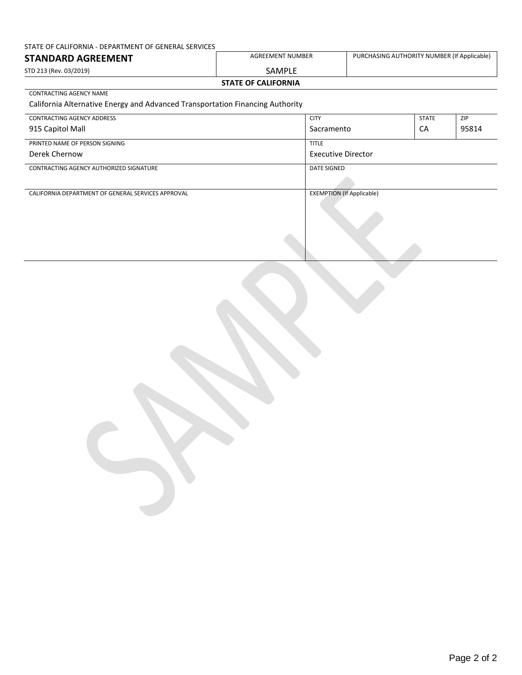# STATE OF CALIFORNIA - DEPARTMENT OF GENERAL SERVICES

| STANDARD AGREEMENT         | AGREEMENT NUMBER | PURCHASING AUTHORITY NUMBER (If Applicable) |  |  |
|----------------------------|------------------|---------------------------------------------|--|--|
| STD 213 (Rev. 03/2019)     | SAMPLE           |                                             |  |  |
| <b>STATE OF CALIFORNIA</b> |                  |                                             |  |  |

#### CONTRACTING AGENCY NAME

# California Alternative Energy and Advanced Transportation Financing Authority

| CONTRACTING AGENCY ADDRESS                         | <b>CITY</b>                      | <b>STATE</b> | ZIP   |
|----------------------------------------------------|----------------------------------|--------------|-------|
| 915 Capitol Mall                                   | Sacramento                       | CA           | 95814 |
| PRINTED NAME OF PERSON SIGNING                     | <b>TITLE</b>                     |              |       |
| Derek Chernow                                      | <b>Executive Director</b>        |              |       |
| CONTRACTING AGENCY AUTHORIZED SIGNATURE            | <b>DATE SIGNED</b>               |              |       |
|                                                    |                                  |              |       |
| CALIFORNIA DEPARTMENT OF GENERAL SERVICES APPROVAL | <b>EXEMPTION (If Applicable)</b> |              |       |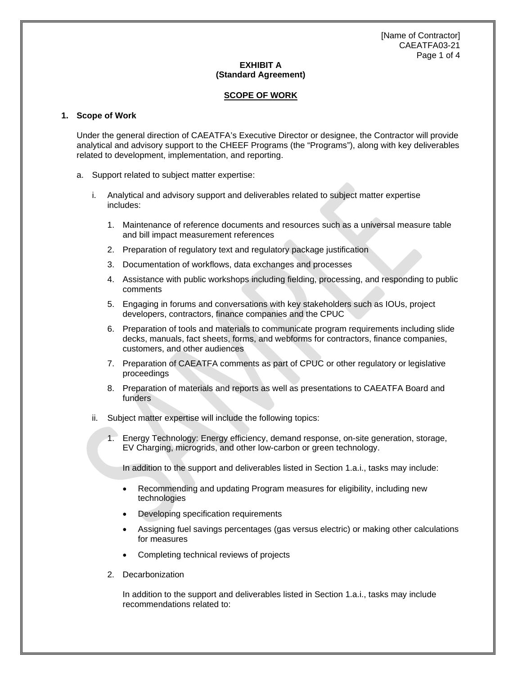[Name of Contractor] CAEATFA03-21 Page 1 of 4

# **EXHIBIT A (Standard Agreement)**

## **SCOPE OF WORK**

#### **1. Scope of Work**

Under the general direction of CAEATFA's Executive Director or designee, the Contractor will provide analytical and advisory support to the CHEEF Programs (the "Programs"), along with key deliverables related to development, implementation, and reporting.

- a. Support related to subject matter expertise:
	- i. Analytical and advisory support and deliverables related to subject matter expertise includes:
		- 1. Maintenance of reference documents and resources such as a universal measure table and bill impact measurement references
		- 2. Preparation of regulatory text and regulatory package justification
		- 3. Documentation of workflows, data exchanges and processes
		- 4. Assistance with public workshops including fielding, processing, and responding to public comments
		- 5. Engaging in forums and conversations with key stakeholders such as IOUs, project developers, contractors, finance companies and the CPUC
		- 6. Preparation of tools and materials to communicate program requirements including slide decks, manuals, fact sheets, forms, and webforms for contractors, finance companies, customers, and other audiences
		- 7. Preparation of CAEATFA comments as part of CPUC or other regulatory or legislative proceedings
		- 8. Preparation of materials and reports as well as presentations to CAEATFA Board and funders
	- ii. Subject matter expertise will include the following topics:
		- 1. Energy Technology: Energy efficiency, demand response, on-site generation, storage, EV Charging, microgrids, and other low-carbon or green technology.

In addition to the support and deliverables listed in Section 1.a.i., tasks may include:

- Recommending and updating Program measures for eligibility, including new technologies
- Developing specification requirements
- Assigning fuel savings percentages (gas versus electric) or making other calculations for measures
- Completing technical reviews of projects
- 2. Decarbonization

In addition to the support and deliverables listed in Section 1.a.i., tasks may include recommendations related to: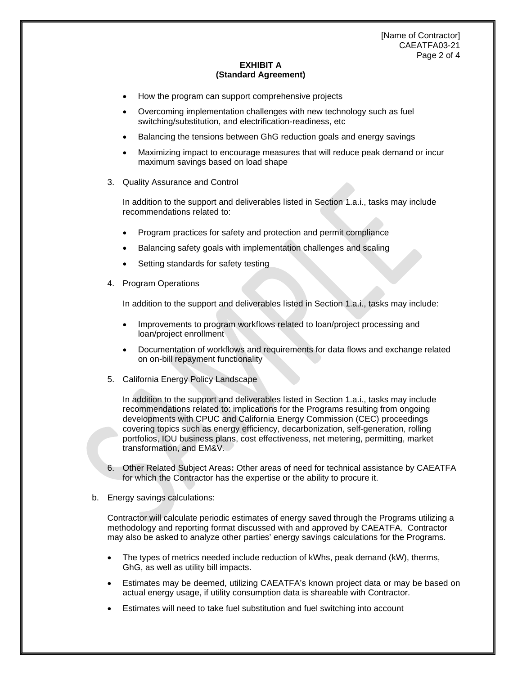[Name of Contractor] CAEATFA03-21 Page 2 of 4

## **EXHIBIT A (Standard Agreement)**

- How the program can support comprehensive projects
- Overcoming implementation challenges with new technology such as fuel switching/substitution, and electrification-readiness, etc
- Balancing the tensions between GhG reduction goals and energy savings
- Maximizing impact to encourage measures that will reduce peak demand or incur maximum savings based on load shape
- 3. Quality Assurance and Control

In addition to the support and deliverables listed in Section 1.a.i., tasks may include recommendations related to:

- Program practices for safety and protection and permit compliance
- Balancing safety goals with implementation challenges and scaling
- Setting standards for safety testing
- 4. Program Operations

In addition to the support and deliverables listed in Section 1.a.i., tasks may include:

- Improvements to program workflows related to loan/project processing and loan/project enrollment
- Documentation of workflows and requirements for data flows and exchange related on on-bill repayment functionality
- 5. California Energy Policy Landscape

In addition to the support and deliverables listed in Section 1.a.i., tasks may include recommendations related to: implications for the Programs resulting from ongoing developments with CPUC and California Energy Commission (CEC) proceedings covering topics such as energy efficiency, decarbonization, self-generation, rolling portfolios, IOU business plans, cost effectiveness, net metering, permitting, market transformation, and EM&V.

- 6. Other Related Subject Areas**:** Other areas of need for technical assistance by CAEATFA for which the Contractor has the expertise or the ability to procure it.
- b. Energy savings calculations:

Contractor will calculate periodic estimates of energy saved through the Programs utilizing a methodology and reporting format discussed with and approved by CAEATFA. Contractor may also be asked to analyze other parties' energy savings calculations for the Programs.

- The types of metrics needed include reduction of kWhs, peak demand (kW), therms, GhG, as well as utility bill impacts.
- Estimates may be deemed, utilizing CAEATFA's known project data or may be based on actual energy usage, if utility consumption data is shareable with Contractor.
- Estimates will need to take fuel substitution and fuel switching into account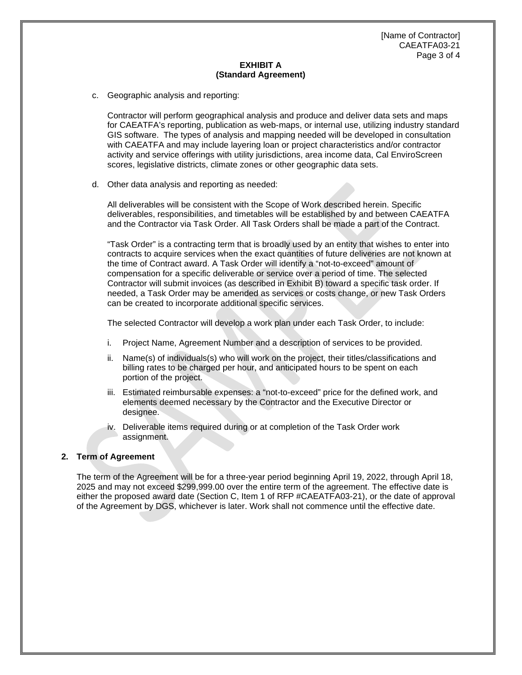[Name of Contractor] CAEATFA03-21 Page 3 of 4

# **EXHIBIT A (Standard Agreement)**

c. Geographic analysis and reporting:

Contractor will perform geographical analysis and produce and deliver data sets and maps for CAEATFA's reporting, publication as web-maps, or internal use, utilizing industry standard GIS software. The types of analysis and mapping needed will be developed in consultation with CAEATFA and may include layering loan or project characteristics and/or contractor activity and service offerings with utility jurisdictions, area income data, Cal EnviroScreen scores, legislative districts, climate zones or other geographic data sets.

d. Other data analysis and reporting as needed:

All deliverables will be consistent with the Scope of Work described herein. Specific deliverables, responsibilities, and timetables will be established by and between CAEATFA and the Contractor via Task Order. All Task Orders shall be made a part of the Contract.

"Task Order" is a contracting term that is broadly used by an entity that wishes to enter into contracts to acquire services when the exact quantities of future deliveries are not known at the time of Contract award. A Task Order will identify a "not-to-exceed" amount of compensation for a specific deliverable or service over a period of time. The selected Contractor will submit invoices (as described in Exhibit B) toward a specific task order. If needed, a Task Order may be amended as services or costs change, or new Task Orders can be created to incorporate additional specific services.

The selected Contractor will develop a work plan under each Task Order, to include:

- i. Project Name, Agreement Number and a description of services to be provided.
- ii. Name(s) of individuals(s) who will work on the project, their titles/classifications and billing rates to be charged per hour, and anticipated hours to be spent on each portion of the project.
- iii. Estimated reimbursable expenses: a "not-to-exceed" price for the defined work, and elements deemed necessary by the Contractor and the Executive Director or designee.
- iv. Deliverable items required during or at completion of the Task Order work assignment.

#### **2. Term of Agreement**

The term of the Agreement will be for a three-year period beginning April 19, 2022, through April 18, 2025 and may not exceed \$299,999.00 over the entire term of the agreement. The effective date is either the proposed award date (Section C, Item 1 of RFP #CAEATFA03-21), or the date of approval of the Agreement by DGS, whichever is later. Work shall not commence until the effective date.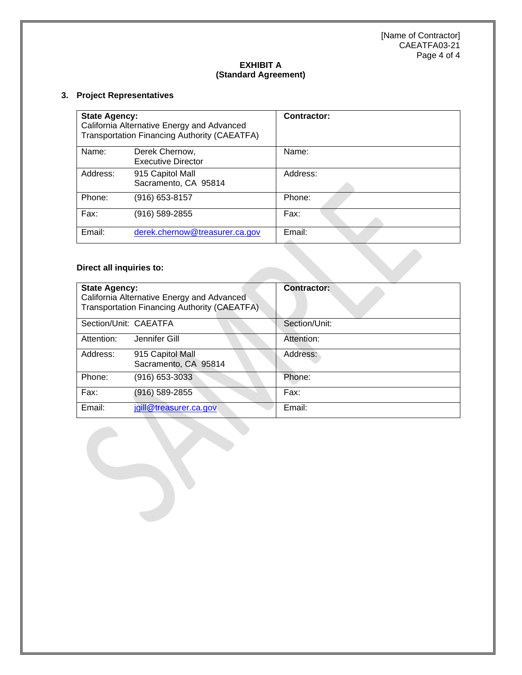[Name of Contractor] CAEATFA03-21 Page 4 of 4

# **EXHIBIT A (Standard Agreement)**

# **3. Project Representatives**

| <b>State Agency:</b><br>California Alternative Energy and Advanced<br>Transportation Financing Authority (CAEATFA) |                                             | <b>Contractor:</b> |
|--------------------------------------------------------------------------------------------------------------------|---------------------------------------------|--------------------|
| Name:                                                                                                              | Derek Chernow,<br><b>Executive Director</b> | Name:              |
| Address:                                                                                                           | 915 Capitol Mall<br>Sacramento, CA 95814    | Address:           |
| Phone:                                                                                                             | (916) 653-8157                              | Phone:             |
| Fax:                                                                                                               | (916) 589-2855                              | Fax:               |
| Email:                                                                                                             | derek.chernow@treasurer.ca.gov              | Email:             |

# **Direct all inquiries to:**

| <b>State Agency:</b><br>California Alternative Energy and Advanced<br>Transportation Financing Authority (CAEATFA). |                                          | <b>Contractor:</b> |
|---------------------------------------------------------------------------------------------------------------------|------------------------------------------|--------------------|
| Section/Unit: CAEATFA                                                                                               |                                          | Section/Unit:      |
| Attention:                                                                                                          | Jennifer Gill                            | Attention:         |
| Address:                                                                                                            | 915 Capitol Mall<br>Sacramento, CA 95814 | Address:           |
| Phone:                                                                                                              | (916) 653-3033                           | Phone:             |
| Fax:                                                                                                                | (916) 589-2855                           | Fax:               |
| Email:                                                                                                              | jgill@treasurer.ca.gov                   | Email:             |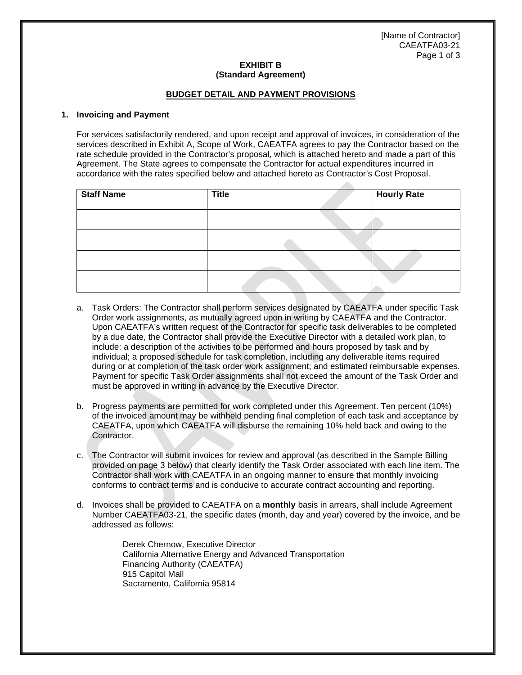[Name of Contractor] CAEATFA03-21 Page 1 of 3

#### **EXHIBIT B (Standard Agreement)**

## **BUDGET DETAIL AND PAYMENT PROVISIONS**

#### **1. Invoicing and Payment**

For services satisfactorily rendered, and upon receipt and approval of invoices, in consideration of the services described in Exhibit A, Scope of Work, CAEATFA agrees to pay the Contractor based on the rate schedule provided in the Contractor's proposal, which is attached hereto and made a part of this Agreement. The State agrees to compensate the Contractor for actual expenditures incurred in accordance with the rates specified below and attached hereto as Contractor's Cost Proposal.

| <b>Staff Name</b> | <b>Title</b> | <b>Hourly Rate</b> |
|-------------------|--------------|--------------------|
|                   |              |                    |
|                   |              |                    |
|                   |              |                    |
|                   |              |                    |

- a. Task Orders: The Contractor shall perform services designated by CAEATFA under specific Task Order work assignments, as mutually agreed upon in writing by CAEATFA and the Contractor. Upon CAEATFA's written request of the Contractor for specific task deliverables to be completed by a due date, the Contractor shall provide the Executive Director with a detailed work plan, to include: a description of the activities to be performed and hours proposed by task and by individual; a proposed schedule for task completion, including any deliverable items required during or at completion of the task order work assignment; and estimated reimbursable expenses. Payment for specific Task Order assignments shall not exceed the amount of the Task Order and must be approved in writing in advance by the Executive Director.
- b. Progress payments are permitted for work completed under this Agreement. Ten percent (10%) of the invoiced amount may be withheld pending final completion of each task and acceptance by CAEATFA, upon which CAEATFA will disburse the remaining 10% held back and owing to the Contractor.
- c. The Contractor will submit invoices for review and approval (as described in the Sample Billing provided on page 3 below) that clearly identify the Task Order associated with each line item. The Contractor shall work with CAEATFA in an ongoing manner to ensure that monthly invoicing conforms to contract terms and is conducive to accurate contract accounting and reporting.
- d. Invoices shall be provided to CAEATFA on a **monthly** basis in arrears, shall include Agreement Number CAEATFA03-21, the specific dates (month, day and year) covered by the invoice, and be addressed as follows:

Derek Chernow, Executive Director California Alternative Energy and Advanced Transportation Financing Authority (CAEATFA) 915 Capitol Mall Sacramento, California 95814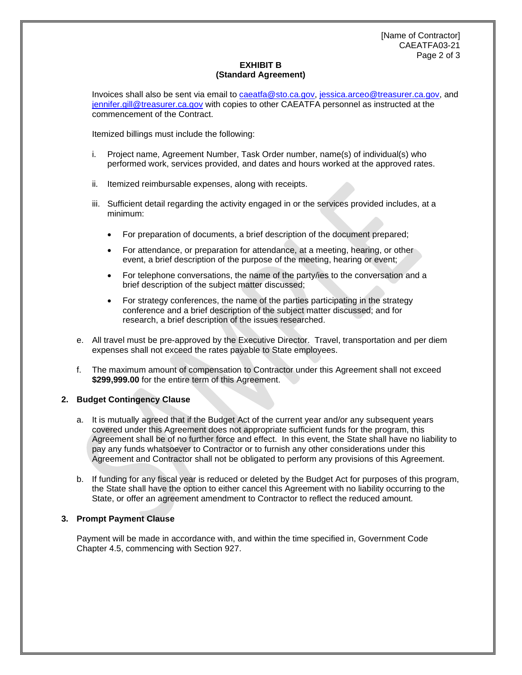# **EXHIBIT B (Standard Agreement)**

Invoices shall also be sent via email to [caeatfa@sto.ca.gov,](mailto:caeatfa@sto.ca.gov) [jessica.arceo@treasurer.ca.gov,](mailto:jessica.arceo@treasurer.ca.gov) and [jennifer.gill@treasurer.ca.gov](mailto:jennifer.gill@treasurer.ca.gov) with copies to other CAEATFA personnel as instructed at the commencement of the Contract.

Itemized billings must include the following:

- i. Project name, Agreement Number, Task Order number, name(s) of individual(s) who performed work, services provided, and dates and hours worked at the approved rates.
- ii. Itemized reimbursable expenses, along with receipts.
- iii. Sufficient detail regarding the activity engaged in or the services provided includes, at a minimum:
	- For preparation of documents, a brief description of the document prepared;
	- For attendance, or preparation for attendance, at a meeting, hearing, or other event, a brief description of the purpose of the meeting, hearing or event;
	- For telephone conversations, the name of the party/ies to the conversation and a brief description of the subject matter discussed;
	- For strategy conferences, the name of the parties participating in the strategy conference and a brief description of the subject matter discussed; and for research, a brief description of the issues researched.
- e. All travel must be pre-approved by the Executive Director. Travel, transportation and per diem expenses shall not exceed the rates payable to State employees.
- f. The maximum amount of compensation to Contractor under this Agreement shall not exceed **\$299,999.00** for the entire term of this Agreement.

#### **2. Budget Contingency Clause**

- a. It is mutually agreed that if the Budget Act of the current year and/or any subsequent years covered under this Agreement does not appropriate sufficient funds for the program, this Agreement shall be of no further force and effect. In this event, the State shall have no liability to pay any funds whatsoever to Contractor or to furnish any other considerations under this Agreement and Contractor shall not be obligated to perform any provisions of this Agreement.
- b. If funding for any fiscal year is reduced or deleted by the Budget Act for purposes of this program, the State shall have the option to either cancel this Agreement with no liability occurring to the State, or offer an agreement amendment to Contractor to reflect the reduced amount.

#### **3. Prompt Payment Clause**

Payment will be made in accordance with, and within the time specified in, Government Code Chapter 4.5, commencing with Section 927.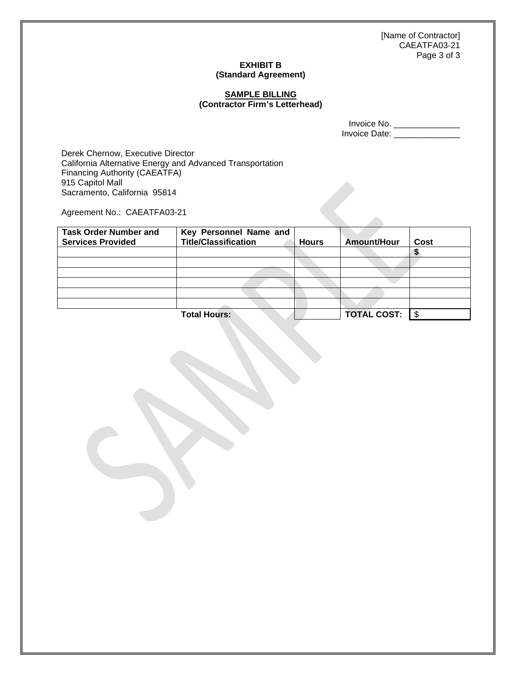[Name of Contractor] CAEATFA03-21 Page 3 of 3

# **EXHIBIT B (Standard Agreement)**

### **SAMPLE BILLING (Contractor Firm's Letterhead)**

Invoice No. \_\_\_\_\_\_\_\_\_\_\_\_\_\_ Invoice Date: \_\_\_\_\_\_\_\_\_\_\_\_\_\_\_\_

Derek Chernow, Executive Director California Alternative Energy and Advanced Transportation Financing Authority (CAEATFA) 915 Capitol Mall Sacramento, California 95814

Agreement No.: CAEATFA03-21

| <b>Task Order Number and</b><br><b>Services Provided</b> | Key Personnel Name and<br><b>Title/Classification</b> | <b>Hours</b> | Amount/Hour        | Cost |
|----------------------------------------------------------|-------------------------------------------------------|--------------|--------------------|------|
|                                                          |                                                       |              |                    |      |
|                                                          |                                                       |              |                    |      |
|                                                          |                                                       |              |                    |      |
|                                                          |                                                       |              |                    |      |
|                                                          |                                                       |              |                    |      |
|                                                          |                                                       |              |                    |      |
|                                                          | <b>Total Hours:</b>                                   |              | <b>TOTAL COST:</b> |      |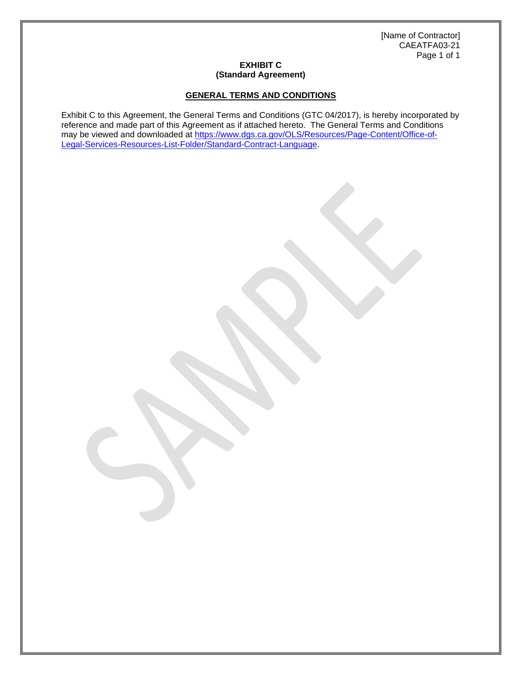[Name of Contractor] CAEATFA03-21 Page 1 of 1

## **EXHIBIT C (Standard Agreement)**

# **GENERAL TERMS AND CONDITIONS**

Exhibit C to this Agreement, the General Terms and Conditions (GTC 04/2017), is hereby incorporated by reference and made part of this Agreement as if attached hereto. The General Terms and Conditions may be viewed and downloaded at [https://www.dgs.ca.gov/OLS/Resources/Page-Content/Office-of-](https://www.dgs.ca.gov/OLS/Resources/Page-Content/Office-of-Legal-Services-Resources-List-Folder/Standard-Contract-Language)[Legal-Services-Resources-List-Folder/Standard-Contract-Language.](https://www.dgs.ca.gov/OLS/Resources/Page-Content/Office-of-Legal-Services-Resources-List-Folder/Standard-Contract-Language)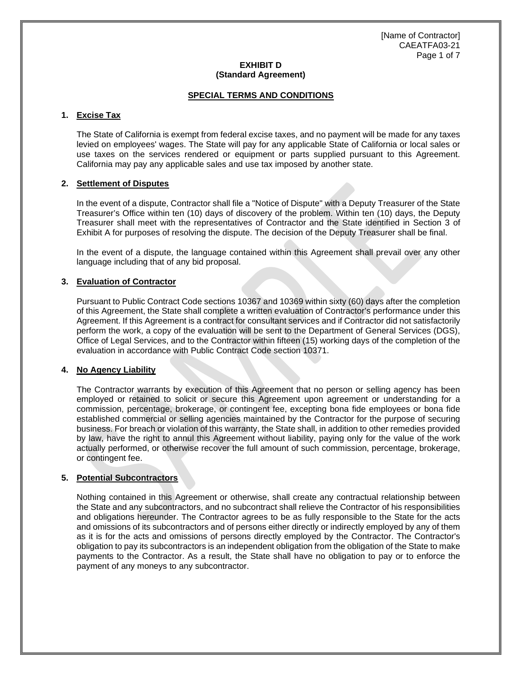## **EXHIBIT D (Standard Agreement)**

## **SPECIAL TERMS AND CONDITIONS**

# **1. Excise Tax**

The State of California is exempt from federal excise taxes, and no payment will be made for any taxes levied on employees' wages. The State will pay for any applicable State of California or local sales or use taxes on the services rendered or equipment or parts supplied pursuant to this Agreement. California may pay any applicable sales and use tax imposed by another state.

#### **2. Settlement of Disputes**

In the event of a dispute, Contractor shall file a "Notice of Dispute" with a Deputy Treasurer of the State Treasurer's Office within ten (10) days of discovery of the problem. Within ten (10) days, the Deputy Treasurer shall meet with the representatives of Contractor and the State identified in Section 3 of Exhibit A for purposes of resolving the dispute. The decision of the Deputy Treasurer shall be final.

In the event of a dispute, the language contained within this Agreement shall prevail over any other language including that of any bid proposal.

#### **3. Evaluation of Contractor**

Pursuant to Public Contract Code sections 10367 and 10369 within sixty (60) days after the completion of this Agreement, the State shall complete a written evaluation of Contractor's performance under this Agreement. If this Agreement is a contract for consultant services and if Contractor did not satisfactorily perform the work, a copy of the evaluation will be sent to the Department of General Services (DGS), Office of Legal Services, and to the Contractor within fifteen (15) working days of the completion of the evaluation in accordance with Public Contract Code section 10371.

#### **4. No Agency Liability**

The Contractor warrants by execution of this Agreement that no person or selling agency has been employed or retained to solicit or secure this Agreement upon agreement or understanding for a commission, percentage, brokerage, or contingent fee, excepting bona fide employees or bona fide established commercial or selling agencies maintained by the Contractor for the purpose of securing business. For breach or violation of this warranty, the State shall, in addition to other remedies provided by law, have the right to annul this Agreement without liability, paying only for the value of the work actually performed, or otherwise recover the full amount of such commission, percentage, brokerage, or contingent fee.

# **5. Potential Subcontractors**

Nothing contained in this Agreement or otherwise, shall create any contractual relationship between the State and any subcontractors, and no subcontract shall relieve the Contractor of his responsibilities and obligations hereunder. The Contractor agrees to be as fully responsible to the State for the acts and omissions of its subcontractors and of persons either directly or indirectly employed by any of them as it is for the acts and omissions of persons directly employed by the Contractor. The Contractor's obligation to pay its subcontractors is an independent obligation from the obligation of the State to make payments to the Contractor. As a result, the State shall have no obligation to pay or to enforce the payment of any moneys to any subcontractor.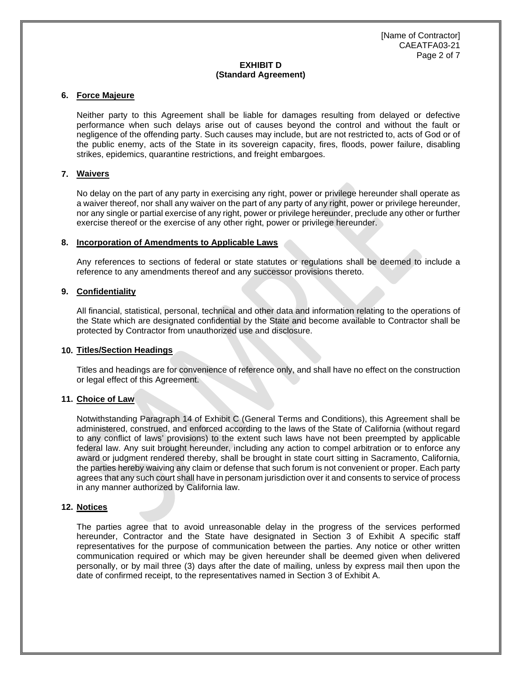# **EXHIBIT D (Standard Agreement)**

#### **6. Force Majeure**

Neither party to this Agreement shall be liable for damages resulting from delayed or defective performance when such delays arise out of causes beyond the control and without the fault or negligence of the offending party. Such causes may include, but are not restricted to, acts of God or of the public enemy, acts of the State in its sovereign capacity, fires, floods, power failure, disabling strikes, epidemics, quarantine restrictions, and freight embargoes.

#### **7. Waivers**

No delay on the part of any party in exercising any right, power or privilege hereunder shall operate as a waiver thereof, nor shall any waiver on the part of any party of any right, power or privilege hereunder, nor any single or partial exercise of any right, power or privilege hereunder, preclude any other or further exercise thereof or the exercise of any other right, power or privilege hereunder.

#### **8. Incorporation of Amendments to Applicable Laws**

Any references to sections of federal or state statutes or regulations shall be deemed to include a reference to any amendments thereof and any successor provisions thereto.

#### **9. Confidentiality**

All financial, statistical, personal, technical and other data and information relating to the operations of the State which are designated confidential by the State and become available to Contractor shall be protected by Contractor from unauthorized use and disclosure.

#### **10. Titles/Section Headings**

Titles and headings are for convenience of reference only, and shall have no effect on the construction or legal effect of this Agreement.

#### **11. Choice of Law**

Notwithstanding Paragraph 14 of Exhibit C (General Terms and Conditions), this Agreement shall be administered, construed, and enforced according to the laws of the State of California (without regard to any conflict of laws' provisions) to the extent such laws have not been preempted by applicable federal law. Any suit brought hereunder, including any action to compel arbitration or to enforce any award or judgment rendered thereby, shall be brought in state court sitting in Sacramento, California, the parties hereby waiving any claim or defense that such forum is not convenient or proper. Each party agrees that any such court shall have in personam jurisdiction over it and consents to service of process in any manner authorized by California law.

#### **12. Notices**

The parties agree that to avoid unreasonable delay in the progress of the services performed hereunder, Contractor and the State have designated in Section 3 of Exhibit A specific staff representatives for the purpose of communication between the parties. Any notice or other written communication required or which may be given hereunder shall be deemed given when delivered personally, or by mail three (3) days after the date of mailing, unless by express mail then upon the date of confirmed receipt, to the representatives named in Section 3 of Exhibit A.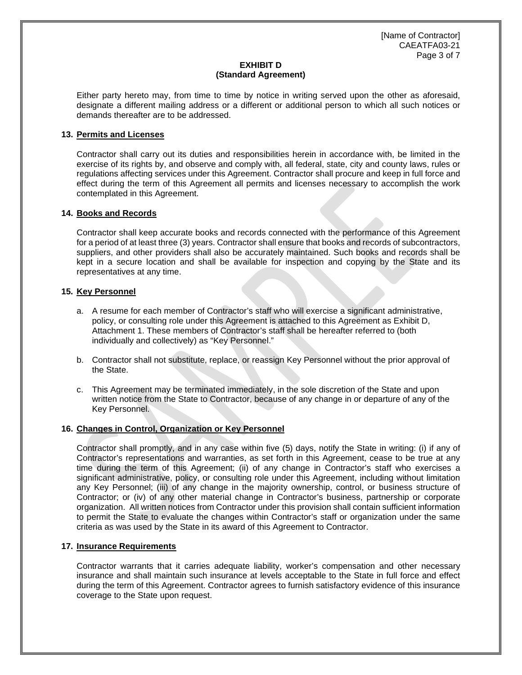[Name of Contractor] CAEATFA03-21 Page 3 of 7

# **EXHIBIT D (Standard Agreement)**

Either party hereto may, from time to time by notice in writing served upon the other as aforesaid, designate a different mailing address or a different or additional person to which all such notices or demands thereafter are to be addressed.

# **13. Permits and Licenses**

Contractor shall carry out its duties and responsibilities herein in accordance with, be limited in the exercise of its rights by, and observe and comply with, all federal, state, city and county laws, rules or regulations affecting services under this Agreement. Contractor shall procure and keep in full force and effect during the term of this Agreement all permits and licenses necessary to accomplish the work contemplated in this Agreement.

# **14. Books and Records**

Contractor shall keep accurate books and records connected with the performance of this Agreement for a period of at least three (3) years. Contractor shall ensure that books and records of subcontractors, suppliers, and other providers shall also be accurately maintained. Such books and records shall be kept in a secure location and shall be available for inspection and copying by the State and its representatives at any time.

#### **15. Key Personnel**

- a. A resume for each member of Contractor's staff who will exercise a significant administrative, policy, or consulting role under this Agreement is attached to this Agreement as Exhibit D, Attachment 1. These members of Contractor's staff shall be hereafter referred to (both individually and collectively) as "Key Personnel."
- b. Contractor shall not substitute, replace, or reassign Key Personnel without the prior approval of the State.
- c. This Agreement may be terminated immediately, in the sole discretion of the State and upon written notice from the State to Contractor, because of any change in or departure of any of the Key Personnel.

#### **16. Changes in Control, Organization or Key Personnel**

Contractor shall promptly, and in any case within five (5) days, notify the State in writing: (i) if any of Contractor's representations and warranties, as set forth in this Agreement, cease to be true at any time during the term of this Agreement; (ii) of any change in Contractor's staff who exercises a significant administrative, policy, or consulting role under this Agreement, including without limitation any Key Personnel; (iii) of any change in the majority ownership, control, or business structure of Contractor; or (iv) of any other material change in Contractor's business, partnership or corporate organization. All written notices from Contractor under this provision shall contain sufficient information to permit the State to evaluate the changes within Contractor's staff or organization under the same criteria as was used by the State in its award of this Agreement to Contractor.

#### **17. Insurance Requirements**

Contractor warrants that it carries adequate liability, worker's compensation and other necessary insurance and shall maintain such insurance at levels acceptable to the State in full force and effect during the term of this Agreement. Contractor agrees to furnish satisfactory evidence of this insurance coverage to the State upon request.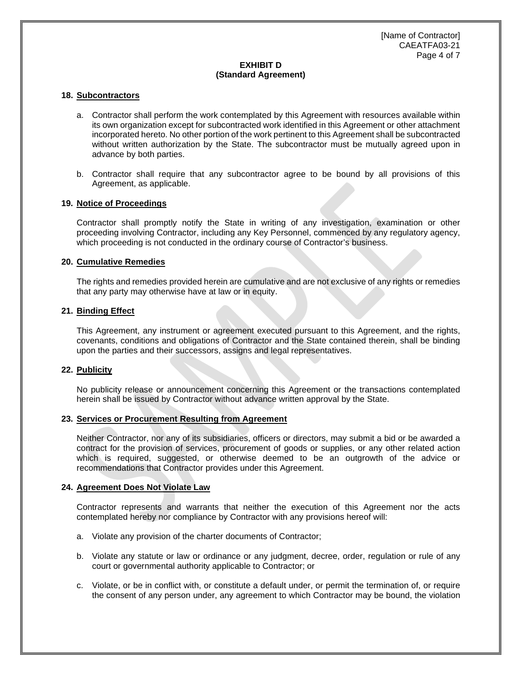# **EXHIBIT D (Standard Agreement)**

#### **18. Subcontractors**

- a. Contractor shall perform the work contemplated by this Agreement with resources available within its own organization except for subcontracted work identified in this Agreement or other attachment incorporated hereto. No other portion of the work pertinent to this Agreement shall be subcontracted without written authorization by the State. The subcontractor must be mutually agreed upon in advance by both parties.
- b. Contractor shall require that any subcontractor agree to be bound by all provisions of this Agreement, as applicable.

#### **19. Notice of Proceedings**

Contractor shall promptly notify the State in writing of any investigation, examination or other proceeding involving Contractor, including any Key Personnel, commenced by any regulatory agency, which proceeding is not conducted in the ordinary course of Contractor's business.

#### **20. Cumulative Remedies**

The rights and remedies provided herein are cumulative and are not exclusive of any rights or remedies that any party may otherwise have at law or in equity.

#### **21. Binding Effect**

This Agreement, any instrument or agreement executed pursuant to this Agreement, and the rights, covenants, conditions and obligations of Contractor and the State contained therein, shall be binding upon the parties and their successors, assigns and legal representatives.

## **22. Publicity**

No publicity release or announcement concerning this Agreement or the transactions contemplated herein shall be issued by Contractor without advance written approval by the State.

#### **23. Services or Procurement Resulting from Agreement**

Neither Contractor, nor any of its subsidiaries, officers or directors, may submit a bid or be awarded a contract for the provision of services, procurement of goods or supplies, or any other related action which is required, suggested, or otherwise deemed to be an outgrowth of the advice or recommendations that Contractor provides under this Agreement.

#### **24. Agreement Does Not Violate Law**

Contractor represents and warrants that neither the execution of this Agreement nor the acts contemplated hereby nor compliance by Contractor with any provisions hereof will:

- a. Violate any provision of the charter documents of Contractor;
- b. Violate any statute or law or ordinance or any judgment, decree, order, regulation or rule of any court or governmental authority applicable to Contractor; or
- c. Violate, or be in conflict with, or constitute a default under, or permit the termination of, or require the consent of any person under, any agreement to which Contractor may be bound, the violation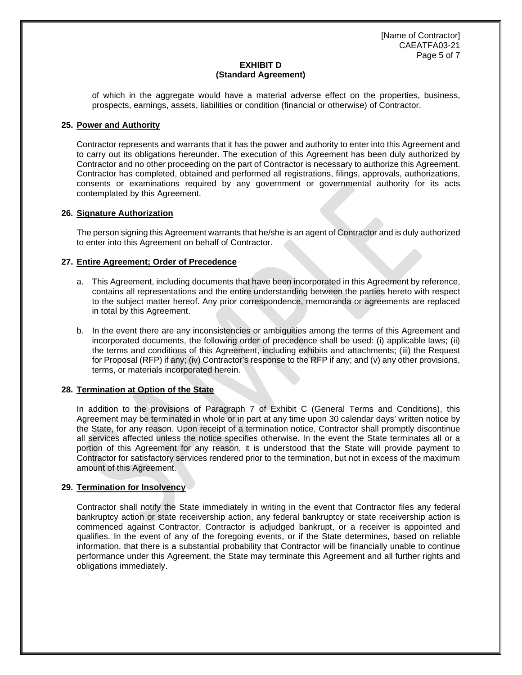[Name of Contractor] CAEATFA03-21 Page 5 of 7

## **EXHIBIT D (Standard Agreement)**

of which in the aggregate would have a material adverse effect on the properties, business, prospects, earnings, assets, liabilities or condition (financial or otherwise) of Contractor.

## **25. Power and Authority**

Contractor represents and warrants that it has the power and authority to enter into this Agreement and to carry out its obligations hereunder. The execution of this Agreement has been duly authorized by Contractor and no other proceeding on the part of Contractor is necessary to authorize this Agreement. Contractor has completed, obtained and performed all registrations, filings, approvals, authorizations, consents or examinations required by any government or governmental authority for its acts contemplated by this Agreement.

# **26. Signature Authorization**

The person signing this Agreement warrants that he/she is an agent of Contractor and is duly authorized to enter into this Agreement on behalf of Contractor.

# **27. Entire Agreement; Order of Precedence**

- a. This Agreement, including documents that have been incorporated in this Agreement by reference, contains all representations and the entire understanding between the parties hereto with respect to the subject matter hereof. Any prior correspondence, memoranda or agreements are replaced in total by this Agreement.
- b. In the event there are any inconsistencies or ambiguities among the terms of this Agreement and incorporated documents, the following order of precedence shall be used: (i) applicable laws; (ii) the terms and conditions of this Agreement, including exhibits and attachments; (iii) the Request for Proposal (RFP) if any; (iv) Contractor's response to the RFP if any; and (v) any other provisions, terms, or materials incorporated herein.

# **28. Termination at Option of the State**

In addition to the provisions of Paragraph 7 of Exhibit C (General Terms and Conditions), this Agreement may be terminated in whole or in part at any time upon 30 calendar days' written notice by the State, for any reason. Upon receipt of a termination notice, Contractor shall promptly discontinue all services affected unless the notice specifies otherwise. In the event the State terminates all or a portion of this Agreement for any reason, it is understood that the State will provide payment to Contractor for satisfactory services rendered prior to the termination, but not in excess of the maximum amount of this Agreement.

#### **29. Termination for Insolvency**

Contractor shall notify the State immediately in writing in the event that Contractor files any federal bankruptcy action or state receivership action, any federal bankruptcy or state receivership action is commenced against Contractor, Contractor is adjudged bankrupt, or a receiver is appointed and qualifies. In the event of any of the foregoing events, or if the State determines, based on reliable information, that there is a substantial probability that Contractor will be financially unable to continue performance under this Agreement, the State may terminate this Agreement and all further rights and obligations immediately.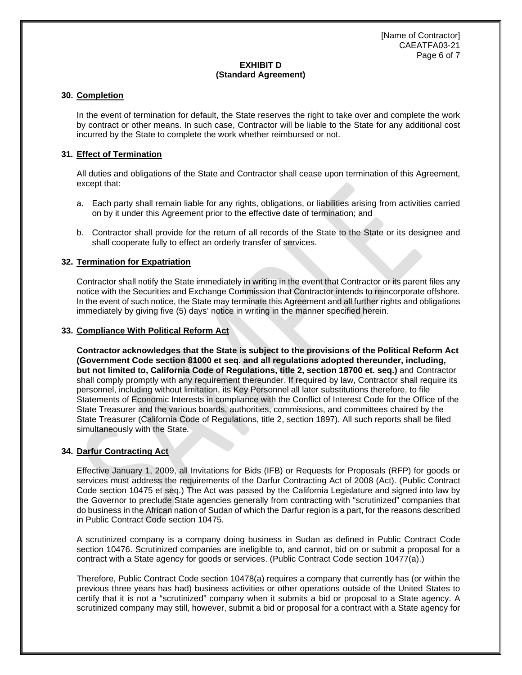# **EXHIBIT D (Standard Agreement)**

## **30. Completion**

In the event of termination for default, the State reserves the right to take over and complete the work by contract or other means. In such case, Contractor will be liable to the State for any additional cost incurred by the State to complete the work whether reimbursed or not.

# **31. Effect of Termination**

All duties and obligations of the State and Contractor shall cease upon termination of this Agreement, except that:

- a. Each party shall remain liable for any rights, obligations, or liabilities arising from activities carried on by it under this Agreement prior to the effective date of termination; and
- b. Contractor shall provide for the return of all records of the State to the State or its designee and shall cooperate fully to effect an orderly transfer of services.

# **32. Termination for Expatriation**

Contractor shall notify the State immediately in writing in the event that Contractor or its parent files any notice with the Securities and Exchange Commission that Contractor intends to reincorporate offshore. In the event of such notice, the State may terminate this Agreement and all further rights and obligations immediately by giving five (5) days' notice in writing in the manner specified herein.

#### **33. Compliance With Political Reform Act**

**Contractor acknowledges that the State is subject to the provisions of the Political Reform Act (Government Code section 81000 et seq. and all regulations adopted thereunder, including, but not limited to, California Code of Regulations, title 2, section 18700 et. seq.)** and Contractor shall comply promptly with any requirement thereunder. If required by law, Contractor shall require its personnel, including without limitation, its Key Personnel all later substitutions therefore, to file Statements of Economic Interests in compliance with the Conflict of Interest Code for the Office of the State Treasurer and the various boards, authorities, commissions, and committees chaired by the State Treasurer (California Code of Regulations, title 2, section 1897). All such reports shall be filed simultaneously with the State*.*

#### **34. Darfur Contracting Act**

Effective January 1, 2009, all Invitations for Bids (IFB) or Requests for Proposals (RFP) for goods or services must address the requirements of the Darfur Contracting Act of 2008 (Act). (Public Contract Code section 10475 et seq.) The Act was passed by the California Legislature and signed into law by the Governor to preclude State agencies generally from contracting with "scrutinized" companies that do business in the African nation of Sudan of which the Darfur region is a part, for the reasons described in Public Contract Code section 10475.

A scrutinized company is a company doing business in Sudan as defined in Public Contract Code section 10476. Scrutinized companies are ineligible to, and cannot, bid on or submit a proposal for a contract with a State agency for goods or services. (Public Contract Code section 10477(a).)

Therefore, Public Contract Code section 10478(a) requires a company that currently has (or within the previous three years has had) business activities or other operations outside of the United States to certify that it is not a "scrutinized" company when it submits a bid or proposal to a State agency. A scrutinized company may still, however, submit a bid or proposal for a contract with a State agency for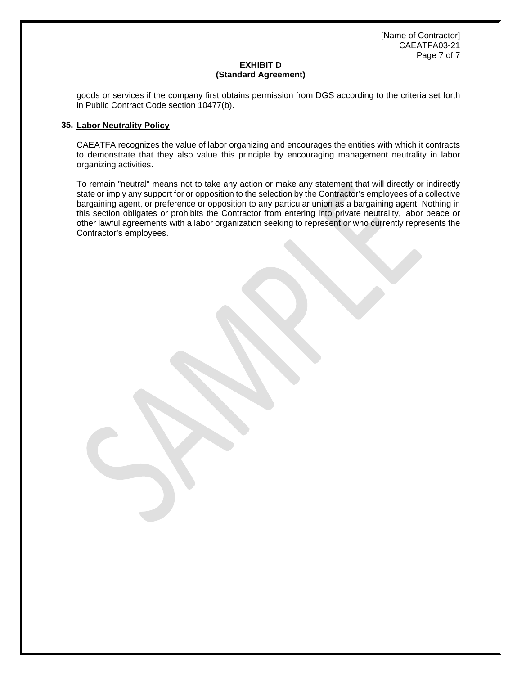[Name of Contractor] CAEATFA03-21 Page 7 of 7

# **EXHIBIT D (Standard Agreement)**

goods or services if the company first obtains permission from DGS according to the criteria set forth in Public Contract Code section 10477(b).

## **35. Labor Neutrality Policy**

CAEATFA recognizes the value of labor organizing and encourages the entities with which it contracts to demonstrate that they also value this principle by encouraging management neutrality in labor organizing activities.

To remain "neutral" means not to take any action or make any statement that will directly or indirectly state or imply any support for or opposition to the selection by the Contractor's employees of a collective bargaining agent, or preference or opposition to any particular union as a bargaining agent. Nothing in this section obligates or prohibits the Contractor from entering into private neutrality, labor peace or other lawful agreements with a labor organization seeking to represent or who currently represents the Contractor's employees.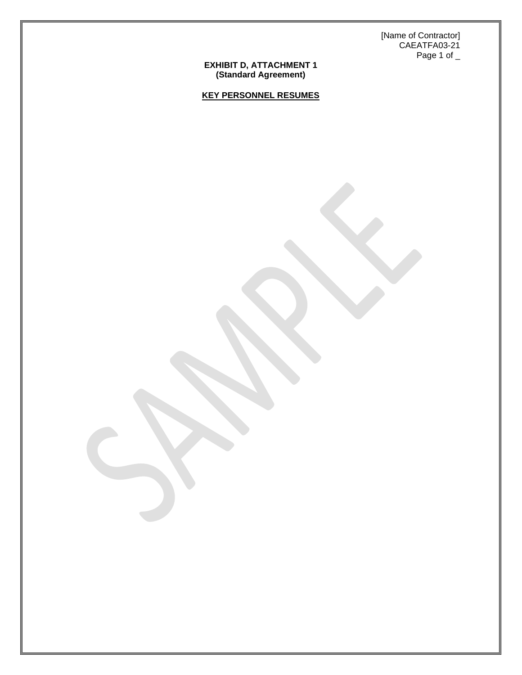[Name of Contractor] CAEATFA03-21 Page 1 of  $\_$ 

#### **EXHIBIT D, ATTACHMENT 1 (Standard Agreement)**

**KEY PERSONNEL RESUMES**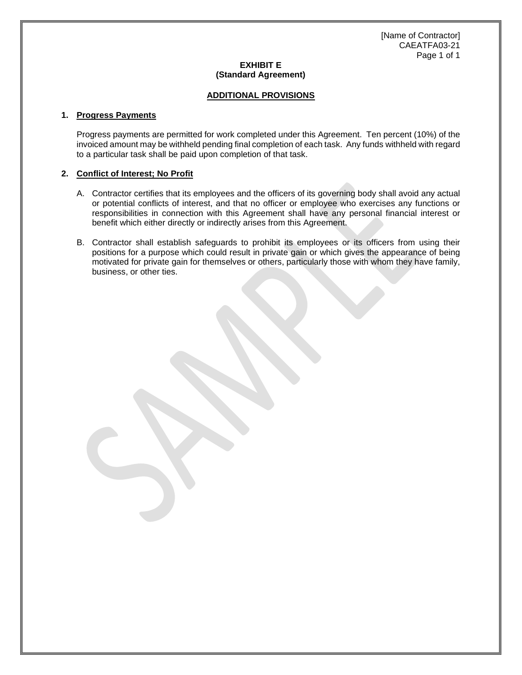# **EXHIBIT E (Standard Agreement)**

## **ADDITIONAL PROVISIONS**

## **1. Progress Payments**

Progress payments are permitted for work completed under this Agreement. Ten percent (10%) of the invoiced amount may be withheld pending final completion of each task. Any funds withheld with regard to a particular task shall be paid upon completion of that task.

# **2. Conflict of Interest; No Profit**

- A. Contractor certifies that its employees and the officers of its governing body shall avoid any actual or potential conflicts of interest, and that no officer or employee who exercises any functions or responsibilities in connection with this Agreement shall have any personal financial interest or benefit which either directly or indirectly arises from this Agreement.
- B. Contractor shall establish safeguards to prohibit its employees or its officers from using their positions for a purpose which could result in private gain or which gives the appearance of being motivated for private gain for themselves or others, particularly those with whom they have family, business, or other ties.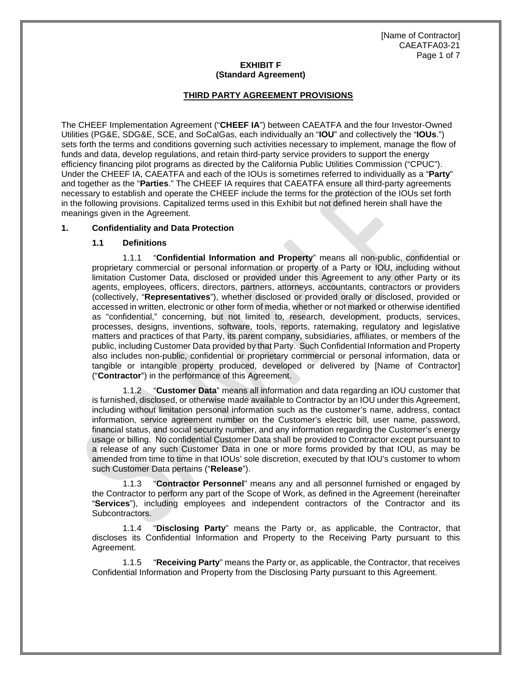## **EXHIBIT F (Standard Agreement)**

## **THIRD PARTY AGREEMENT PROVISIONS**

The CHEEF Implementation Agreement ("**CHEEF IA**") between CAEATFA and the four Investor-Owned Utilities (PG&E, SDG&E, SCE, and SoCalGas, each individually an "**IOU**" and collectively the "**IOUs**.") sets forth the terms and conditions governing such activities necessary to implement, manage the flow of funds and data, develop regulations, and retain third-party service providers to support the energy efficiency financing pilot programs as directed by the California Public Utilities Commission ("CPUC"). Under the CHEEF IA, CAEATFA and each of the IOUs is sometimes referred to individually as a "**Party**" and together as the "**Parties**." The CHEEF IA requires that CAEATFA ensure all third-party agreements necessary to establish and operate the CHEEF include the terms for the protection of the IOUs set forth in the following provisions. Capitalized terms used in this Exhibit but not defined herein shall have the meanings given in the Agreement.

# **1. Confidentiality and Data Protection**

#### **1.1 Definitions**

1.1.1 "**Confidential Information and Property**" means all non-public, confidential or proprietary commercial or personal information or property of a Party or IOU, including without limitation Customer Data, disclosed or provided under this Agreement to any other Party or its agents, employees, officers, directors, partners, attorneys, accountants, contractors or providers (collectively, "**Representatives**"), whether disclosed or provided orally or disclosed, provided or accessed in written, electronic or other form of media, whether or not marked or otherwise identified as "confidential," concerning, but not limited to, research, development, products, services, processes, designs, inventions, software, tools, reports, ratemaking, regulatory and legislative matters and practices of that Party, its parent company, subsidiaries, affiliates, or members of the public, including Customer Data provided by that Party. Such Confidential Information and Property also includes non-public, confidential or proprietary commercial or personal information, data or tangible or intangible property produced, developed or delivered by [Name of Contractor] ("**Contractor**") in the performance of this Agreement.

1.1.2 "**Customer Data**" means all information and data regarding an IOU customer that is furnished, disclosed, or otherwise made available to Contractor by an IOU under this Agreement, including without limitation personal information such as the customer's name, address, contact information, service agreement number on the Customer's electric bill, user name, password, financial status, and social security number, and any information regarding the Customer's energy usage or billing. No confidential Customer Data shall be provided to Contractor except pursuant to a release of any such Customer Data in one or more forms provided by that IOU, as may be amended from time to time in that IOUs' sole discretion, executed by that IOU's customer to whom such Customer Data pertains ("**Release**").

1.1.3 "**Contractor Personnel**" means any and all personnel furnished or engaged by the Contractor to perform any part of the Scope of Work, as defined in the Agreement (hereinafter "**Services**"), including employees and independent contractors of the Contractor and its Subcontractors.

1.1.4 "**Disclosing Party**" means the Party or, as applicable, the Contractor, that discloses its Confidential Information and Property to the Receiving Party pursuant to this Agreement.

1.1.5 "**Receiving Party**" means the Party or, as applicable, the Contractor, that receives Confidential Information and Property from the Disclosing Party pursuant to this Agreement.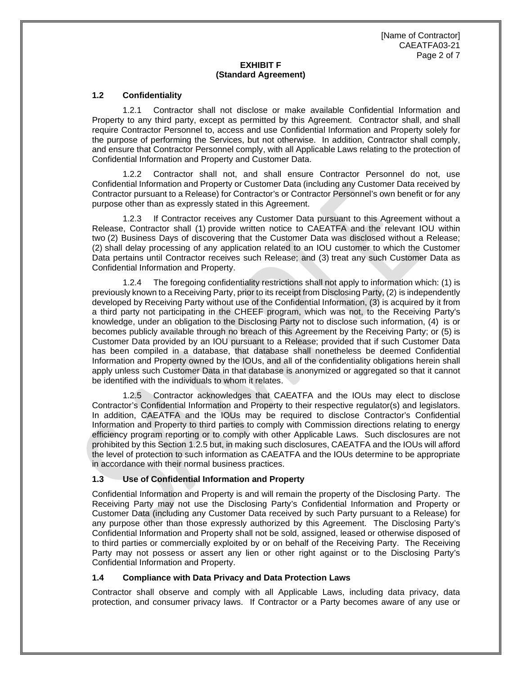[Name of Contractor] CAEATFA03-21 Page 2 of 7

# **EXHIBIT F (Standard Agreement)**

#### **1.2 Confidentiality**

1.2.1 Contractor shall not disclose or make available Confidential Information and Property to any third party, except as permitted by this Agreement. Contractor shall, and shall require Contractor Personnel to, access and use Confidential Information and Property solely for the purpose of performing the Services, but not otherwise. In addition, Contractor shall comply, and ensure that Contractor Personnel comply, with all Applicable Laws relating to the protection of Confidential Information and Property and Customer Data.

1.2.2 Contractor shall not, and shall ensure Contractor Personnel do not, use Confidential Information and Property or Customer Data (including any Customer Data received by Contractor pursuant to a Release) for Contractor's or Contractor Personnel's own benefit or for any purpose other than as expressly stated in this Agreement.

1.2.3 If Contractor receives any Customer Data pursuant to this Agreement without a Release, Contractor shall (1) provide written notice to CAEATFA and the relevant IOU within two (2) Business Days of discovering that the Customer Data was disclosed without a Release; (2) shall delay processing of any application related to an IOU customer to which the Customer Data pertains until Contractor receives such Release; and (3) treat any such Customer Data as Confidential Information and Property.

1.2.4 The foregoing confidentiality restrictions shall not apply to information which: (1) is previously known to a Receiving Party, prior to its receipt from Disclosing Party, (2) is independently developed by Receiving Party without use of the Confidential Information, (3) is acquired by it from a third party not participating in the CHEEF program, which was not, to the Receiving Party's knowledge, under an obligation to the Disclosing Party not to disclose such information, (4) is or becomes publicly available through no breach of this Agreement by the Receiving Party; or (5) is Customer Data provided by an IOU pursuant to a Release; provided that if such Customer Data has been compiled in a database, that database shall nonetheless be deemed Confidential Information and Property owned by the IOUs, and all of the confidentiality obligations herein shall apply unless such Customer Data in that database is anonymized or aggregated so that it cannot be identified with the individuals to whom it relates.

1.2.5 Contractor acknowledges that CAEATFA and the IOUs may elect to disclose Contractor's Confidential Information and Property to their respective regulator(s) and legislators. In addition, CAEATFA and the IOUs may be required to disclose Contractor's Confidential Information and Property to third parties to comply with Commission directions relating to energy efficiency program reporting or to comply with other Applicable Laws. Such disclosures are not prohibited by this Section 1.2.5 but, in making such disclosures, CAEATFA and the IOUs will afford the level of protection to such information as CAEATFA and the IOUs determine to be appropriate in accordance with their normal business practices.

#### **1.3 Use of Confidential Information and Property**

Confidential Information and Property is and will remain the property of the Disclosing Party. The Receiving Party may not use the Disclosing Party's Confidential Information and Property or Customer Data (including any Customer Data received by such Party pursuant to a Release) for any purpose other than those expressly authorized by this Agreement. The Disclosing Party's Confidential Information and Property shall not be sold, assigned, leased or otherwise disposed of to third parties or commercially exploited by or on behalf of the Receiving Party. The Receiving Party may not possess or assert any lien or other right against or to the Disclosing Party's Confidential Information and Property.

#### **1.4 Compliance with Data Privacy and Data Protection Laws**

Contractor shall observe and comply with all Applicable Laws, including data privacy, data protection, and consumer privacy laws. If Contractor or a Party becomes aware of any use or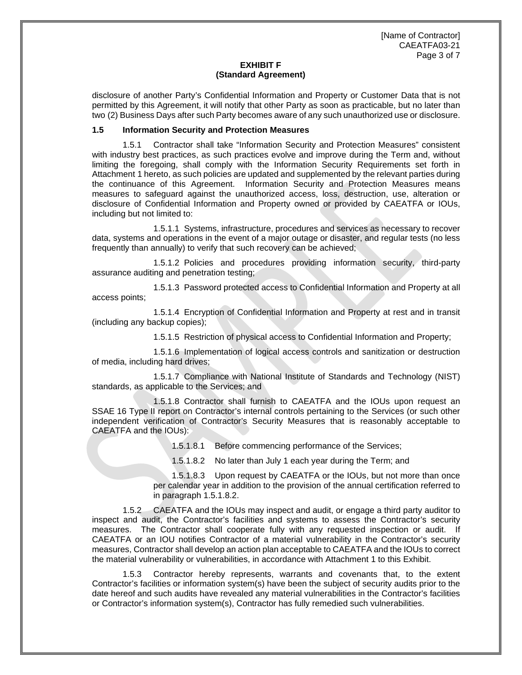[Name of Contractor] CAEATFA03-21 Page 3 of 7

#### **EXHIBIT F (Standard Agreement)**

disclosure of another Party's Confidential Information and Property or Customer Data that is not permitted by this Agreement, it will notify that other Party as soon as practicable, but no later than two (2) Business Days after such Party becomes aware of any such unauthorized use or disclosure.

#### **1.5 Information Security and Protection Measures**

1.5.1 Contractor shall take "Information Security and Protection Measures" consistent with industry best practices, as such practices evolve and improve during the Term and, without limiting the foregoing, shall comply with the Information Security Requirements set forth in Attachment 1 hereto, as such policies are updated and supplemented by the relevant parties during the continuance of this Agreement. Information Security and Protection Measures means measures to safeguard against the unauthorized access, loss, destruction, use, alteration or disclosure of Confidential Information and Property owned or provided by CAEATFA or IOUs, including but not limited to:

1.5.1.1 Systems, infrastructure, procedures and services as necessary to recover data, systems and operations in the event of a major outage or disaster, and regular tests (no less frequently than annually) to verify that such recovery can be achieved;

1.5.1.2 Policies and procedures providing information security, third-party assurance auditing and penetration testing;

1.5.1.3 Password protected access to Confidential Information and Property at all access points;

1.5.1.4 Encryption of Confidential Information and Property at rest and in transit (including any backup copies);

1.5.1.5 Restriction of physical access to Confidential Information and Property;

1.5.1.6 Implementation of logical access controls and sanitization or destruction of media, including hard drives;

1.5.1.7 Compliance with National Institute of Standards and Technology (NIST) standards, as applicable to the Services; and

1.5.1.8 Contractor shall furnish to CAEATFA and the IOUs upon request an SSAE 16 Type II report on Contractor's internal controls pertaining to the Services (or such other independent verification of Contractor's Security Measures that is reasonably acceptable to CAEATFA and the IOUs):

1.5.1.8.1 Before commencing performance of the Services;

1.5.1.8.2 No later than July 1 each year during the Term; and

1.5.1.8.3 Upon request by CAEATFA or the IOUs, but not more than once per calendar year in addition to the provision of the annual certification referred to in paragraph 1.5.1.8.2.

1.5.2 CAEATFA and the IOUs may inspect and audit, or engage a third party auditor to inspect and audit, the Contractor's facilities and systems to assess the Contractor's security measures. The Contractor shall cooperate fully with any requested inspection or audit. If CAEATFA or an IOU notifies Contractor of a material vulnerability in the Contractor's security measures, Contractor shall develop an action plan acceptable to CAEATFA and the IOUs to correct the material vulnerability or vulnerabilities, in accordance with Attachment 1 to this Exhibit.

1.5.3 Contractor hereby represents, warrants and covenants that, to the extent Contractor's facilities or information system(s) have been the subject of security audits prior to the date hereof and such audits have revealed any material vulnerabilities in the Contractor's facilities or Contractor's information system(s), Contractor has fully remedied such vulnerabilities.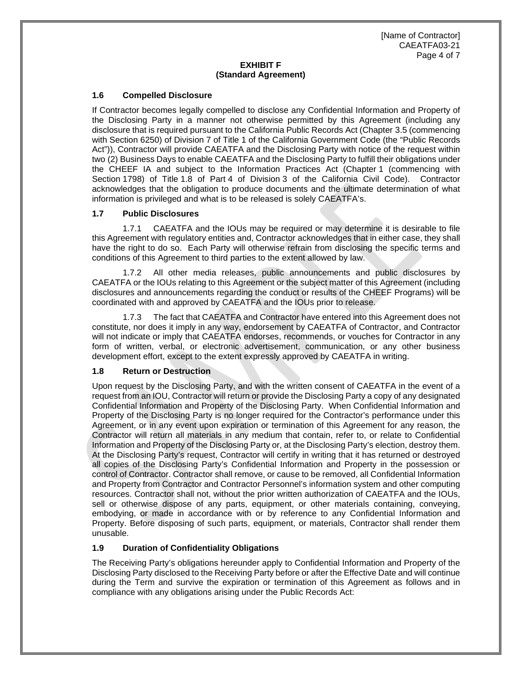[Name of Contractor] CAEATFA03-21 Page 4 of 7

# **EXHIBIT F (Standard Agreement)**

## **1.6 Compelled Disclosure**

If Contractor becomes legally compelled to disclose any Confidential Information and Property of the Disclosing Party in a manner not otherwise permitted by this Agreement (including any disclosure that is required pursuant to the California Public Records Act (Chapter 3.5 (commencing with Section 6250) of Division 7 of Title 1 of the California Government Code (the "Public Records Act")), Contractor will provide CAEATFA and the Disclosing Party with notice of the request within two (2) Business Days to enable CAEATFA and the Disclosing Party to fulfill their obligations under the CHEEF IA and subject to the Information Practices Act (Chapter 1 (commencing with Section 1798) of Title 1.8 of Part 4 of Division 3 of the California Civil Code). Contractor acknowledges that the obligation to produce documents and the ultimate determination of what information is privileged and what is to be released is solely CAEATFA's.

# **1.7 Public Disclosures**

1.7.1 CAEATFA and the IOUs may be required or may determine it is desirable to file this Agreement with regulatory entities and, Contractor acknowledges that in either case, they shall have the right to do so. Each Party will otherwise refrain from disclosing the specific terms and conditions of this Agreement to third parties to the extent allowed by law.

1.7.2 All other media releases, public announcements and public disclosures by CAEATFA or the IOUs relating to this Agreement or the subject matter of this Agreement (including disclosures and announcements regarding the conduct or results of the CHEEF Programs) will be coordinated with and approved by CAEATFA and the IOUs prior to release.

1.7.3 The fact that CAEATFA and Contractor have entered into this Agreement does not constitute, nor does it imply in any way, endorsement by CAEATFA of Contractor, and Contractor will not indicate or imply that CAEATFA endorses, recommends, or vouches for Contractor in any form of written, verbal, or electronic advertisement, communication, or any other business development effort, except to the extent expressly approved by CAEATFA in writing.

#### <span id="page-63-0"></span>**1.8 Return or Destruction**

Upon request by the Disclosing Party, and with the written consent of CAEATFA in the event of a request from an IOU, Contractor will return or provide the Disclosing Party a copy of any designated Confidential Information and Property of the Disclosing Party. When Confidential Information and Property of the Disclosing Party is no longer required for the Contractor's performance under this Agreement, or in any event upon expiration or termination of this Agreement for any reason, the Contractor will return all materials in any medium that contain, refer to, or relate to Confidential Information and Property of the Disclosing Party or, at the Disclosing Party's election, destroy them. At the Disclosing Party's request, Contractor will certify in writing that it has returned or destroyed all copies of the Disclosing Party's Confidential Information and Property in the possession or control of Contractor. Contractor shall remove, or cause to be removed, all Confidential Information and Property from Contractor and Contractor Personnel's information system and other computing resources. Contractor shall not, without the prior written authorization of CAEATFA and the IOUs, sell or otherwise dispose of any parts, equipment, or other materials containing, conveying, embodying, or made in accordance with or by reference to any Confidential Information and Property. Before disposing of such parts, equipment, or materials, Contractor shall render them unusable.

# **1.9 Duration of Confidentiality Obligations**

The Receiving Party's obligations hereunder apply to Confidential Information and Property of the Disclosing Party disclosed to the Receiving Party before or after the Effective Date and will continue during the Term and survive the expiration or termination of this Agreement as follows and in compliance with any obligations arising under the Public Records Act: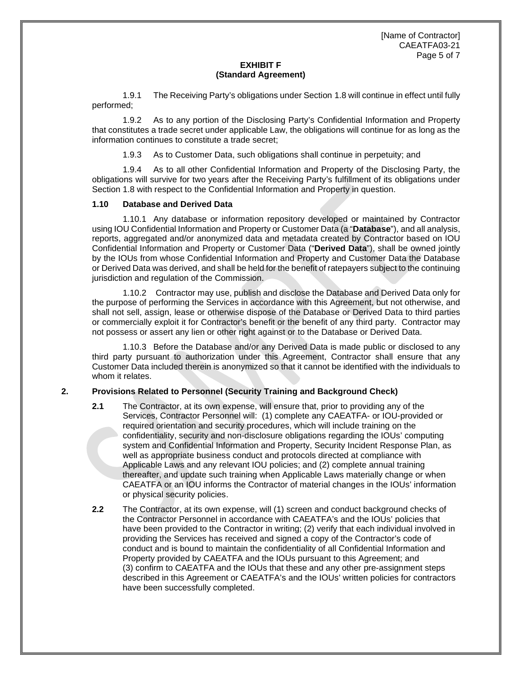[Name of Contractor] CAEATFA03-21 Page 5 of 7

## **EXHIBIT F (Standard Agreement)**

1.9.1 The Receiving Party's obligations under Section 1.8 will continue in effect until fully performed;

1.9.2 As to any portion of the Disclosing Party's Confidential Information and Property that constitutes a trade secret under applicable Law, the obligations will continue for as long as the information continues to constitute a trade secret;

1.9.3 As to Customer Data, such obligations shall continue in perpetuity; and

1.9.4 As to all other Confidential Information and Property of the Disclosing Party, the obligations will survive for two years after the Receiving Party's fulfillment of its obligations under Section [1.8](#page-63-0) with respect to the Confidential Information and Property in question.

# **1.10 Database and Derived Data**

1.10.1 Any database or information repository developed or maintained by Contractor using IOU Confidential Information and Property or Customer Data (a "**Database**"), and all analysis, reports, aggregated and/or anonymized data and metadata created by Contractor based on IOU Confidential Information and Property or Customer Data ("**Derived Data**"), shall be owned jointly by the IOUs from whose Confidential Information and Property and Customer Data the Database or Derived Data was derived, and shall be held for the benefit of ratepayers subject to the continuing jurisdiction and regulation of the Commission.

1.10.2 Contractor may use, publish and disclose the Database and Derived Data only for the purpose of performing the Services in accordance with this Agreement, but not otherwise, and shall not sell, assign, lease or otherwise dispose of the Database or Derived Data to third parties or commercially exploit it for Contractor's benefit or the benefit of any third party. Contractor may not possess or assert any lien or other right against or to the Database or Derived Data.

1.10.3 Before the Database and/or any Derived Data is made public or disclosed to any third party pursuant to authorization under this Agreement, Contractor shall ensure that any Customer Data included therein is anonymized so that it cannot be identified with the individuals to whom it relates.

# **2. Provisions Related to Personnel (Security Training and Background Check)**

- **2.1** The Contractor, at its own expense, will ensure that, prior to providing any of the Services, Contractor Personnel will: (1) complete any CAEATFA- or IOU-provided or required orientation and security procedures, which will include training on the confidentiality, security and non-disclosure obligations regarding the IOUs' computing system and Confidential Information and Property, Security Incident Response Plan, as well as appropriate business conduct and protocols directed at compliance with Applicable Laws and any relevant IOU policies; and (2) complete annual training thereafter, and update such training when Applicable Laws materially change or when CAEATFA or an IOU informs the Contractor of material changes in the IOUs' information or physical security policies.
- **2.2** The Contractor, at its own expense, will (1) screen and conduct background checks of the Contractor Personnel in accordance with CAEATFA's and the IOUs' policies that have been provided to the Contractor in writing; (2) verify that each individual involved in providing the Services has received and signed a copy of the Contractor's code of conduct and is bound to maintain the confidentiality of all Confidential Information and Property provided by CAEATFA and the IOUs pursuant to this Agreement; and (3) confirm to CAEATFA and the IOUs that these and any other pre-assignment steps described in this Agreement or CAEATFA's and the IOUs' written policies for contractors have been successfully completed.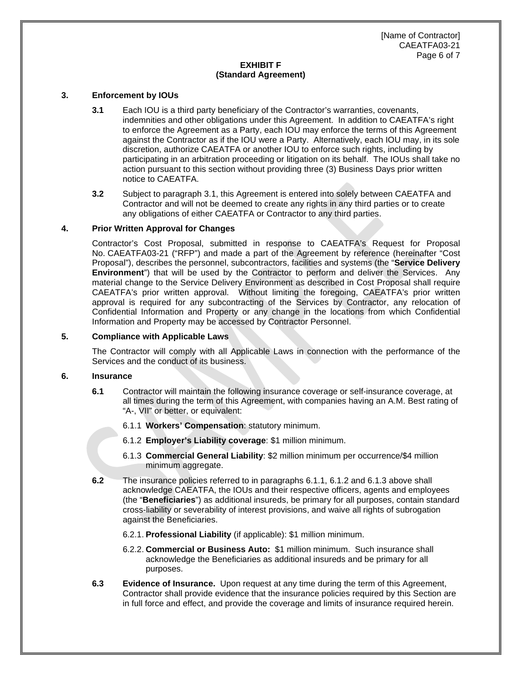[Name of Contractor] CAEATFA03-21 Page 6 of 7

# **EXHIBIT F (Standard Agreement)**

#### **3. Enforcement by IOUs**

- **3.1** Each IOU is a third party beneficiary of the Contractor's warranties, covenants, indemnities and other obligations under this Agreement. In addition to CAEATFA's right to enforce the Agreement as a Party, each IOU may enforce the terms of this Agreement against the Contractor as if the IOU were a Party. Alternatively, each IOU may, in its sole discretion, authorize CAEATFA or another IOU to enforce such rights, including by participating in an arbitration proceeding or litigation on its behalf. The IOUs shall take no action pursuant to this section without providing three (3) Business Days prior written notice to CAEATFA.
- **3.2** Subject to paragraph 3.1, this Agreement is entered into solely between CAEATFA and Contractor and will not be deemed to create any rights in any third parties or to create any obligations of either CAEATFA or Contractor to any third parties.

# **4. Prior Written Approval for Changes**

Contractor's Cost Proposal, submitted in response to CAEATFA's Request for Proposal No. CAEATFA03-21 ("RFP") and made a part of the Agreement by reference (hereinafter "Cost Proposal"), describes the personnel, subcontractors, facilities and systems (the "**Service Delivery Environment**") that will be used by the Contractor to perform and deliver the Services. Any material change to the Service Delivery Environment as described in Cost Proposal shall require CAEATFA's prior written approval. Without limiting the foregoing, CAEATFA's prior written approval is required for any subcontracting of the Services by Contractor, any relocation of Confidential Information and Property or any change in the locations from which Confidential Information and Property may be accessed by Contractor Personnel.

#### **5. Compliance with Applicable Laws**

The Contractor will comply with all Applicable Laws in connection with the performance of the Services and the conduct of its business.

#### **6. Insurance**

- **6.1** Contractor will maintain the following insurance coverage or self-insurance coverage, at all times during the term of this Agreement, with companies having an A.M. Best rating of "A-, VII" or better, or equivalent:
	- 6.1.1 **Workers' Compensation**: statutory minimum.
	- 6.1.2 **Employer's Liability coverage**: \$1 million minimum.
	- 6.1.3 **Commercial General Liability**: \$2 million minimum per occurrence/\$4 million minimum aggregate.
- **6.2** The insurance policies referred to in paragraphs 6.1.1, 6.1.2 and 6.1.3 above shall acknowledge CAEATFA, the IOUs and their respective officers, agents and employees (the "**Beneficiaries**") as additional insureds, be primary for all purposes, contain standard cross-liability or severability of interest provisions, and waive all rights of subrogation against the Beneficiaries.
	- 6.2.1. **Professional Liability** (if applicable): \$1 million minimum.
	- 6.2.2. **Commercial or Business Auto:** \$1 million minimum. Such insurance shall acknowledge the Beneficiaries as additional insureds and be primary for all purposes.
- **6.3 Evidence of Insurance.** Upon request at any time during the term of this Agreement, Contractor shall provide evidence that the insurance policies required by this Section are in full force and effect, and provide the coverage and limits of insurance required herein.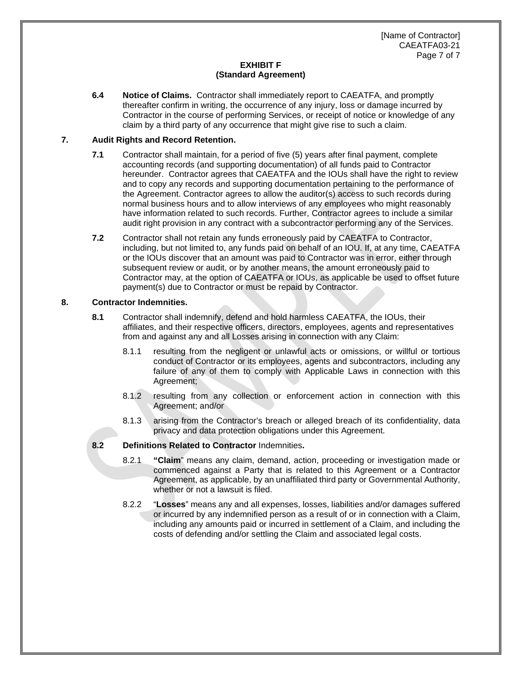[Name of Contractor] CAEATFA03-21 Page 7 of 7

# **EXHIBIT F (Standard Agreement)**

**6.4 Notice of Claims.** Contractor shall immediately report to CAEATFA, and promptly thereafter confirm in writing, the occurrence of any injury, loss or damage incurred by Contractor in the course of performing Services, or receipt of notice or knowledge of any claim by a third party of any occurrence that might give rise to such a claim.

## **7. Audit Rights and Record Retention.**

- **7.1** Contractor shall maintain, for a period of five (5) years after final payment, complete accounting records (and supporting documentation) of all funds paid to Contractor hereunder. Contractor agrees that CAEATFA and the IOUs shall have the right to review and to copy any records and supporting documentation pertaining to the performance of the Agreement. Contractor agrees to allow the auditor(s) access to such records during normal business hours and to allow interviews of any employees who might reasonably have information related to such records. Further, Contractor agrees to include a similar audit right provision in any contract with a subcontractor performing any of the Services.
- **7.2** Contractor shall not retain any funds erroneously paid by CAEATFA to Contractor, including, but not limited to, any funds paid on behalf of an IOU. If, at any time, CAEATFA or the IOUs discover that an amount was paid to Contractor was in error, either through subsequent review or audit, or by another means, the amount erroneously paid to Contractor may, at the option of CAEATFA or IOUs, as applicable be used to offset future payment(s) due to Contractor or must be repaid by Contractor.

# **8. Contractor Indemnities.**

- **8.1** Contractor shall indemnify, defend and hold harmless CAEATFA, the IOUs, their affiliates, and their respective officers, directors, employees, agents and representatives from and against any and all Losses arising in connection with any Claim:
	- 8.1.1 resulting from the negligent or unlawful acts or omissions, or willful or tortious conduct of Contractor or its employees, agents and subcontractors, including any failure of any of them to comply with Applicable Laws in connection with this Agreement;
	- 8.1.2 resulting from any collection or enforcement action in connection with this Agreement; and/or
	- 8.1.3 arising from the Contractor's breach or alleged breach of its confidentiality, data privacy and data protection obligations under this Agreement.

# **8.2 Definitions Related to Contractor** Indemnities**.**

- 8.2.1 **"Claim**" means any claim, demand, action, proceeding or investigation made or commenced against a Party that is related to this Agreement or a Contractor Agreement, as applicable, by an unaffiliated third party or Governmental Authority, whether or not a lawsuit is filed.
- 8.2.2 "**Losses**" means any and all expenses, losses, liabilities and/or damages suffered or incurred by any indemnified person as a result of or in connection with a Claim, including any amounts paid or incurred in settlement of a Claim, and including the costs of defending and/or settling the Claim and associated legal costs.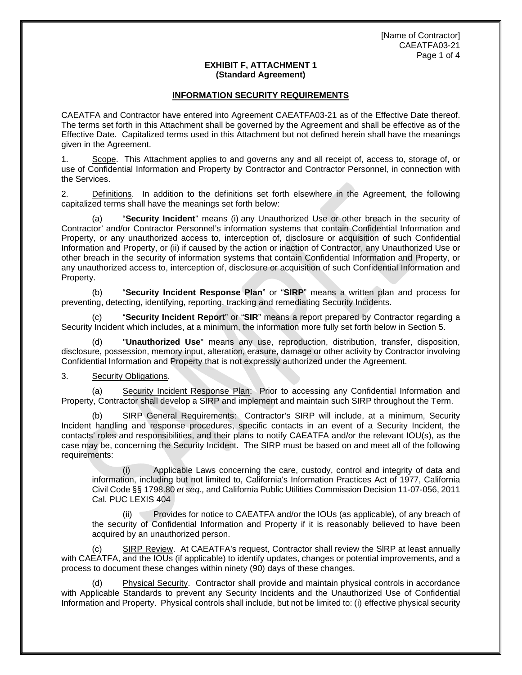## **EXHIBIT F, ATTACHMENT 1 (Standard Agreement)**

# **INFORMATION SECURITY REQUIREMENTS**

CAEATFA and Contractor have entered into Agreement CAEATFA03-21 as of the Effective Date thereof. The terms set forth in this Attachment shall be governed by the Agreement and shall be effective as of the Effective Date. Capitalized terms used in this Attachment but not defined herein shall have the meanings given in the Agreement.

1. Scope. This Attachment applies to and governs any and all receipt of, access to, storage of, or use of Confidential Information and Property by Contractor and Contractor Personnel, in connection with the Services.

2. Definitions. In addition to the definitions set forth elsewhere in the Agreement, the following capitalized terms shall have the meanings set forth below:

(a) "**Security Incident**" means (i) any Unauthorized Use or other breach in the security of Contractor' and/or Contractor Personnel's information systems that contain Confidential Information and Property, or any unauthorized access to, interception of, disclosure or acquisition of such Confidential Information and Property, or (ii) if caused by the action or inaction of Contractor, any Unauthorized Use or other breach in the security of information systems that contain Confidential Information and Property, or any unauthorized access to, interception of, disclosure or acquisition of such Confidential Information and Property.

(b) "**Security Incident Response Plan**" or "**SIRP**" means a written plan and process for preventing, detecting, identifying, reporting, tracking and remediating Security Incidents.

(c) "**Security Incident Report**" or "**SIR**" means a report prepared by Contractor regarding a Security Incident which includes, at a minimum, the information more fully set forth below in Section 5.

(d) "**Unauthorized Use**" means any use, reproduction, distribution, transfer, disposition, disclosure, possession, memory input, alteration, erasure, damage or other activity by Contractor involving Confidential Information and Property that is not expressly authorized under the Agreement.

#### 3. Security Obligations.

(a) Security Incident Response Plan: Prior to accessing any Confidential Information and Property, Contractor shall develop a SIRP and implement and maintain such SIRP throughout the Term.

(b) SIRP General Requirements: Contractor's SIRP will include, at a minimum, Security Incident handling and response procedures, specific contacts in an event of a Security Incident, the contacts' roles and responsibilities, and their plans to notify CAEATFA and/or the relevant IOU(s), as the case may be, concerning the Security Incident. The SIRP must be based on and meet all of the following requirements:

(i) Applicable Laws concerning the care, custody, control and integrity of data and information, including but not limited to, California's Information Practices Act of 1977, California Civil Code §§ 1798.80 *et seq.,* and California Public Utilities Commission Decision 11-07-056, 2011 Cal. PUC LEXIS 404

(ii) Provides for notice to CAEATFA and/or the IOUs (as applicable), of any breach of the security of Confidential Information and Property if it is reasonably believed to have been acquired by an unauthorized person.

(c) SIRP Review. At CAEATFA's request, Contractor shall review the SlRP at least annually with CAEATFA, and the IOUs (if applicable) to identify updates, changes or potential improvements, and a process to document these changes within ninety (90) days of these changes.

Physical Security. Contractor shall provide and maintain physical controls in accordance with Applicable Standards to prevent any Security Incidents and the Unauthorized Use of Confidential Information and Property. Physical controls shall include, but not be limited to: (i) effective physical security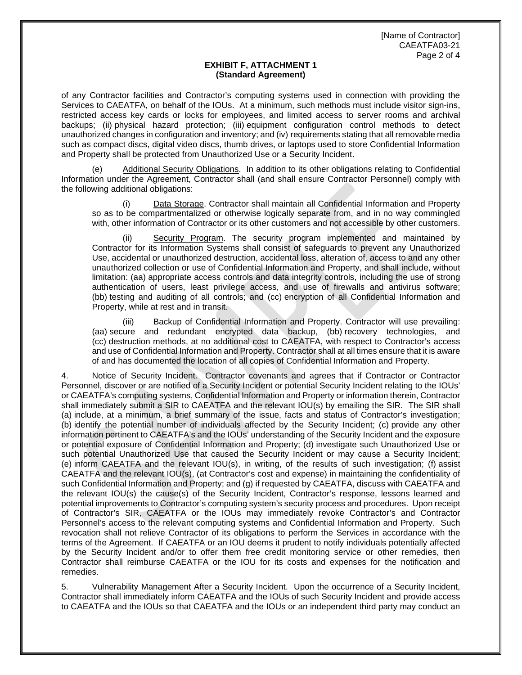### **EXHIBIT F, ATTACHMENT 1 (Standard Agreement)**

of any Contractor facilities and Contractor's computing systems used in connection with providing the Services to CAEATFA, on behalf of the IOUs. At a minimum, such methods must include visitor sign-ins, restricted access key cards or locks for employees, and limited access to server rooms and archival backups; (ii) physical hazard protection; (iii) equipment configuration control methods to detect unauthorized changes in configuration and inventory; and (iv) requirements stating that all removable media such as compact discs, digital video discs, thumb drives, or laptops used to store Confidential Information and Property shall be protected from Unauthorized Use or a Security Incident.

(e) Additional Security Obligations. In addition to its other obligations relating to Confidential Information under the Agreement, Contractor shall (and shall ensure Contractor Personnel) comply with the following additional obligations:

Data Storage. Contractor shall maintain all Confidential Information and Property so as to be compartmentalized or otherwise logically separate from, and in no way commingled with, other information of Contractor or its other customers and not accessible by other customers.

Security Program. The security program implemented and maintained by Contractor for its Information Systems shall consist of safeguards to prevent any Unauthorized Use, accidental or unauthorized destruction, accidental loss, alteration of, access to and any other unauthorized collection or use of Confidential Information and Property, and shall include, without limitation: (aa) appropriate access controls and data integrity controls, including the use of strong authentication of users, least privilege access, and use of firewalls and antivirus software; (bb) testing and auditing of all controls; and (cc) encryption of all Confidential Information and Property, while at rest and in transit.

Backup of Confidential Information and Property. Contractor will use prevailing: (aa) secure and redundant encrypted data backup, (bb) recovery technologies, and (cc) destruction methods, at no additional cost to CAEATFA, with respect to Contractor's access and use of Confidential Information and Property. Contractor shall at all times ensure that it is aware of and has documented the location of all copies of Confidential Information and Property.

4. Notice of Security Incident. Contractor covenants and agrees that if Contractor or Contractor Personnel, discover or are notified of a Security Incident or potential Security Incident relating to the IOUs' or CAEATFA's computing systems, Confidential Information and Property or information therein, Contractor shall immediately submit a SIR to CAEATFA and the relevant IOU(s) by emailing the SIR. The SIR shall (a) include, at a minimum, a brief summary of the issue, facts and status of Contractor's investigation; (b) identify the potential number of individuals affected by the Security Incident; (c) provide any other information pertinent to CAEATFA's and the IOUs' understanding of the Security Incident and the exposure or potential exposure of Confidential Information and Property; (d) investigate such Unauthorized Use or such potential Unauthorized Use that caused the Security Incident or may cause a Security Incident; (e) inform CAEATFA and the relevant IOU(s), in writing, of the results of such investigation; (f) assist CAEATFA and the relevant IOU(s), (at Contractor's cost and expense) in maintaining the confidentiality of such Confidential Information and Property; and (g) if requested by CAEATFA, discuss with CAEATFA and the relevant IOU(s) the cause(s) of the Security Incident, Contractor's response, lessons learned and potential improvements to Contractor's computing system's security process and procedures. Upon receipt of Contractor's SIR, CAEATFA or the IOUs may immediately revoke Contractor's and Contractor Personnel's access to the relevant computing systems and Confidential Information and Property. Such revocation shall not relieve Contractor of its obligations to perform the Services in accordance with the terms of the Agreement. If CAEATFA or an IOU deems it prudent to notify individuals potentially affected by the Security Incident and/or to offer them free credit monitoring service or other remedies, then Contractor shall reimburse CAEATFA or the IOU for its costs and expenses for the notification and remedies.

5. Vulnerability Management After a Security Incident. Upon the occurrence of a Security Incident, Contractor shall immediately inform CAEATFA and the IOUs of such Security Incident and provide access to CAEATFA and the IOUs so that CAEATFA and the IOUs or an independent third party may conduct an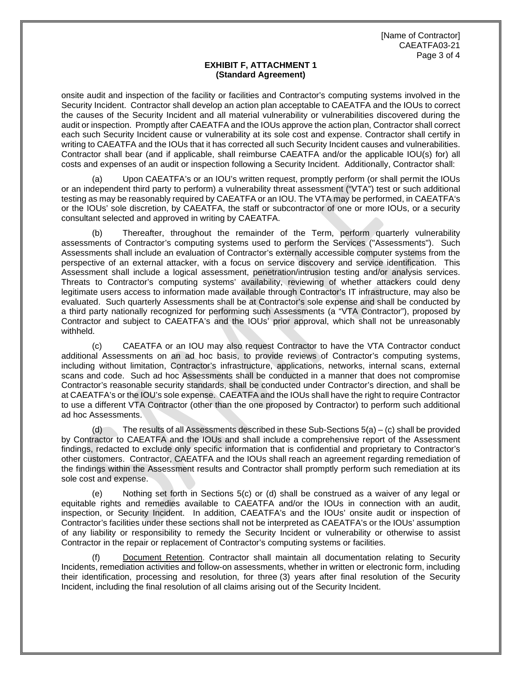## **EXHIBIT F, ATTACHMENT 1 (Standard Agreement)**

onsite audit and inspection of the facility or facilities and Contractor's computing systems involved in the Security Incident. Contractor shall develop an action plan acceptable to CAEATFA and the IOUs to correct the causes of the Security Incident and all material vulnerability or vulnerabilities discovered during the audit or inspection. Promptly after CAEATFA and the IOUs approve the action plan, Contractor shall correct each such Security Incident cause or vulnerability at its sole cost and expense. Contractor shall certify in writing to CAEATFA and the IOUs that it has corrected all such Security Incident causes and vulnerabilities. Contractor shall bear (and if applicable, shall reimburse CAEATFA and/or the applicable IOU(s) for) all costs and expenses of an audit or inspection following a Security Incident. Additionally, Contractor shall:

Upon CAEATFA's or an IOU's written request, promptly perform (or shall permit the IOUs or an independent third party to perform) a vulnerability threat assessment ("VTA") test or such additional testing as may be reasonably required by CAEATFA or an IOU. The VTA may be performed, in CAEATFA's or the IOUs' sole discretion, by CAEATFA, the staff or subcontractor of one or more IOUs, or a security consultant selected and approved in writing by CAEATFA.

(b) Thereafter, throughout the remainder of the Term, perform quarterly vulnerability assessments of Contractor's computing systems used to perform the Services ("Assessments"). Such Assessments shall include an evaluation of Contractor's externally accessible computer systems from the perspective of an external attacker, with a focus on service discovery and service identification. This Assessment shall include a logical assessment, penetration/intrusion testing and/or analysis services. Threats to Contractor's computing systems' availability, reviewing of whether attackers could deny legitimate users access to information made available through Contractor's IT infrastructure, may also be evaluated. Such quarterly Assessments shall be at Contractor's sole expense and shall be conducted by a third party nationally recognized for performing such Assessments (a "VTA Contractor"), proposed by Contractor and subject to CAEATFA's and the IOUs' prior approval, which shall not be unreasonably withheld.

(c) CAEATFA or an IOU may also request Contractor to have the VTA Contractor conduct additional Assessments on an ad hoc basis, to provide reviews of Contractor's computing systems, including without limitation, Contractor's infrastructure, applications, networks, internal scans, external scans and code. Such ad hoc Assessments shall be conducted in a manner that does not compromise Contractor's reasonable security standards, shall be conducted under Contractor's direction, and shall be at CAEATFA's or the IOU's sole expense. CAEATFA and the IOUs shall have the right to require Contractor to use a different VTA Contractor (other than the one proposed by Contractor) to perform such additional ad hoc Assessments.

(d) The results of all Assessments described in these Sub-Sections 5(a) – (c) shall be provided by Contractor to CAEATFA and the IOUs and shall include a comprehensive report of the Assessment findings, redacted to exclude only specific information that is confidential and proprietary to Contractor's other customers. Contractor, CAEATFA and the IOUs shall reach an agreement regarding remediation of the findings within the Assessment results and Contractor shall promptly perform such remediation at its sole cost and expense.

(e) Nothing set forth in Sections 5(c) or (d) shall be construed as a waiver of any legal or equitable rights and remedies available to CAEATFA and/or the IOUs in connection with an audit, inspection, or Security Incident. In addition, CAEATFA's and the IOUs' onsite audit or inspection of Contractor's facilities under these sections shall not be interpreted as CAEATFA's or the IOUs' assumption of any liability or responsibility to remedy the Security Incident or vulnerability or otherwise to assist Contractor in the repair or replacement of Contractor's computing systems or facilities.

(f) Document Retention. Contractor shall maintain all documentation relating to Security Incidents, remediation activities and follow-on assessments, whether in written or electronic form, including their identification, processing and resolution, for three (3) years after final resolution of the Security Incident, including the final resolution of all claims arising out of the Security Incident.